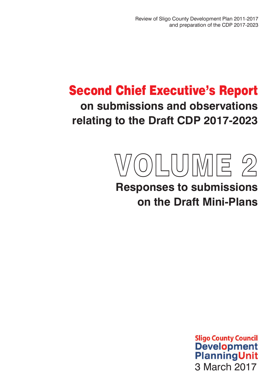Review of Sligo County Development Plan 2011-2017 and preparation of the CDP 2017-2023

# Second Chief Executive's Report **on submissions and observations relating to the Draft CDP 2017-2023**



# **Responses to submissions on the Draft Mini-Plans**

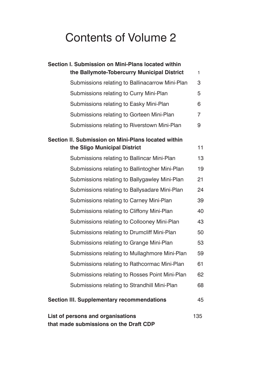# Contents of Volume 2

| Section I. Submission on Mini-Plans located within                                 |                |  |
|------------------------------------------------------------------------------------|----------------|--|
| the Ballymote-Tobercurry Municipal District                                        | 1              |  |
| Submissions relating to Ballinacarrow Mini-Plan                                    | 3              |  |
| Submissions relating to Curry Mini-Plan                                            | 5              |  |
| Submissions relating to Easky Mini-Plan                                            | 6              |  |
| Submissions relating to Gorteen Mini-Plan                                          | $\overline{7}$ |  |
| Submissions relating to Riverstown Mini-Plan                                       | 9              |  |
| Section II. Submission on Mini-Plans located within                                |                |  |
| the Sligo Municipal District                                                       | 11             |  |
| Submissions relating to Ballincar Mini-Plan                                        | 13             |  |
| Submissions relating to Ballintogher Mini-Plan                                     | 19             |  |
| Submissions relating to Ballygawley Mini-Plan                                      | 21             |  |
| Submissions relating to Ballysadare Mini-Plan                                      | 24             |  |
| Submissions relating to Carney Mini-Plan                                           | 39             |  |
| Submissions relating to Cliffony Mini-Plan                                         | 40             |  |
| Submissions relating to Collooney Mini-Plan                                        | 43             |  |
| Submissions relating to Drumcliff Mini-Plan                                        | 50             |  |
| Submissions relating to Grange Mini-Plan                                           | 53             |  |
| Submissions relating to Mullaghmore Mini-Plan                                      | 59             |  |
| Submissions relating to Rathcormac Mini-Plan                                       | 61             |  |
| Submissions relating to Rosses Point Mini-Plan                                     | 62             |  |
| Submissions relating to Strandhill Mini-Plan                                       | 68             |  |
| <b>Section III. Supplementary recommendations</b>                                  | 45             |  |
| List of persons and organisations<br>135<br>that made submissions on the Draft CDP |                |  |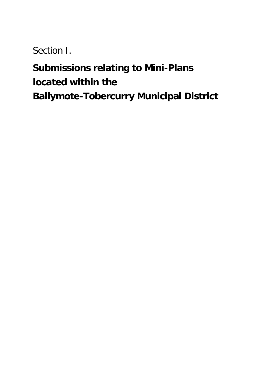Section I.

# **Submissions relating to Mini-Plans located within the Ballymote-Tobercurry Municipal District**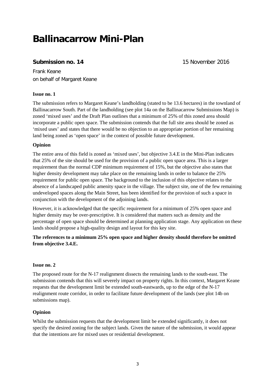# **Ballinacarrow Mini-Plan**

# **Submission no. 14** 15 November 2016

Frank Keane on behalf of Margaret Keane

#### **Issue no. 1**

The submission refers to Margaret Keane's landholding (stated to be 13.6 hectares) in the townland of Ballinacarrow South. Part of the landholding (see plot 14a on the Ballinacarrow Submissions Map) is zoned 'mixed uses' and the Draft Plan outlines that a minimum of 25% of this zoned area should incorporate a public open space. The submission contends that the full site area should be zoned as 'mixed uses' and states that there would be no objection to an appropriate portion of her remaining land being zoned as 'open space' in the context of possible future development.

#### **Opinion**

The entire area of this field is zoned as 'mixed uses', but objective 3.4.E in the Mini-Plan indicates that 25% of the site should be used for the provision of a public open space area. This is a larger requirement than the normal CDP minimum requirement of 15%, but the objective also states that higher density development may take place on the remaining lands in order to balance the 25% requirement for public open space. The background to the inclusion of this objective relates to the absence of a landscaped public amenity space in the village. The subject site, one of the few remaining undeveloped spaces along the Main Street, has been identified for the provision of such a space in conjunction with the development of the adjoining lands.

However, it is acknowledged that the specific requirement for a minimum of 25% open space and higher density may be over-prescriptive. It is considered that matters such as density and the percentage of open space should be determined at planning application stage. Any application on these lands should propose a high-quality design and layout for this key site.

### **The references to a minimum 25% open space and higher density should therefore be omitted from objective 3.4.E.**

#### **Issue no. 2**

The proposed route for the N-17 realignment dissects the remaining lands to the south-east. The submission contends that this will severely impact on property rights. In this context, Margaret Keane requests that the development limit be extended south-eastwards, up to the edge of the N-17 realignment route corridor, in order to facilitate future development of the lands (see plot 14b on submissions map).

#### **Opinion**

Whilst the submission requests that the development limit be extended significantly, it does not specify the desired zoning for the subject lands. Given the nature of the submission, it would appear that the intentions are for mixed uses or residential development.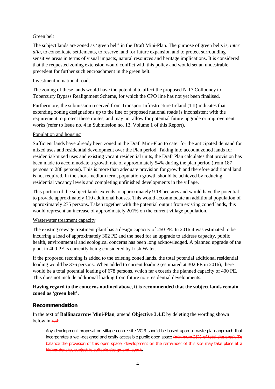#### Green belt

The subject lands are zoned as 'green belt' in the Draft Mini-Plan. The purpose of green belts is, *inter alia,* to consolidate settlements, to reserve land for future expansion and to protect surrounding sensitive areas in terms of visual impacts, natural resources and heritage implications. It is considered that the requested zoning extension would conflict with this policy and would set an undesirable precedent for further such encroachment in the green belt.

#### Investment in national roads

The zoning of these lands would have the potential to affect the proposed N-17 Collooney to Tobercurry Bypass Realignment Scheme, for which the CPO line has not yet been finalised.

Furthermore, the submission received from Transport Infrastructure Ireland (TII) indicates that extending zoning designations up to the line of proposed national roads is inconsistent with the requirement to protect these routes, and may not allow for potential future upgrade or improvement works (refer to Issue no. 4 in Submission no. 13, Volume 1 of this Report).

#### Population and housing

Sufficient lands have already been zoned in the Draft Mini-Plan to cater for the anticipated demand for mixed uses and residential development over the Plan period. Taking into account zoned lands for residential/mixed uses and existing vacant residential units, the Draft Plan calculates that provision has been made to accommodate a growth rate of approximately 54% during the plan period (from 187 persons to 288 persons). This is more than adequate provision for growth and therefore additional land is not required. In the short-medium term, population growth should be achieved by reducing residential vacancy levels and completing unfinished developments in the village.

This portion of the subject lands extends to approximately 9.18 hectares and would have the potential to provide approximately 110 additional houses. This would accommodate an additional population of approximately 275 persons. Taken together with the potential output from existing zoned lands, this would represent an increase of approximately 201% on the current village population.

#### Wastewater treatment capacity

The existing sewage treatment plant has a design capacity of 250 PE. In 2016 it was estimated to be incurring a load of approximately 302 PE and the need for an upgrade to address capacity, public health, environmental and ecological concerns has been long acknowledged. A planned upgrade of the plant to 400 PE is currently being considered by Irish Water.

If the proposed rezoning is added to the existing zoned lands, the total potential additional residential loading would be 376 persons. When added to current loading (estimated at 302 PE in 2016), there would be a total potential loading of 678 persons, which far exceeds the planned capacity of 400 PE. This does not include additional loading from future non-residential developments.

#### **Having regard to the concerns outlined above, it is recommended that the subject lands remain zoned as 'green belt'.**

#### **Recommendation**

In the text of **Ballinacarrow Mini-Plan**, amend **Objective 3.4.E** by deleting the wording shown below in red:

Any development proposal on village centre site VC-3 should be based upon a masterplan approach that incorporates a well-designed and easily accessible public open space (minimum 25% of total site area). To balance the provision of this open space, development on the remainder of this site may take place at a higher density, subject to suitable design and layout.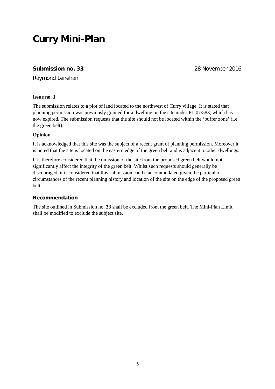# **Curry Mini-Plan**

# **Submission no. 33** 28 November 2016

Raymond Lenehan

#### **Issue no. 1**

The submission relates to a plot of land located to the northwest of Curry village. It is stated that planning permission was previously granted for a dwelling on the site under PL 07/583, which has now expired. The submission requests that the site should not be located within the 'buffer zone' (i.e. the green belt).

#### **Opinion**

It is acknowledged that this site was the subject of a recent grant of planning permission. Moreover it is noted that the site is located on the eastern edge of the green belt and is adjacent to other dwellings.

It is therefore considered that the omission of the site from the proposed green belt would not significantly affect the integrity of the green belt. Whilst such requests should generally be discouraged, it is considered that this submission can be accommodated given the particular circumstances of the recent planning history and location of the site on the edge of the proposed green belt.

#### **Recommendation**

The site outlined in Submission no**. 33** shall be excluded from the green belt. The Mini-Plan Limit shall be modified to exclude the subject site.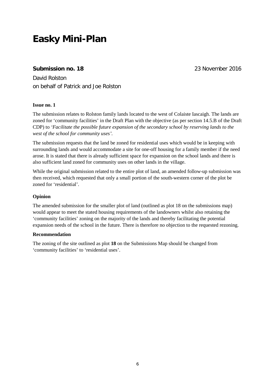# **Easky Mini-Plan**

# **Submission no. 18** 23 November 2016

David Rolston on behalf of Patrick and Joe Rolston

#### **Issue no. 1**

The submission relates to Rolston family lands located to the west of Colaiste Iascaigh. The lands are zoned for 'community facilities' in the Draft Plan with the objective (as per section 14.5.B of the Draft CDP) to *'Facilitate the possible future expansion of the secondary school by reserving lands to the west of the school for community uses'.*

The submission requests that the land be zoned for residential uses which would be in keeping with surrounding lands and would accommodate a site for one-off housing for a family member if the need arose. It is stated that there is already sufficient space for expansion on the school lands and there is also sufficient land zoned for community uses on other lands in the village.

While the original submission related to the entire plot of land, an amended follow-up submission was then received, which requested that only a small portion of the south-western corner of the plot be zoned for 'residential'.

#### **Opinion**

The amended submission for the smaller plot of land (outlined as plot 18 on the submissions map) would appear to meet the stated housing requirements of the landowners whilst also retaining the 'community facilities' zoning on the majority of the lands and thereby facilitating the potential expansion needs of the school in the future. There is therefore no objection to the requested rezoning.

#### **Recommendation**

The zoning of the site outlined as plot **18** on the Submissions Map should be changed from 'community facilities' to 'residential uses'.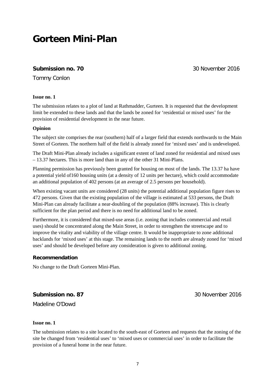# **Gorteen Mini-Plan**

# **Submission no. 70** 30 November 2016

Tommy Conlon

#### **Issue no. 1**

The submission relates to a plot of land at Rathmadder, Gurteen. It is requested that the development limit be extended to these lands and that the lands be zoned for 'residential or mixed uses' for the provision of residential development in the near future.

#### **Opinion**

The subject site comprises the rear (southern) half of a larger field that extends northwards to the Main Street of Gorteen. The northern half of the field is already zoned for 'mixed uses' and is undeveloped.

The Draft Mini-Plan already includes a significant extent of land zoned for residential and mixed uses – 13.37 hectares. This is more land than in any of the other 31 Mini-Plans.

Planning permission has previously been granted for housing on most of the lands. The 13.37 ha have a potential yield of160 housing units (at a density of 12 units per hectare), which could accommodate an additional population of 402 persons (at an average of 2.5 persons per household).

When existing vacant units are considered (28 units) the potential additional population figure rises to 472 persons. Given that the existing population of the village is estimated at 533 persons, the Draft Mini-Plan can already facilitate a near-doubling of the population (88% increase). This is clearly sufficient for the plan period and there is no need for additional land to be zoned.

Furthermore, it is considered that mixed-use areas (i.e. zoning that includes commercial and retail uses) should be concentrated along the Main Street, in order to strengthen the streetscape and to improve the vitality and viability of the village centre. It would be inappropriate to zone additional backlands for 'mixed uses' at this stage. The remaining lands to the north are already zoned for 'mixed uses' and should be developed before any consideration is given to additional zoning.

#### **Recommendation**

No change to the Draft Gorteen Mini-Plan.

**Submission no. 87** 30 November 2016

Madeline O'Dowd

#### **Issue no. 1**

The submission relates to a site located to the south-east of Gorteen and requests that the zoning of the site be changed from 'residential uses' to 'mixed uses or commercial uses' in order to facilitate the provision of a funeral home in the near future.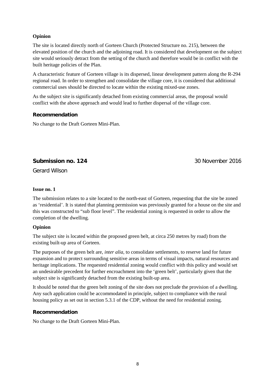#### **Opinion**

The site is located directly north of Gorteen Church (Protected Structure no. 215), between the elevated position of the church and the adjoining road. It is considered that development on the subject site would seriously detract from the setting of the church and therefore would be in conflict with the built heritage policies of the Plan.

A characteristic feature of Gorteen village is its dispersed, linear development pattern along the R-294 regional road. In order to strengthen and consolidate the village core, it is considered that additional commercial uses should be directed to locate within the existing mixed-use zones.

As the subject site is significantly detached from existing commercial areas, the proposal would conflict with the above approach and would lead to further dispersal of the village core.

#### **Recommendation**

No change to the Draft Gorteen Mini-Plan.

**Submission no. 124** 30 November 2016

Gerard Wilson

#### **Issue no. 1**

The submission relates to a site located to the north-east of Gorteen, requesting that the site be zoned as 'residential'. It is stated that planning permission was previously granted for a house on the site and this was constructed to "sub floor level". The residential zoning is requested in order to allow the completion of the dwelling.

#### **Opinion**

The subject site is located within the proposed green belt, at circa 250 metres by road) from the existing built-up area of Gorteen.

The purposes of the green belt are, *inter alia,* to consolidate settlements, to reserve land for future expansion and to protect surrounding sensitive areas in terms of visual impacts, natural resources and heritage implications. The requested residential zoning would conflict with this policy and would set an undesirable precedent for further encroachment into the 'green belt', particularly given that the subject site is significantly detached from the existing built-up area.

It should be noted that the green belt zoning of the site does not preclude the provision of a dwelling. Any such application could be accommodated in principle, subject to compliance with the rural housing policy as set out in section 5.3.1 of the CDP, without the need for residential zoning.

#### **Recommendation**

No change to the Draft Gorteen Mini-Plan.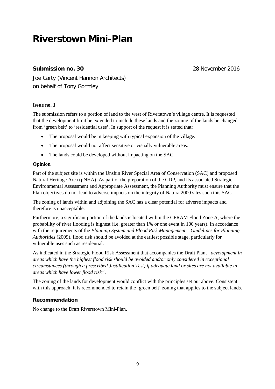# **Riverstown Mini-Plan**

# **Submission no. 30** 28 November 2016

Joe Carty (Vincent Hannon Architects) on behalf of Tony Gormley

#### **Issue no. 1**

The submission refers to a portion of land to the west of Riverstown's village centre. It is requested that the development limit be extended to include these lands and the zoning of the lands be changed from 'green belt' to 'residential uses'. In support of the request it is stated that:

- The proposal would be in keeping with typical expansion of the village.
- The proposal would not affect sensitive or visually vulnerable areas.
- The lands could be developed without impacting on the SAC.

#### **Opinion**

Part of the subject site is within the Unshin River Special Area of Conservation (SAC) and proposed Natural Heritage Area (pNHA). As part of the preparation of the CDP, and its associated Strategic Environmental Assessment and Appropriate Assessment, the Planning Authority must ensure that the Plan objectives do not lead to adverse impacts on the integrity of Natura 2000 sites such this SAC.

The zoning of lands within and adjoining the SAC has a clear potential for adverse impacts and therefore is unacceptable.

Furthermore, a significant portion of the lands is located within the CFRAM Flood Zone A, where the probability of river flooding is highest (i.e. greater than 1% or one event in 100 years). In accordance with the requirements of the *Planning System and Flood Risk Management – Guidelines for Planning Authorities* (2009), flood risk should be avoided at the earliest possible stage, particularly for vulnerable uses such as residential.

As indicated in the Strategic Flood Risk Assessment that accompanies the Draft Plan, *"development in areas which have the highest flood risk should be avoided and/or only considered in exceptional circumstances (through a prescribed Justification Test) if adequate land or sites are not available in areas which have lower flood risk"*.

The zoning of the lands for development would conflict with the principles set out above. Consistent with this approach, it is recommended to retain the 'green belt' zoning that applies to the subject lands.

# **Recommendation**

No change to the Draft Riverstown Mini-Plan.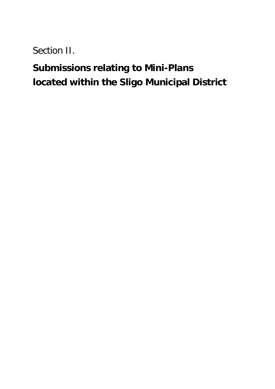Section II.

# **Submissions relating to Mini-Plans located within the Sligo Municipal District**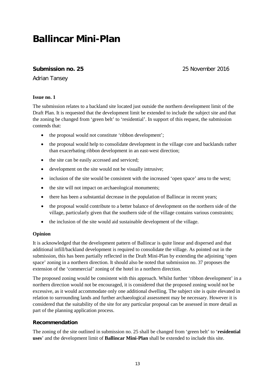# **Ballincar Mini-Plan**

# **Submission no. 25** 25 November 2016

Adrian Tansey

#### **Issue no. 1**

The submission relates to a backland site located just outside the northern development limit of the Draft Plan. It is requested that the development limit be extended to include the subject site and that the zoning be changed from 'green belt' to 'residential'. In support of this request, the submission contends that:

- the proposal would not constitute 'ribbon development';
- the proposal would help to consolidate development in the village core and backlands rather than exacerbating ribbon development in an east-west direction;
- the site can be easily accessed and serviced;
- development on the site would not be visually intrusive;
- inclusion of the site would be consistent with the increased 'open space' area to the west;
- the site will not impact on archaeological monuments;
- there has been a substantial decrease in the population of Ballincar in recent years;
- the proposal would contribute to a better balance of development on the northern side of the village, particularly given that the southern side of the village contains various constraints;
- the inclusion of the site would aid sustainable development of the village.

#### **Opinion**

It is acknowledged that the development pattern of Ballincar is quite linear and dispersed and that additional infill/backland development is required to consolidate the village. As pointed out in the submission, this has been partially reflected in the Draft Mini-Plan by extending the adjoining 'open space' zoning in a northern direction. It should also be noted that submission no. 37 proposes the extension of the 'commercial' zoning of the hotel in a northern direction.

The proposed zoning would be consistent with this approach. Whilst further 'ribbon development' in a northern direction would not be encouraged, it is considered that the proposed zoning would not be excessive, as it would accommodate only one additional dwelling. The subject site is quite elevated in relation to surrounding lands and further archaeological assessment may be necessary. However it is considered that the suitability of the site for any particular proposal can be assessed in more detail as part of the planning application process.

#### **Recommendation**

The zoning of the site outlined in submission no. 25 shall be changed from 'green belt' to '**residential uses**' and the development limit of **Ballincar Mini-Plan** shall be extended to include this site.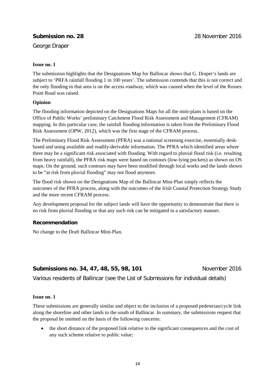# **Submission no. 28** 28 November 2016

George Draper

#### **Issue no. 1**

The submission highlights that the Designations Map for Ballincar shows that G. Draper's lands are subject to 'PRFA rainfall flooding 1 in 100 years'. The submission contends that this is not correct and the only flooding in that area is on the access roadway, which was caused when the level of the Rosses Point Road was raised.

#### **Opinion**

The flooding information depicted on the Designations Maps for all the mini-plans is based on the Office of Public Works' preliminary Catchment Flood Risk Assessment and Management (CFRAM) mapping. In this particular case, the rainfall flooding information is taken from the Preliminary Flood Risk Assessment (OPW, 2012), which was the first stage of the CFRAM process.

The Preliminary Flood Risk Assessment (PFRA) was a national screening exercise, essentially deskbased and using available and readily-derivable information. The PFRA which identified areas where there may be a significant risk associated with flooding. With regard to pluvial flood risk (i.e. resulting from heavy rainfall), the PFRA risk maps were based on contours (low-lying pockets) as shown on OS maps. On the ground, such contours may have been modified through local works and the lands shown to be "at risk from pluvial flooding" may not flood anymore.

The flood risk shown on the Designations Map of the Ballincar Mini-Plan simply reflects the outcomes of the PFRA process, along with the outcomes of the Irish Coastal Protection Strategy Study and the more recent CFRAM process.

Any development proposal for the subject lands will have the opportunity to demonstrate that there is no risk from pluvial flooding or that any such risk can be mitigated in a satisfactory manner.

#### **Recommendation**

No change to the Draft Ballincar Mini-Plan.

# **Submissions no. 34, 47, 48, 55, 98, 101 November 2016**

Various residents of Ballincar (see the List of Submissions for individual details)

#### **Issue no. 1**

These submissions are generally similar and object to the inclusion of a proposed pedestrian/cycle link along the shoreline and other lands to the south of Ballincar. In summary, the submissions request that the proposal be omitted on the basis of the following concerns:

• the short distance of the proposed link relative to the significant consequences and the cost of any such scheme relative to public value;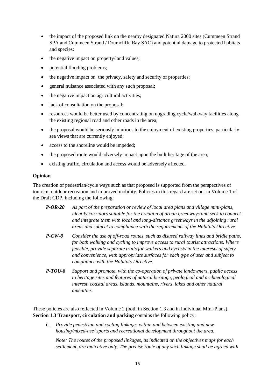- the impact of the proposed link on the nearby designated Natura 2000 sites (Cummeen Strand SPA and Cummeen Strand / Drumcliffe Bay SAC) and potential damage to protected habitats and species;
- the negative impact on property/land values;
- potential flooding problems;
- the negative impact on the privacy, safety and security of properties;
- general nuisance associated with any such proposal;
- the negative impact on agricultural activities;
- lack of consultation on the proposal;
- resources would be better used by concentrating on upgrading cycle/walkway facilities along the existing regional road and other roads in the area;
- the proposal would be seriously injurious to the enjoyment of existing properties, particularly sea views that are currently enjoyed;
- access to the shoreline would be impeded:
- the proposed route would adversely impact upon the built heritage of the area;
- existing traffic, circulation and access would be adversely affected.

#### **Opinion**

The creation of pedestrian/cycle ways such as that proposed is supported from the perspectives of tourism, outdoor recreation and improved mobility. Policies in this regard are set out in Volume 1 of the Draft CDP, including the following:

| $P-OR-20$                          | As part of the preparation or review of local area plans and village mini-plans,    |
|------------------------------------|-------------------------------------------------------------------------------------|
|                                    | identify corridors suitable for the creation of urban greenways and seek to connect |
|                                    | and integrate them with local and long-distance greenways in the adjoining rural    |
|                                    | areas and subject to compliance with the requirements of the Habitats Directive.    |
| $\mathbf{L}$ $\alpha$ $\mathbf{L}$ |                                                                                     |

- *P-CW-8 Consider the use of off-road routes, such as disused railway lines and bridle paths, for both walking and cycling to improve access to rural tourist attractions. Where feasible, provide separate trails for walkers and cyclists in the interests of safety and convenience, with appropriate surfaces for each type of user and subject to compliance with the Habitats Directive.*
- *P-TOU-8 Support and promote, with the co-operation of private landowners, public access to heritage sites and features of natural heritage, geological and archaeological interest, coastal areas, islands, mountains, rivers, lakes and other natural amenities.*

These policies are also reflected in Volume 2 (both in Section 1.3 and in individual Mini-Plans). **Section 1.3 Transport, circulation and parking** contains the following policy:

*C. Provide pedestrian and cycling linkages within and between existing and new housing/mixed-use/ sports and recreational development throughout the area.*

*Note: The routes of the proposed linkages, as indicated on the objectives maps for each settlement, are indicative only. The precise route of any such linkage shall be agreed with*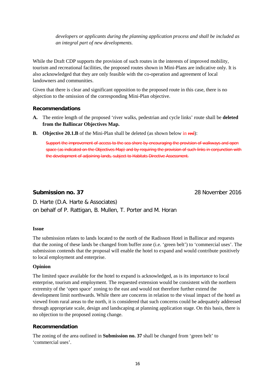*developers or applicants during the planning application process and shall be included as an integral part of new developments.*

While the Draft CDP supports the provision of such routes in the interests of improved mobility, tourism and recreational facilities, the proposed routes shown in Mini-Plans are indicative only. It is also acknowledged that they are only feasible with the co-operation and agreement of local landowners and communities.

Given that there is clear and significant opposition to the proposed route in this case, there is no objection to the omission of the corresponding Mini-Plan objective.

### **Recommendations**

- **A.** The entire length of the proposed 'river walks, pedestrian and cycle links' route shall be **deleted from the Ballincar Objectives Map.**
- **B. Objective 20.1.B** of the Mini-Plan shall be deleted (as shown below in red):

Support the improvement of access to the sea shore by encouraging the provision of walkways and open space (as indicated on the Objectives Map) and by requiring the provision of such links in conjunction with the development of adjoining lands, subject to Habitats Directive Assessment.

### **Submission no. 37** 28 November 2016

D. Harte (D.A. Harte & Associates) on behalf of P. Rattigan, B. Mullen, T. Porter and M. Horan

#### **Issue**

The submission relates to lands located to the north of the Radisson Hotel in Ballincar and requests that the zoning of these lands be changed from buffer zone (i.e. 'green belt') to 'commercial uses'. The submission contends that the proposal will enable the hotel to expand and would contribute positively to local employment and enterprise.

#### **Opinion**

The limited space available for the hotel to expand is acknowledged, as is its importance to local enterprise, tourism and employment. The requested extension would be consistent with the northern extremity of the 'open space' zoning to the east and would not therefore further extend the development limit northwards. While there are concerns in relation to the visual impact of the hotel as viewed from rural areas to the north, it is considered that such concerns could be adequately addressed through appropriate scale, design and landscaping at planning application stage. On this basis, there is no objection to the proposed zoning change.

#### **Recommendation**

The zoning of the area outlined in **Submission no. 37** shall be changed from 'green belt' to 'commercial uses'.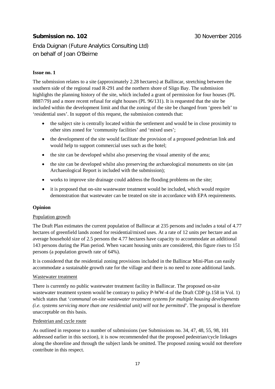# **Submission no. 102** 30 November 2016

Enda Duignan (Future Analytics Consulting Ltd) on behalf of Joan O'Beirne

#### **Issue no. 1**

The submission relates to a site (approximately 2.28 hectares) at Ballincar, stretching between the southern side of the regional road R-291 and the northern shore of Sligo Bay. The submission highlights the planning history of the site, which included a grant of permission for four houses (PL 8887/79) and a more recent refusal for eight houses (PL 96/131). It is requested that the site be included within the development limit and that the zoning of the site be changed from 'green belt' to 'residential uses'. In support of this request, the submission contends that:

- the subject site is centrally located within the settlement and would be in close proximity to other sites zoned for 'community facilities' and 'mixed uses';
- the development of the site would facilitate the provision of a proposed pedestrian link and would help to support commercial uses such as the hotel;
- the site can be developed whilst also preserving the visual amenity of the area;
- the site can be developed whilst also preserving the archaeological monuments on site (an Archaeological Report is included with the submission);
- works to improve site drainage could address the flooding problems on the site;
- it is proposed that on-site wastewater treatment would be included, which would require demonstration that wastewater can be treated on site in accordance with EPA requirements.

#### **Opinion**

#### Population growth

The Draft Plan estimates the current population of Ballincar at 235 persons and includes a total of 4.77 hectares of greenfield lands zoned for residential/mixed uses. At a rate of 12 units per hectare and an average household size of 2.5 persons the 4.77 hectares have capacity to accommodate an additional 143 persons during the Plan period. When vacant housing units are considered, this figure rises to 151 persons (a population growth rate of 64%).

It is considered that the residential zoning provisions included in the Ballincar Mini-Plan can easily accommodate a sustainable growth rate for the village and there is no need to zone additional lands.

#### Wastewater treatment

There is currently no public wastewater treatment facility in Ballincar. The proposed on-site wastewater treatment system would be contrary to policy P-WW-4 of the Draft CDP (p.158 in Vol. 1) which states that '*communal on-site wastewater treatment systems for multiple housing developments (i.e. systems servicing more than one residential unit) will not be permitted*'. The proposal is therefore unacceptable on this basis.

#### Pedestrian and cycle route

As outlined in response to a number of submissions (see Submissions no. 34, 47, 48, 55, 98, 101 addressed earlier in this section), it is now recommended that the proposed pedestrian/cycle linkages along the shoreline and through the subject lands be omitted. The proposed zoning would not therefore contribute in this respect.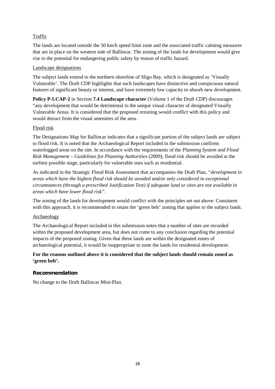### Traffic

The lands are located outside the 50 km/h speed limit zone and the associated traffic calming measures that are in place on the western side of Ballincar. The zoning of the lands for development would give rise to the potential for endangering public safety by reason of traffic hazard.

#### Landscape designations

The subject lands extend to the northern shoreline of Sligo Bay, which is designated as 'Visually Vulnerable'. The Draft CDP highlights that such landscapes have distinctive and conspicuous natural features of significant beauty or interest, and have extremely low capacity to absorb new development.

**Policy P-LCAP-2** in Section **7.4 Landscape character** (Volume 1 of the Draft CDP) discourages "any development that would be detrimental to the unique visual character of designated Visually Vulnerable Areas. It is considered that the proposed rezoning would conflict with this policy and would detract from the visual amenities of the area.

#### Flood risk

The Designations Map for Ballincar indicates that a significant portion of the subject lands are subject to flood risk. It is noted that the Archaeological Report included in the submission confirms waterlogged areas on the site. In accordance with the requirements of the *Planning System and Flood Risk Management – Guidelines for Planning Authorities* (2009), flood risk should be avoided at the earliest possible stage, particularly for vulnerable uses such as residential.

As indicated in the Strategic Flood Risk Assessment that accompanies the Draft Plan, *"development in areas which have the highest flood risk should be avoided and/or only considered in exceptional circumstances (through a prescribed Justification Test) if adequate land or sites are not available in areas which have lower flood risk"*.

The zoning of the lands for development would conflict with the principles set out above. Consistent with this approach, it is recommended to retain the 'green belt' zoning that applies to the subject lands.

#### Archaeology

The Archaeological Report included in this submission notes that a number of sites are recorded within the proposed development area, but does not come to any conclusion regarding the potential impacts of the proposed zoning. Given that these lands are within the designated zones of archaeological potential, it would be inappropriate to zone the lands for residential development.

#### **For the reasons outlined above it is considered that the subject lands should remain zoned as 'green belt'.**

#### **Recommendation**

No change to the Draft Ballincar Mini-Plan.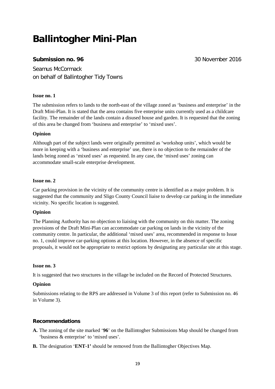# **Ballintogher Mini-Plan**

# **Submission no. 96** 30 November 2016

Seamus McCormack on behalf of Ballintogher Tidy Towns

#### **Issue no. 1**

The submission refers to lands to the north-east of the village zoned as 'business and enterprise' in the Draft Mini-Plan. It is stated that the area contains five enterprise units currently used as a childcare facility. The remainder of the lands contain a disused house and garden. It is requested that the zoning of this area be changed from 'business and enterprise' to 'mixed uses'.

#### **Opinion**

Although part of the subject lands were originally permitted as 'workshop units', which would be more in keeping with a 'business and enterprise' use, there is no objection to the remainder of the lands being zoned as 'mixed uses' as requested. In any case, the 'mixed uses' zoning can accommodate small-scale enterprise development.

#### **Issue no. 2**

Car parking provision in the vicinity of the community centre is identified as a major problem. It is suggested that the community and Sligo County Council liaise to develop car parking in the immediate vicinity. No specific location is suggested.

#### **Opinion**

The Planning Authority has no objection to liaising with the community on this matter. The zoning provisions of the Draft Mini-Plan can accommodate car parking on lands in the vicinity of the community centre. In particular, the additional 'mixed uses' area, recommended in response to Issue no. 1, could improve car-parking options at this location. However, in the absence of specific proposals, it would not be appropriate to restrict options by designating any particular site at this stage.

#### **Issue no. 3**

It is suggested that two structures in the village be included on the Record of Protected Structures.

#### **Opinion**

Submissions relating to the RPS are addressed in Volume 3 of this report (refer to Submission no. 46 in Volume 3).

#### **Recommendations**

- **A.** The zoning of the site marked '**96**' on the Ballintogher Submissions Map should be changed from 'business & enterprise' to 'mixed uses'.
- **B.** The designation '**ENT-1'** should be removed from the Ballintogher Objectives Map.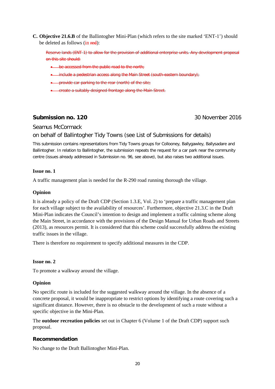**C. Objective 21.6.B** of the Ballintogher Mini-Plan (which refers to the site marked 'ENT-1') should be deleted as follows (in red):

Reserve lands (ENT-1) to allow for the provision of additional enterprise units. Any development proposal on this site should:

- be accessed from the public road to the north;
- include a pedestrian access along the Main Street (south-eastern boundary);
- provide car-parking to the rear (north) of the site;
- create a suitably-designed frontage along the Main Street.

### **Submission no. 120 30 November 2016**

#### Seamus McCormack

#### on behalf of Ballintogher Tidy Towns (see List of Submissions for details)

This submission contains representations from Tidy Towns groups for Collooney, Ballygawley, Ballysadare and Ballintogher. In relation to Ballintogher, the submission repeats the request for a car park near the community centre (issues already addressed in Submission no. 96, see above), but also raises two additional issues.

#### **Issue no. 1**

A traffic management plan is needed for the R-290 road running thorough the village.

#### **Opinion**

It is already a policy of the Draft CDP (Section 1.3.E, Vol. 2) to 'prepare a traffic management plan for each village subject to the availability of resources'. Furthermore, objective 21.3.C in the Draft Mini-Plan indicates the Council's intention to design and implement a traffic calming scheme along the Main Street, in accordance with the provisions of the Design Manual for Urban Roads and Streets (2013), as resources permit. It is considered that this scheme could successfully address the existing traffic issues in the village.

There is therefore no requirement to specify additional measures in the CDP.

#### **Issue no. 2**

To promote a walkway around the village.

#### **Opinion**

No specific route is included for the suggested walkway around the village. In the absence of a concrete proposal, it would be inappropriate to restrict options by identifying a route covering such a significant distance. However, there is no obstacle to the development of such a route without a specific objective in the Mini-Plan.

The **outdoor recreation policies** set out in Chapter 6 (Volume 1 of the Draft CDP) support such proposal.

#### **Recommendation**

No change to the Draft Ballintogher Mini-Plan.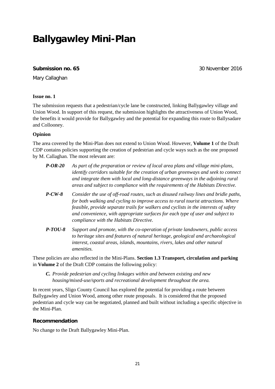# **Ballygawley Mini-Plan**

#### **Submission no. 65** 30 November 2016

Mary Callaghan

#### **Issue no. 1**

The submission requests that a pedestrian/cycle lane be constructed, linking Ballygawley village and Union Wood. In support of this request, the submission highlights the attractiveness of Union Wood, the benefits it would provide for Ballygawley and the potential for expanding this route to Ballysadare and Collooney.

#### **Opinion**

The area covered by the Mini-Plan does not extend to Union Wood. However, **Volume 1** of the Draft CDP contains policies supporting the creation of pedestrian and cycle ways such as the one proposed by M. Callaghan. The most relevant are:

- *P-OR-20 As part of the preparation or review of local area plans and village mini-plans, identify corridors suitable for the creation of urban greenways and seek to connect and integrate them with local and long-distance greenways in the adjoining rural areas and subject to compliance with the requirements of the Habitats Directive.*
- *P-CW-8 Consider the use of off-road routes, such as disused railway lines and bridle paths, for both walking and cycling to improve access to rural tourist attractions. Where feasible, provide separate trails for walkers and cyclists in the interests of safety and convenience, with appropriate surfaces for each type of user and subject to compliance with the Habitats Directive.*
- *P-TOU-8 Support and promote, with the co-operation of private landowners, public access to heritage sites and features of natural heritage, geological and archaeological interest, coastal areas, islands, mountains, rivers, lakes and other natural amenities.*

These policies are also reflected in the Mini-Plans. **Section 1.3 Transport, circulation and parking** in **Volume 2** of the Draft CDP contains the following policy:

*C. Provide pedestrian and cycling linkages within and between existing and new housing/mixed-use/sports and recreational development throughout the area.* 

In recent years, Sligo County Council has explored the potential for providing a route between Ballygawley and Union Wood, among other route proposals. It is considered that the proposed pedestrian and cycle way can be negotiated, planned and built without including a specific objective in the Mini-Plan.

#### **Recommendation**

No change to the Draft Ballygawley Mini-Plan.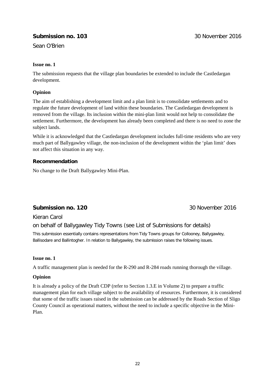# **Submission no. 103** 30 November 2016

Sean O'Brien

#### **Issue no. 1**

The submission requests that the village plan boundaries be extended to include the Castledargan development.

#### **Opinion**

The aim of establishing a development limit and a plan limit is to consolidate settlements and to regulate the future development of land within these boundaries. The Castledargan development is removed from the village. Its inclusion within the mini-plan limit would not help to consolidate the settlement. Furthermore, the development has already been completed and there is no need to zone the subject lands.

While it is acknowledged that the Castledargan development includes full-time residents who are very much part of Ballygawley village, the non-inclusion of the development within the 'plan limit' does not affect this situation in any way.

#### **Recommendation**

No change to the Draft Ballygawley Mini-Plan.

# **Submission no. 120 30 November 2016**

# Kieran Carol

# on behalf of Ballygawley Tidy Towns (see List of Submissions for details)

This submission essentially contains representations from Tidy Towns groups for Collooney, Ballygawley, Ballisodare and Ballintogher. In relation to Ballygawley, the submission raises the following issues.

#### **Issue no. 1**

A traffic management plan is needed for the R-290 and R-284 roads running thorough the village.

#### **Opinion**

It is already a policy of the Draft CDP (refer to Section 1.3.E in Volume 2) to prepare a traffic management plan for each village subject to the availability of resources. Furthermore, it is considered that some of the traffic issues raised in the submission can be addressed by the Roads Section of Sligo County Council as operational matters, without the need to include a specific objective in the Mini-Plan.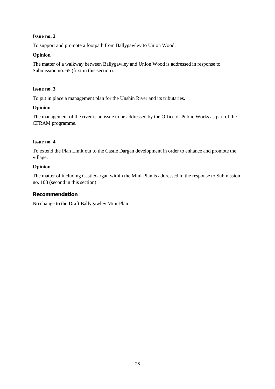#### **Issue no. 2**

To support and promote a footpath from Ballygawley to Union Wood.

#### **Opinion**

The matter of a walkway between Ballygawley and Union Wood is addressed in response to Submission no. 65 (first in this section).

#### **Issue no. 3**

To put in place a management plan for the Unshin River and its tributaries.

#### **Opinion**

The management of the river is an issue to be addressed by the Office of Public Works as part of the CFRAM programme.

#### **Issue no. 4**

To extend the Plan Limit out to the Castle Dargan development in order to enhance and promote the village.

#### **Opinion**

The matter of including Castledargan within the Mini-Plan is addressed in the response to Submission no. 103 (second in this section).

#### **Recommendation**

No change to the Draft Ballygawley Mini-Plan.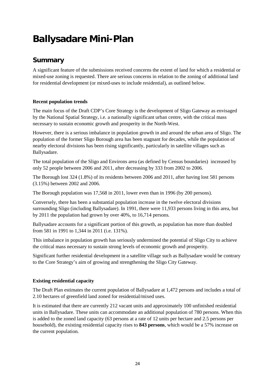# **Ballysadare Mini-Plan**

# **Summary**

A significant feature of the submissions received concerns the extent of land for which a residential or mixed-use zoning is requested. There are serious concerns in relation to the zoning of additional land for residential development (or mixed-uses to include residential), as outlined below.

# **Recent population trends**

The main focus of the Draft CDP's Core Strategy is the development of Sligo Gateway as envisaged by the National Spatial Strategy, i.e. a nationally significant urban centre, with the critical mass necessary to sustain economic growth and prosperity in the North-West.

However, there is a serious imbalance in population growth in and around the urban area of Sligo. The population of the former Sligo Borough area has been stagnant for decades, while the population of nearby electoral divisions has been rising significantly, particularly in satellite villages such as Ballysadare.

The total population of the Sligo and Environs area (as defined by Census boundaries) increased by only 52 people between 2006 and 2011, after decreasing by 333 from 2002 to 2006.

The Borough lost 324 (1.8%) of its residents between 2006 and 2011, after having lost 581 persons (3.15%) between 2002 and 2006.

The Borough population was 17,568 in 2011, lower even than in 1996 (by 200 persons).

Conversely, there has been a substantial population increase in the twelve electoral divisions surrounding Sligo (including Ballysadare). In 1991, there were 11,933 persons living in this area, but by 2011 the population had grown by over 40%, to 16,714 persons.

Ballysadare accounts for a significant portion of this growth, as population has more than doubled from 581 in 1991 to 1,344 in 2011 (i.e. 131%).

This imbalance in population growth has seriously undermined the potential of Sligo City to achieve the critical mass necessary to sustain strong levels of economic growth and prosperity.

Significant further residential development in a satellite village such as Ballysadare would be contrary to the Core Strategy's aim of growing and strengthening the Sligo City Gateway.

#### **Existing residential capacity**

The Draft Plan estimates the current population of Ballysadare at 1,472 persons and includes a total of 2.10 hectares of greenfield land zoned for residential/mixed uses.

It is estimated that there are currently 212 vacant units and approximately 100 unfinished residential units in Ballysadare. These units can accommodate an additional population of 780 persons. When this is added to the zoned land capacity (63 persons at a rate of 12 units per hectare and 2.5 persons per household), the existing residential capacity rises to **843 persons**, which would be a 57% increase on the current population.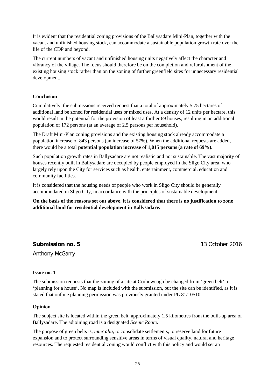It is evident that the residential zoning provisions of the Ballysadare Mini-Plan, together with the vacant and unfinished housing stock, can accommodate a sustainable population growth rate over the life of the CDP and beyond.

The current numbers of vacant and unfinished housing units negatively affect the character and vibrancy of the village. The focus should therefore be on the completion and refurbishment of the existing housing stock rather than on the zoning of further greenfield sites for unnecessary residential development.

#### **Conclusion**

Cumulatively, the submissions received request that a total of approximately 5.75 hectares of additional land be zoned for residential uses or mixed uses. At a density of 12 units per hectare, this would result in the potential for the provision of least a further 69 houses, resulting in an additional population of 172 persons (at an average of 2.5 persons per household).

The Draft Mini-Plan zoning provisions and the existing housing stock already accommodate a population increase of 843 persons (an increase of 57%). When the additional requests are added, there would be a total **potential population increase of 1,015 persons (a rate of 69%).** 

Such population growth rates in Ballysadare are not realistic and not sustainable. The vast majority of houses recently built in Ballysadare are occupied by people employed in the Sligo City area, who largely rely upon the City for services such as health, entertainment, commercial, education and community facilities.

It is considered that the housing needs of people who work in Sligo City should be generally accommodated in Sligo City, in accordance with the principles of sustainable development.

**On the basis of the reasons set out above, it is considered that there is no justification to zone additional land for residential development in Ballysadare.**

**Submission no. 5** 13 October 2016

Anthony McGarry

#### **Issue no. 1**

The submission requests that the zoning of a site at Corhownagh be changed from 'green belt' to 'planning for a house'. No map is included with the submission, but the site can be identified, as it is stated that outline planning permission was previously granted under PL 81/10510.

#### **Opinion**

The subject site is located within the green belt, approximately 1.5 kilometres from the built-up area of Ballysadare. The adjoining road is a designated *Scenic Route*.

The purpose of green belts is, *inter alia,* to consolidate settlements, to reserve land for future expansion and to protect surrounding sensitive areas in terms of visual quality, natural and heritage resources. The requested residential zoning would conflict with this policy and would set an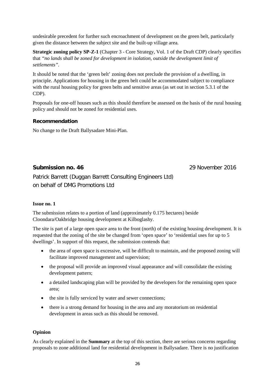undesirable precedent for further such encroachment of development on the green belt, particularly given the distance between the subject site and the built-up village area.

**Strategic zoning policy SP-Z-1** (Chapter 3 - Core Strategy, Vol. 1 of the Draft CDP) clearly specifies that *"no lands shall be zoned for development in isolation, outside the development limit of settlements".*

It should be noted that the 'green belt' zoning does not preclude the provision of a dwelling, in principle. Applications for housing in the green belt could be accommodated subject to compliance with the rural housing policy for green belts and sensitive areas (as set out in section 5.3.1 of the CDP).

Proposals for one-off houses such as this should therefore be assessed on the basis of the rural housing policy and should not be zoned for residential uses.

#### **Recommendation**

No change to the Draft Ballysadare Mini-Plan.

### **Submission no. 46** 29 November 2016

Patrick Barrett (Duggan Barrett Consulting Engineers Ltd) on behalf of DMG Promotions Ltd

#### **Issue no. 1**

The submission relates to a portion of land (approximately 0.175 hectares) beside Cloondara/Oakbridge housing development at Kilboglashy.

The site is part of a large open space area to the front (north) of the existing housing development. It is requested that the zoning of the site be changed from 'open space' to 'residential uses for up to 5 dwellings'. In support of this request, the submission contends that:

- the area of open space is excessive, will be difficult to maintain, and the proposed zoning will facilitate improved management and supervision;
- the proposal will provide an improved visual appearance and will consolidate the existing development pattern;
- a detailed landscaping plan will be provided by the developers for the remaining open space area;
- the site is fully serviced by water and sewer connections;
- there is a strong demand for housing in the area and any moratorium on residential development in areas such as this should be removed.

#### **Opinion**

As clearly explained in the **Summary** at the top of this section, there are serious concerns regarding proposals to zone additional land for residential development in Ballysadare. There is no justification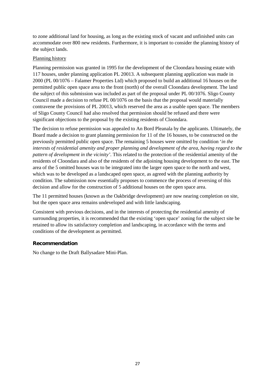to zone additional land for housing, as long as the existing stock of vacant and unfinished units can accommodate over 800 new residents. Furthermore, it is important to consider the planning history of the subject lands.

#### Planning history

Planning permission was granted in 1995 for the development of the Cloondara housing estate with 117 houses, under planning application PL 20013. A subsequent planning application was made in 2000 (PL 00/1076 – Falamer Properties Ltd) which proposed to build an additional 16 houses on the permitted public open space area to the front (north) of the overall Cloondara development. The land the subject of this submission was included as part of the proposal under PL 00/1076. Sligo County Council made a decision to refuse PL 00/1076 on the basis that the proposal would materially contravene the provisions of PL 20013, which reserved the area as a usable open space. The members of Sligo County Council had also resolved that permission should be refused and there were significant objections to the proposal by the existing residents of Cloondara.

The decision to refuse permission was appealed to An Bord Pleanala by the applicants. Ultimately, the Board made a decision to grant planning permission for 11 of the 16 houses, to be constructed on the previously permitted public open space. The remaining 5 houses were omitted by condition '*in the interests of residential amenity and proper planning and development of the area, having regard to the pattern of development in the vicinity'*. This related to the protection of the residential amenity of the residents of Cloondara and also of the residents of the adjoining housing development to the east. The area of the 5 omitted houses was to be integrated into the larger open space to the north and west, which was to be developed as a landscaped open space, as agreed with the planning authority by condition. The submission now essentially proposes to commence the process of reversing of this decision and allow for the construction of 5 additional houses on the open space area.

The 11 permitted houses (known as the Oakbridge development) are now nearing completion on site, but the open space area remains undeveloped and with little landscaping.

Consistent with previous decisions, and in the interests of protecting the residential amenity of surrounding properties, it is recommended that the existing 'open space' zoning for the subject site be retained to allow its satisfactory completion and landscaping, in accordance with the terms and conditions of the development as permitted.

#### **Recommendation**

No change to the Draft Ballysadare Mini-Plan.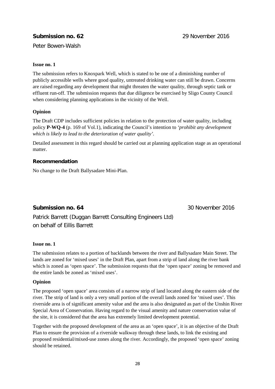# **Submission no. 62** 29 November 2016

Peter Bowen-Walsh

#### **Issue no. 1**

The submission refers to Knoxpark Well, which is stated to be one of a diminishing number of publicly accessible wells where good quality, untreated drinking water can still be drawn. Concerns are raised regarding any development that might threaten the water quality, through septic tank or effluent run-off. The submission requests that due diligence be exercised by Sligo County Council when considering planning applications in the vicinity of the Well.

#### **Opinion**

The Draft CDP includes sufficient policies in relation to the protection of water quality, including policy **P-WQ-4** (p. 169 of Vol.1), indicating the Council's intention to *'prohibit any development which is likely to lead to the deterioration of water quality'.*

Detailed assessment in this regard should be carried out at planning application stage as an operational matter.

#### **Recommendation**

No change to the Draft Ballysadare Mini-Plan.

# **Submission no. 64** 30 November 2016

Patrick Barrett (Duggan Barrett Consulting Engineers Ltd) on behalf of Eillis Barrett

#### **Issue no. 1**

The submission relates to a portion of backlands between the river and Ballysadare Main Street. The lands are zoned for 'mixed uses' in the Draft Plan, apart from a strip of land along the river bank which is zoned as 'open space'. The submission requests that the 'open space' zoning be removed and the entire lands be zoned as 'mixed uses'.

#### **Opinion**

The proposed 'open space' area consists of a narrow strip of land located along the eastern side of the river. The strip of land is only a very small portion of the overall lands zoned for 'mixed uses'. This riverside area is of significant amenity value and the area is also designated as part of the Unshin River Special Area of Conservation. Having regard to the visual amenity and nature conservation value of the site, it is considered that the area has extremely limited development potential.

Together with the proposed development of the area as an 'open space', it is an objective of the Draft Plan to ensure the provision of a riverside walkway through these lands, to link the existing and proposed residential/mixed-use zones along the river. Accordingly, the proposed 'open space' zoning should be retained.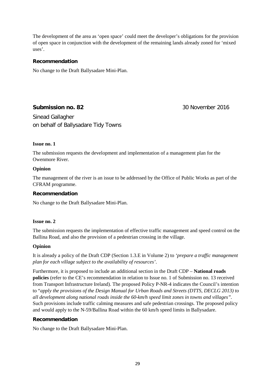The development of the area as 'open space' could meet the developer's obligations for the provision of open space in conjunction with the development of the remaining lands already zoned for 'mixed uses'.

#### **Recommendation**

No change to the Draft Ballysadare Mini-Plan.

### **Submission no. 82** 30 November 2016

Sinead Gallagher on behalf of Ballysadare Tidy Towns

#### **Issue no. 1**

The submission requests the development and implementation of a management plan for the Owenmore River.

#### **Opinion**

The management of the river is an issue to be addressed by the Office of Public Works as part of the CFRAM programme.

#### **Recommendation**

No change to the Draft Ballysadare Mini-Plan.

#### **Issue no. 2**

The submission requests the implementation of effective traffic management and speed control on the Ballina Road, and also the provision of a pedestrian crossing in the village.

#### **Opinion**

It is already a policy of the Draft CDP (Section 1.3.E in Volume 2) to *'prepare a traffic management plan for each village subject to the availability of resources'*.

Furthermore, it is proposed to include an additional section in the Draft CDP – **National roads policies** (refer to the CE's recommendation in relation to Issue no. 1 of Submission no. 13 received from Transport Infrastructure Ireland). The proposed Policy P-NR-4 indicates the Council's intention to "*apply the provisions of the Design Manual for Urban Roads and Streets (DTTS, DECLG 2013) to all development along national roads inside the 60-km/h speed limit zones in towns and villages".*  Such provisions include traffic calming measures and safe pedestrian crossings. The proposed policy and would apply to the N-59/Ballina Road within the 60 km/h speed limits in Ballysadare.

#### **Recommendation**

No change to the Draft Ballysadare Mini-Plan.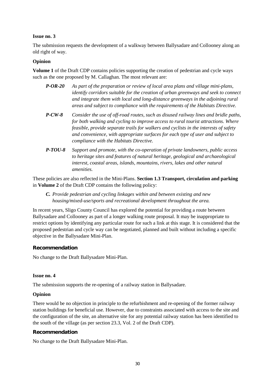#### **Issue no. 3**

The submission requests the development of a walkway between Ballysadare and Collooney along an old right of way.

#### **Opinion**

**Volume 1** of the Draft CDP contains policies supporting the creation of pedestrian and cycle ways such as the one proposed by M. Callaghan. The most relevant are:

- *P-OR-20 As part of the preparation or review of local area plans and village mini-plans, identify corridors suitable for the creation of urban greenways and seek to connect and integrate them with local and long-distance greenways in the adjoining rural areas and subject to compliance with the requirements of the Habitats Directive.*
- *P-CW-8 Consider the use of off-road routes, such as disused railway lines and bridle paths, for both walking and cycling to improve access to rural tourist attractions. Where feasible, provide separate trails for walkers and cyclists in the interests of safety and convenience, with appropriate surfaces for each type of user and subject to compliance with the Habitats Directive.*
- *P-TOU-8 Support and promote, with the co-operation of private landowners, public access to heritage sites and features of natural heritage, geological and archaeological interest, coastal areas, islands, mountains, rivers, lakes and other natural amenities.*

These policies are also reflected in the Mini-Plans. **Section 1.3 Transport, circulation and parking** in **Volume 2** of the Draft CDP contains the following policy:

*C. Provide pedestrian and cycling linkages within and between existing and new housing/mixed-use/sports and recreational development throughout the area.*

In recent years, Sligo County Council has explored the potential for providing a route between Ballysadare and Collooney as part of a longer walking route proposal. It may be inappropriate to restrict options by identifying any particular route for such a link at this stage. It is considered that the proposed pedestrian and cycle way can be negotiated, planned and built without including a specific objective in the Ballysadare Mini-Plan.

#### **Recommendation**

No change to the Draft Ballysadare Mini-Plan.

#### **Issue no. 4**

The submission supports the re-opening of a railway station in Ballysadare.

#### **Opinion**

There would be no objection in principle to the refurbishment and re-opening of the former railway station buildings for beneficial use. However, due to constraints associated with access to the site and the configuration of the site, an alternative site for any potential railway station has been identified to the south of the village (as per section 23.3, Vol. 2 of the Draft CDP).

#### **Recommendation**

No change to the Draft Ballysadare Mini-Plan.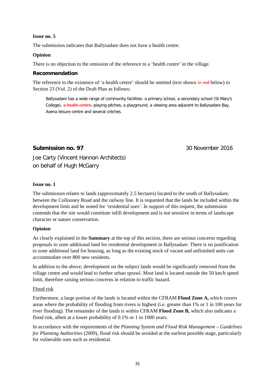#### **Issue no. 5**

The submission indicates that Ballysadare does not have a health centre.

#### **Opinion**

There is no objection to the omission of the reference to a 'health centre' in the village.

#### **Recommendation**

The reference to the existence of 'a health centre' should be omitted (text shown in red below) in Section 23 (Vol. 2) of the Draft Plan as follows:

Ballysadare has a wide range of community facilities: a primary school, a secondary school (St Mary's College), a health centre, playing pitches, a playground, a viewing area adjacent to Ballysadare Bay, Avena leisure centre and several crèches.

# **Submission no. 97** 30 November 2016

Joe Carty (Vincent Hannon Architects) on behalf of Hugh McGarry

#### **Issue no. 1**

The submission relates to lands (approximately 2.5 hectares) located to the south of Ballysadare, between the Collooney Road and the railway line. It is requested that the lands be included within the development limit and be zoned for 'residential uses'. In support of this request, the submission contends that the site would constitute infill development and is not sensitive in terms of landscape character or nature conservation.

#### **Opinion**

As clearly explained in the **Summary** at the top of this section, there are serious concerns regarding proposals to zone additional land for residential development in Ballysadare. There is no justification to zone additional land for housing, as long as the existing stock of vacant and unfinished units can accommodate over 800 new residents.

In addition to the above, development on the subject lands would be significantly removed from the village centre and would lead to further urban sprawl. Most land is located outside the 50 km/h speed limit, therefore raising serious concerns in relation to traffic hazard.

#### Flood risk

Furthermore, a large portion of the lands is located within the CFRAM **Flood Zone A,** which covers areas where the probability of flooding from rivers is highest (i.e. greater than 1% or 1 in 100 years for river flooding). The remainder of the lands is within CFRAM **Flood Zone B,** which also indicates a flood risk, albeit at a lower probability of 0.1% or 1 in 1000 years.

In accordance with the requirements of the *Planning System and Flood Risk Management – Guidelines for Planning Authorities* (2009), flood risk should be avoided at the earliest possible stage, particularly for vulnerable uses such as residential.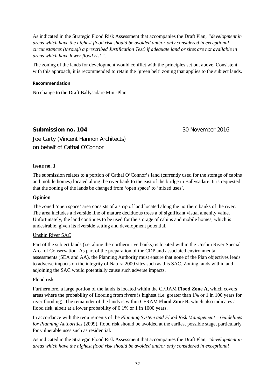As indicated in the Strategic Flood Risk Assessment that accompanies the Draft Plan, *"development in areas which have the highest flood risk should be avoided and/or only considered in exceptional circumstances (through a prescribed Justification Test) if adequate land or sites are not available in areas which have lower flood risk"*.

The zoning of the lands for development would conflict with the principles set out above. Consistent with this approach, it is recommended to retain the 'green belt' zoning that applies to the subject lands.

#### **Recommendation**

No change to the Draft Ballysadare Mini-Plan.

### **Submission no. 104** 30 November 2016

Joe Carty (Vincent Hannon Architects) on behalf of Cathal O'Connor

#### **Issue no. 1**

The submission relates to a portion of Cathal O'Connor's land (currently used for the storage of cabins and mobile homes) located along the river bank to the east of the bridge in Ballysadare. It is requested that the zoning of the lands be changed from 'open space' to 'mixed uses'.

#### **Opinion**

The zoned 'open space' area consists of a strip of land located along the northern banks of the river. The area includes a riverside line of mature deciduous trees a of significant visual amenity value. Unfortunately, the land continues to be used for the storage of cabins and mobile homes, which is undesirable, given its riverside setting and development potential.

#### Unshin River SAC

Part of the subject lands (i.e. along the northern riverbanks) is located within the Unshin River Special Area of Conservation. As part of the preparation of the CDP and associated environmental assessments (SEA and AA), the Planning Authority must ensure that none of the Plan objectives leads to adverse impacts on the integrity of Natura 2000 sites such as this SAC. Zoning lands within and adjoining the SAC would potentially cause such adverse impacts.

#### Flood risk

Furthermore, a large portion of the lands is located within the CFRAM **Flood Zone A,** which covers areas where the probability of flooding from rivers is highest (i.e. greater than 1% or 1 in 100 years for river flooding). The remainder of the lands is within CFRAM **Flood Zone B,** which also indicates a flood risk, albeit at a lower probability of 0.1% or 1 in 1000 years.

In accordance with the requirements of the *Planning System and Flood Risk Management – Guidelines for Planning Authorities* (2009), flood risk should be avoided at the earliest possible stage, particularly for vulnerable uses such as residential.

As indicated in the Strategic Flood Risk Assessment that accompanies the Draft Plan, *"development in areas which have the highest flood risk should be avoided and/or only considered in exceptional*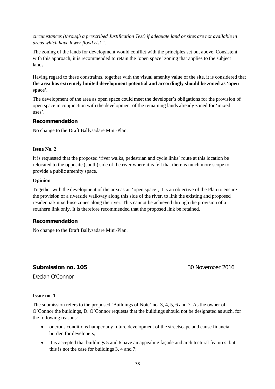*circumstances (through a prescribed Justification Test) if adequate land or sites are not available in areas which have lower flood risk"*.

The zoning of the lands for development would conflict with the principles set out above. Consistent with this approach, it is recommended to retain the 'open space' zoning that applies to the subject lands.

Having regard to these constraints, together with the visual amenity value of the site, it is considered that **the area has extremely limited development potential and accordingly should be zoned as 'open space'.** 

The development of the area as open space could meet the developer's obligations for the provision of open space in conjunction with the development of the remaining lands already zoned for 'mixed uses'.

## **Recommendation**

No change to the Draft Ballysadare Mini-Plan.

## **Issue No. 2**

It is requested that the proposed 'river walks, pedestrian and cycle links' route at this location be relocated to the opposite (south) side of the river where it is felt that there is much more scope to provide a public amenity space.

## **Opinion**

Together with the development of the area as an 'open space', it is an objective of the Plan to ensure the provision of a riverside walkway along this side of the river, to link the existing and proposed residential/mixed-use zones along the river. This cannot be achieved through the provision of a southern link only. It is therefore recommended that the proposed link be retained.

## **Recommendation**

No change to the Draft Ballysadare Mini-Plan.

## **Submission no. 105** 30 November 2016

Declan O'Connor

## **Issue no. 1**

The submission refers to the proposed 'Buildings of Note' no. 3, 4, 5, 6 and 7. As the owner of O'Connor the buildings, D. O'Connor requests that the buildings should not be designated as such, for the following reasons:

- onerous conditions hamper any future development of the streetscape and cause financial burden for developers;
- it is accepted that buildings 5 and 6 have an appealing façade and architectural features, but this is not the case for buildings 3, 4 and 7;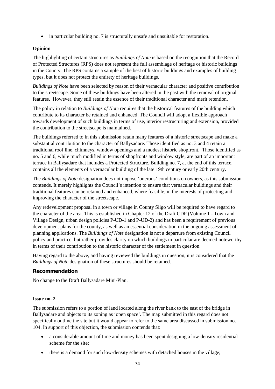• in particular building no. 7 is structurally unsafe and unsuitable for restoration.

## **Opinion**

The highlighting of certain structures as *Buildings of Note* is based on the recognition that the Record of Protected Structures (RPS) does not represent the full assemblage of heritage or historic buildings in the County. The RPS contains a sample of the best of historic buildings and examples of building types, but it does not protect the entirety of heritage buildings.

*Buildings of Note* have been selected by reason of their vernacular character and positive contribution to the streetscape. Some of these buildings have been altered in the past with the removal of original features. However, they still retain the essence of their traditional character and merit retention.

The policy in relation to *Buildings of Note* requires that the historical features of the building which contribute to its character be retained and enhanced. The Council will adopt a flexible approach towards development of such buildings in terms of use, interior restructuring and extension, provided the contribution to the streetscape is maintained.

The buildings referred to in this submission retain many features of a historic streetscape and make a substantial contribution to the character of Ballysadare. Those identified as no. 3 and 4 retain a traditional roof line, chimneys, window openings and a modest historic shopfront. Those identified as no. 5 and 6, while much modified in terms of shopfronts and window style, are part of an important terrace in Ballysadare that includes a Protected Structure. Building no. 7, at the end of this terrace, contains all the elements of a vernacular building of the late 19th century or early 20th century.

The *Buildings of Note* designation does not impose 'onerous' conditions on owners, as this submission contends. It merely highlights the Council's intention to ensure that vernacular buildings and their traditional features can be retained and enhanced, where feasible, in the interests of protecting and improving the character of the streetscape.

Any redevelopment proposal in a town or village in County Sligo will be required to have regard to the character of the area. This is established in Chapter 12 of the Draft CDP (Volume 1 - Town and Village Design, urban design policies P-UD-1 and P-UD-2) and has been a requirement of previous development plans for the county, as well as an essential consideration in the ongoing assessment of planning applications. The *Buildings of Note* designation is not a departure from existing Council policy and practice, but rather provides clarity on which buildings in particular are deemed noteworthy in terms of their contribution to the historic character of the settlement in question.

Having regard to the above, and having reviewed the buildings in question, it is considered that the *Buildings of Note* designation of these structures should be retained.

## **Recommendation**

No change to the Draft Ballysadare Mini-Plan.

## **Issue no. 2**

The submission refers to a portion of land located along the river bank to the east of the bridge in Ballysadare and objects to its zoning as 'open space'. The map submitted in this regard does not specifically outline the site but it would appear to refer to the same area discussed in submission no. 104. In support of this objection, the submission contends that:

- a considerable amount of time and money has been spent designing a low-density residential scheme for the site;
- there is a demand for such low-density schemes with detached houses in the village;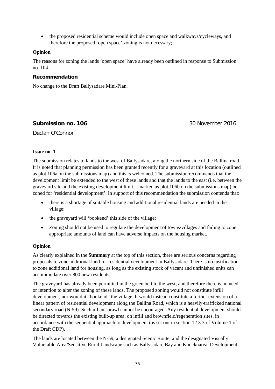• the proposed residential scheme would include open space and walkways/cycleways, and therefore the proposed 'open space' zoning is not necessary;

## **Opinion**

The reasons for zoning the lands 'open space' have already been outlined in response to Submission no. 104.

## **Recommendation**

No change to the Draft Ballysadare Mini-Plan.

**Submission no. 106** 30 November 2016

Declan O'Connor

## **Issue no. 1**

The submission relates to lands to the west of Ballysadare, along the northern side of the Ballina road. It is noted that planning permission has been granted recently for a graveyard at this location (outlined as plot 106a on the submissions map) and this is welcomed. The submission recommends that the development limit be extended to the west of these lands and that the lands to the east (i.e. between the graveyard site and the existing development limit – marked as plot 106b on the submissions map) be zoned for 'residential development'. In support of this recommendation the submission contends that:

- there is a shortage of suitable housing and additional residential lands are needed in the village;
- the graveyard will 'bookend' this side of the village;
- Zoning should not be used to regulate the development of towns/villages and failing to zone appropriate amounts of land can have adverse impacts on the housing market.

## **Opinion**

As clearly explained in the **Summary** at the top of this section, there are serious concerns regarding proposals to zone additional land for residential development in Ballysadare. There is no justification to zone additional land for housing, as long as the existing stock of vacant and unfinished units can accommodate over 800 new residents.

The graveyard has already been permitted in the green belt to the west, and therefore there is no need or intention to alter the zoning of these lands. The proposed zoning would not constitute infill development, nor would it "bookend" the village. It would instead constitute a further extension of a linear pattern of residential development along the Ballina Road, which is a heavily-trafficked national secondary road (N-59). Such urban sprawl cannot be encouraged. Any residential development should be directed towards the existing built-up area, on infill and brownfield/regeneration sites, in accordance with the sequential approach to development (as set out in section 12.3.3 of Volume 1 of the Draft CDP).

The lands are located between the N-59, a designated Scenic Route, and the designated Visually Vulnerable Area/Sensitive Rural Landscape such as Ballysadare Bay and Knocknarea. Development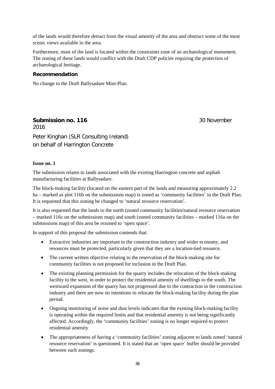of the lands would therefore detract from the visual amenity of the area and obstruct some of the most scenic views available in the area.

Furthermore, most of the land is located within the constraints zone of an archaeological monument. The zoning of these lands would conflict with the Draft CDP policies requiring the protection of archaeological heritage.

## **Recommendation**

No change to the Draft Ballysadare Mini-Plan.

**Submission no. 116** 30 November 2016 Peter Kinghan (SLR Consulting Ireland) on behalf of Harrington Concrete

## **Issue no. 1**

The submission relates to lands associated with the existing Harrington concrete and asphalt manufacturing facilities at Ballysadare.

The block-making facility (located on the eastern part of the lands and measuring approximately 2.2 ha – marked as plot 116b on the submissions map) is zoned as 'community facilities' in the Draft Plan. It is requested that this zoning be changed to 'natural resource reservation'.

It is also requested that the lands to the north (zoned community facilities/natural resource reservation – marked 116c on the submissions map) and south (zoned community facilities – marked 116a on the submissions map) of this area be rezoned to 'open space'.

In support of this proposal the submission contends that:

- Extractive industries are important to the construction industry and wider economy, and resources must be protected, particularly given that they are a location-tied resource.
- The current written objective relating to the reservation of the block-making site for community facilities is not proposed for inclusion in the Draft Plan.
- The existing planning permission for the quarry includes the relocation of the block-making facility to the west, in order to protect the residential amenity of dwellings to the south. The westward expansion of the quarry has not progressed due to the contraction in the construction industry and there are now no intentions to relocate the block-making facility during the plan period.
- Ongoing monitoring of noise and dust levels indicates that the existing block-making facility is operating within the required limits and that residential amenity is not being significantly affected. Accordingly, the 'community facilities' zoning is no longer required to protect residential amenity
- The appropriateness of having a 'community facilities' zoning adjacent to lands zoned 'natural resource reservation' is questioned. It is stated that an 'open space' buffer should be provided between such zonings.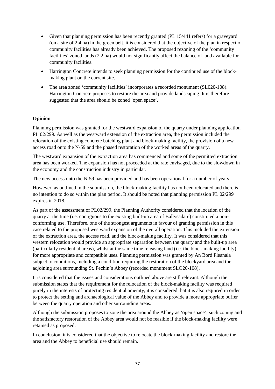- Given that planning permission has been recently granted (PL 15/441 refers) for a graveyard (on a site of 2.4 ha) in the green belt, it is considered that the objective of the plan in respect of community facilities has already been achieved. The proposed rezoning of the 'community facilities' zoned lands (2.2 ha) would not significantly affect the balance of land available for community facilities.
- Harrington Concrete intends to seek planning permission for the continued use of the blockmaking plant on the current site.
- The area zoned 'community facilities' incorporates a recorded monument (SL020-108). Harrington Concrete proposes to restore the area and provide landscaping. It is therefore suggested that the area should be zoned 'open space'.

## **Opinion**

Planning permission was granted for the westward expansion of the quarry under planning application PL 02/299. As well as the westward extension of the extraction area, the permission included the relocation of the existing concrete batching plant and block-making facility, the provision of a new access road onto the N-59 and the phased restoration of the worked areas of the quarry.

The westward expansion of the extraction area has commenced and some of the permitted extraction area has been worked. The expansion has not proceeded at the rate envisaged, due to the slowdown in the economy and the construction industry in particular.

The new access onto the N-59 has been provided and has been operational for a number of years.

However, as outlined in the submission, the block-making facility has not been relocated and there is no intention to do so within the plan period. It should be noted that planning permission PL 02/299 expires in 2018.

As part of the assessment of PL02/299, the Planning Authority considered that the location of the quarry at the time (i.e. contiguous to the existing built-up area of Ballysadare) constituted a nonconforming use. Therefore, one of the strongest arguments in favour of granting permission in this case related to the proposed westward expansion of the overall operation. This included the extension of the extraction area, the access road, and the block-making facility. It was considered that this western relocation would provide an appropriate separation between the quarry and the built-up area (particularly residential areas), whilst at the same time releasing land (i.e. the block-making facility) for more appropriate and compatible uses. Planning permission was granted by An Bord Pleanala subject to conditions, including a condition requiring the restoration of the blockyard area and the adjoining area surrounding St. Fechin's Abbey (recorded monument SLO20-108).

It is considered that the issues and considerations outlined above are still relevant. Although the submission states that the requirement for the relocation of the block-making facility was required purely in the interests of protecting residential amenity, it is considered that it is also required in order to protect the setting and archaeological value of the Abbey and to provide a more appropriate buffer between the quarry operation and other surrounding areas.

Although the submission proposes to zone the area around the Abbey as 'open space', such zoning and the satisfactory restoration of the Abbey area would not be feasible if the block-making facility were retained as proposed.

In conclusion, it is considered that the objective to relocate the block-making facility and restore the area and the Abbey to beneficial use should remain.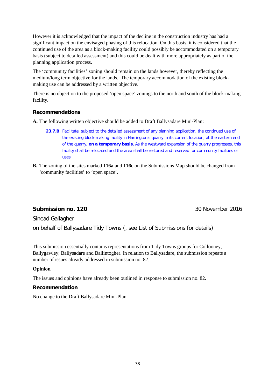However it is acknowledged that the impact of the decline in the construction industry has had a significant impact on the envisaged phasing of this relocation. On this basis, it is considered that the continued use of the area as a block-making facility could possibly be accommodated on a temporary basis (subject to detailed assessment) and this could be dealt with more appropriately as part of the planning application process.

The 'community facilities' zoning should remain on the lands however, thereby reflecting the medium/long term objective for the lands. The temporary accommodation of the existing blockmaking use can be addressed by a written objective.

There is no objection to the proposed 'open space' zonings to the north and south of the block-making facility.

## **Recommendations**

**A.** The following written objective should be added to Draft Ballysadare Mini-Plan:

- 23.7.B Facilitate, subject to the detailed assessment of any planning application, the continued use of the existing block-making facility in Harrington's quarry in its current location, at the eastern end of the quarry, **on a temporary basis.** As the westward expansion of the quarry progresses, this facility shall be relocated and the area shall be restored and reserved for community facilities or uses.
- **B.** The zoning of the sites marked **116a** and **116c** on the Submissions Map should be changed from 'community facilities' to 'open space'.

## **Submission no. 120 30 November 2016**

Sinead Gallagher

on behalf of Ballysadare Tidy Towns (, see List of Submissions for details)

This submission essentially contains representations from Tidy Towns groups for Collooney, Ballygawley, Ballysadare and Ballintogher. In relation to Ballysadare, the submission repeats a number of issues already addressed in submission no. 82.

## **Opinion**

The issues and opinions have already been outlined in response to submission no. 82.

## **Recommendation**

No change to the Draft Ballysadare Mini-Plan.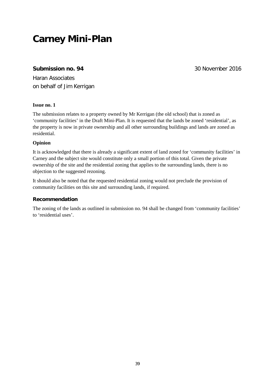## **Carney Mini-Plan**

## **Submission no. 94** 30 November 2016

Haran Associates on behalf of Jim Kerrigan

## **Issue no. 1**

The submission relates to a property owned by Mr Kerrigan (the old school) that is zoned as 'community facilities' in the Draft Mini-Plan. It is requested that the lands be zoned 'residential', as the property is now in private ownership and all other surrounding buildings and lands are zoned as residential.

## **Opinion**

It is acknowledged that there is already a significant extent of land zoned for 'community facilities' in Carney and the subject site would constitute only a small portion of this total. Given the private ownership of the site and the residential zoning that applies to the surrounding lands, there is no objection to the suggested rezoning.

It should also be noted that the requested residential zoning would not preclude the provision of community facilities on this site and surrounding lands, if required.

## **Recommendation**

The zoning of the lands as outlined in submission no. 94 shall be changed from 'community facilities' to 'residential uses'.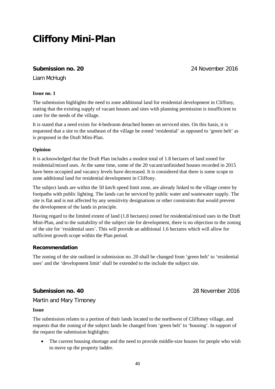## **Cliffony Mini-Plan**

## **Submission no. 20** 24 November 2016

Liam McHugh

## **Issue no. 1**

The submission highlights the need to zone additional land for residential development in Cliffony, stating that the existing supply of vacant houses and sites with planning permission is insufficient to cater for the needs of the village.

It is stated that a need exists for 4-bedroom detached homes on serviced sites. On this basis, it is requested that a site to the southeast of the village be zoned 'residential' as opposed to 'green belt' as is proposed in the Draft Mini-Plan.

## **Opinion**

It is acknowledged that the Draft Plan includes a modest total of 1.8 hectares of land zoned for residential/mixed uses. At the same time, some of the 20 vacant/unfinished houses recorded in 2015 have been occupied and vacancy levels have decreased. It is considered that there is some scope to zone additional land for residential development in Cliffony.

The subject lands are within the 50 km/h speed limit zone, are already linked to the village centre by footpaths with public lighting. The lands can be serviced by public water and wastewater supply. The site is flat and is not affected by any sensitivity designations or other constraints that would prevent the development of the lands in principle.

Having regard to the limited extent of land (1.8 hectares) zoned for residential/mixed uses in the Draft Mini-Plan, and to the suitability of the subject site for development, there is no objection to the zoning of the site for 'residential uses'. This will provide an additional 1.6 hectares which will allow for sufficient growth scope within the Plan period.

## **Recommendation**

The zoning of the site outlined in submission no. 20 shall be changed from 'green belt' to 'residential uses' and the 'development limit' shall be extended to the include the subject site.

## **Submission no. 40** 28 November 2016

Martin and Mary Timoney

## **Issue**

The submission relates to a portion of their lands located to the northwest of Cliffoney village, and requests that the zoning of the subject lands be changed from 'green belt' to 'housing'. In support of the request the submission highlights:

• The current housing shortage and the need to provide middle-size houses for people who wish to move up the property ladder.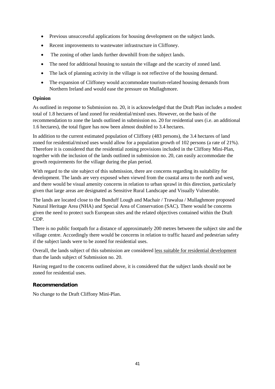- Previous unsuccessful applications for housing development on the subject lands.
- Recent improvements to wastewater infrastructure in Cliffoney.
- The zoning of other lands further downhill from the subject lands.
- The need for additional housing to sustain the village and the scarcity of zoned land.
- The lack of planning activity in the village is not reflective of the housing demand.
- The expansion of Cliffoney would accommodate tourism-related housing demands from Northern Ireland and would ease the pressure on Mullaghmore.

## **Opinion**

As outlined in response to Submission no. 20, it is acknowledged that the Draft Plan includes a modest total of 1.8 hectares of land zoned for residential/mixed uses. However, on the basis of the recommendation to zone the lands outlined in submission no. 20 for residential uses (i.e. an additional 1.6 hectares), the total figure has now been almost doubled to 3.4 hectares.

In addition to the current estimated population of Cliffony (483 persons), the 3.4 hectares of land zoned for residential/mixed uses would allow for a population growth of 102 persons (a rate of 21%). Therefore it is considered that the residential zoning provisions included in the Cliffony Mini-Plan, together with the inclusion of the lands outlined in submission no. 20, can easily accommodate the growth requirements for the village during the plan period.

With regard to the site subject of this submission, there are concerns regarding its suitability for development. The lands are very exposed when viewed from the coastal area to the north and west, and there would be visual amenity concerns in relation to urban sprawl in this direction, particularly given that large areas are designated as Sensitive Rural Landscape and Visually Vulnerable.

The lands are located close to the Bunduff Lough and Machair / Trawalua / Mullaghmore proposed Natural Heritage Area (NHA) and Special Area of Conservation (SAC). There would be concerns given the need to protect such European sites and the related objectives contained within the Draft CDP.

There is no public footpath for a distance of approximately 200 metres between the subject site and the village centre. Accordingly there would be concerns in relation to traffic hazard and pedestrian safety if the subject lands were to be zoned for residential uses.

Overall, the lands subject of this submission are considered less suitable for residential development than the lands subject of Submission no. 20.

Having regard to the concerns outlined above, it is considered that the subject lands should not be zoned for residential uses.

## **Recommendation**

No change to the Draft Cliffony Mini-Plan.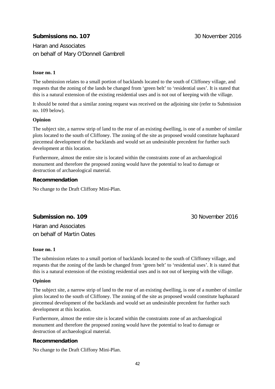## **Submissions no. 107** 30 November 2016

Haran and Associates on behalf of Mary O'Donnell Gambrell

## **Issue no. 1**

The submission relates to a small portion of backlands located to the south of Cliffoney village, and requests that the zoning of the lands be changed from 'green belt' to 'residential uses'. It is stated that this is a natural extension of the existing residential uses and is not out of keeping with the village.

It should be noted that a similar zoning request was received on the adjoining site (refer to Submission no. 109 below).

## **Opinion**

The subject site, a narrow strip of land to the rear of an existing dwelling, is one of a number of similar plots located to the south of Cliffoney. The zoning of the site as proposed would constitute haphazard piecemeal development of the backlands and would set an undesirable precedent for further such development at this location.

Furthermore, almost the entire site is located within the constraints zone of an archaeological monument and therefore the proposed zoning would have the potential to lead to damage or destruction of archaeological material.

## **Recommendation**

No change to the Draft Cliffony Mini-Plan.

## **Submission no. 109** 30 November 2016

Haran and Associates on behalf of Martin Oates

## **Issue no. 1**

The submission relates to a small portion of backlands located to the south of Cliffoney village, and requests that the zoning of the lands be changed from 'green belt' to 'residential uses'. It is stated that this is a natural extension of the existing residential uses and is not out of keeping with the village.

## **Opinion**

The subject site, a narrow strip of land to the rear of an existing dwelling, is one of a number of similar plots located to the south of Cliffoney. The zoning of the site as proposed would constitute haphazard piecemeal development of the backlands and would set an undesirable precedent for further such development at this location.

Furthermore, almost the entire site is located within the constraints zone of an archaeological monument and therefore the proposed zoning would have the potential to lead to damage or destruction of archaeological material.

## **Recommendation**

No change to the Draft Cliffony Mini-Plan.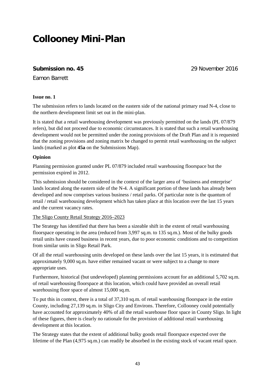## **Collooney Mini-Plan**

## **Submission no. 45** 29 November 2016

Eamon Barrett

## **Issue no. 1**

The submission refers to lands located on the eastern side of the national primary road N-4, close to the northern development limit set out in the mini-plan.

It is stated that a retail warehousing development was previously permitted on the lands (PL 07/879 refers), but did not proceed due to economic circumstances. It is stated that such a retail warehousing development would not be permitted under the zoning provisions of the Draft Plan and it is requested that the zoning provisions and zoning matrix be changed to permit retail warehousing on the subject lands (marked as plot **45a** on the Submissions Map).

## **Opinion**

Planning permission granted under PL 07/879 included retail warehousing floorspace but the permission expired in 2012.

This submission should be considered in the context of the larger area of 'business and enterprise' lands located along the eastern side of the N-4. A significant portion of these lands has already been developed and now comprises various business / retail parks. Of particular note is the quantum of retail / retail warehousing development which has taken place at this location over the last 15 years and the current vacancy rates.

## The Sligo County Retail Strategy 2016–2023

The Strategy has identified that there has been a sizeable shift in the extent of retail warehousing floorspace operating in the area (reduced from 3,997 sq.m. to 135 sq.m.). Most of the bulky goods retail units have ceased business in recent years, due to poor economic conditions and to competition from similar units in Sligo Retail Park.

Of all the retail warehousing units developed on these lands over the last 15 years, it is estimated that approximately 9,000 sq.m. have either remained vacant or were subject to a change to more appropriate uses.

Furthermore, historical (but undeveloped) planning permissions account for an additional 5,702 sq.m. of retail warehousing floorspace at this location, which could have provided an overall retail warehousing floor space of almost 15,000 sq.m.

To put this in context, there is a total of 37,310 sq.m. of retail warehousing floorspace in the entire County, including 27,139 sq.m. in Sligo City and Environs. Therefore, Collooney could potentially have accounted for approximately 40% of all the retail warehouse floor space in County Sligo. In light of these figures, there is clearly no rationale for the provision of additional retail warehousing development at this location.

The Strategy states that the extent of additional bulky goods retail floorspace expected over the lifetime of the Plan (4,975 sq.m.) can readily be absorbed in the existing stock of vacant retail space.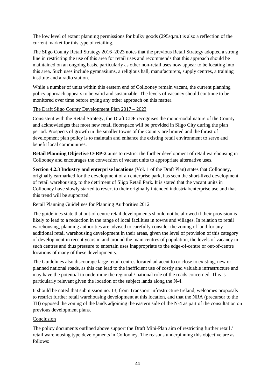The low level of extant planning permissions for bulky goods (295sq.m.) is also a reflection of the current market for this type of retailing.

The Sligo County Retail Strategy 2016–2023 notes that the previous Retail Strategy adopted a strong line in restricting the use of this area for retail uses and recommends that this approach should be maintained on an ongoing basis, particularly as other non-retail uses now appear to be locating into this area. Such uses include gymnasiums, a religious hall, manufacturers, supply centres, a training institute and a radio station.

While a number of units within this eastern end of Collooney remain vacant, the current planning policy approach appears to be valid and sustainable. The levels of vacancy should continue to be monitored over time before trying any other approach on this matter.

## The Draft Sligo County Development Plan 2017 – 2023

Consistent with the Retail Strategy, the Draft CDP recognises the mono-nodal nature of the County and acknowledges that most new retail floorspace will be provided in Sligo City during the plan period. Prospects of growth in the smaller towns of the County are limited and the thrust of development plan policy is to maintain and enhance the existing retail environment to serve and benefit local communities.

**Retail Planning Objective O-RP-2** aims to restrict the further development of retail warehousing in Collooney and encourages the conversion of vacant units to appropriate alternative uses.

**Section 4.2.3 Industry and enterprise locations** (Vol. 1 of the Draft Plan) states that Collooney, originally earmarked for the development of an enterprise park, has seen the short-lived development of retail warehousing, to the detriment of Sligo Retail Park. It is stated that the vacant units in Collooney have slowly started to revert to their originally intended industrial/enterprise use and that this trend will be supported.

## Retail Planning Guidelines for Planning Authorities 2012

The guidelines state that out-of centre retail developments should not be allowed if their provision is likely to lead to a reduction in the range of local facilities in towns and villages. In relation to retail warehousing, planning authorities are advised to carefully consider the zoning of land for any additional retail warehousing development in their areas, given the level of provision of this category of development in recent years in and around the main centres of population, the levels of vacancy in such centres and thus pressure to entertain uses inappropriate to the edge-of-centre or out-of-centre locations of many of these developments.

The Guidelines also discourage large retail centres located adjacent to or close to existing, new or planned national roads, as this can lead to the inefficient use of costly and valuable infrastructure and may have the potential to undermine the regional / national role of the roads concerned. This is particularly relevant given the location of the subject lands along the N-4.

It should be noted that submission no. 13, from Transport Infrastructure Ireland, welcomes proposals to restrict further retail warehousing development at this location, and that the NRA (precursor to the TII) opposed the zoning of the lands adjoining the eastern side of the N-4 as part of the consultation on previous development plans.

## Conclusion

The policy documents outlined above support the Draft Mini-Plan aim of restricting further retail / retail warehousing type developments in Collooney. The reasons underpinning this objective are as follows: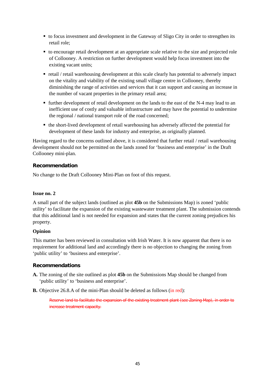- to focus investment and development in the Gateway of Sligo City in order to strengthen its retail role;
- to encourage retail development at an appropriate scale relative to the size and projected role of Collooney. A restriction on further development would help focus investment into the existing vacant units;
- retail / retail warehousing development at this scale clearly has potential to adversely impact on the vitality and viability of the existing small village centre in Collooney, thereby diminishing the range of activities and services that it can support and causing an increase in the number of vacant properties in the primary retail area;
- further development of retail development on the lands to the east of the N-4 may lead to an inefficient use of costly and valuable infrastructure and may have the potential to undermine the regional / national transport role of the road concerned;
- the short-lived development of retail warehousing has adversely affected the potential for development of these lands for industry and enterprise, as originally planned.

Having regard to the concerns outlined above, it is considered that further retail / retail warehousing development should not be permitted on the lands zoned for 'business and enterprise' in the Draft Collooney mini-plan.

## **Recommendation**

No change to the Draft Collooney Mini-Plan on foot of this request.

## **Issue no. 2**

A small part of the subject lands (outlined as plot **45b** on the Submissions Map) is zoned 'public utility' to facilitate the expansion of the existing wastewater treatment plant. The submission contends that this additional land is not needed for expansion and states that the current zoning prejudices his property.

## **Opinion**

This matter has been reviewed in consultation with Irish Water. It is now apparent that there is no requirement for additional land and accordingly there is no objection to changing the zoning from 'public utility' to 'business and enterprise'.

## **Recommendations**

- **A.** The zoning of the site outlined as plot **45b** on the Submissions Map should be changed from 'public utility' to 'business and enterprise'.
- **B.** Objective 26.8.A of the mini-Plan should be deleted as follows (in red):

Reserve land to facilitate the expansion of the existing treatment plant (see Zoning Map), in order to increase treatment capacity.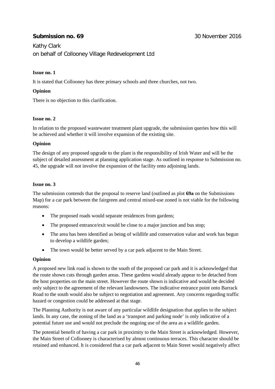## **Submission no. 69** 30 November 2016

Kathy Clark on behalf of Collooney Village Redevelopment Ltd

## **Issue no. 1**

It is stated that Collooney has three primary schools and three churches, not two.

## **Opinion**

There is no objection to this clarification.

## **Issue no. 2**

In relation to the proposed wastewater treatment plant upgrade, the submission queries how this will be achieved and whether it will involve expansion of the existing site.

## **Opinion**

The design of any proposed upgrade to the plant is the responsibility of Irish Water and will be the subject of detailed assessment at planning application stage. As outlined in response to Submission no. 45, the upgrade will not involve the expansion of the facility onto adjoining lands.

## **Issue no. 3**

The submission contends that the proposal to reserve land (outlined as plot **69a** on the Submissions Map) for a car park between the fairgreen and central mixed-use zoned is not viable for the following reasons:

- The proposed roads would separate residences from gardens;
- The proposed entrance/exit would be close to a major junction and bus stop;
- The area has been identified as being of wildlife and conservation value and work has begun to develop a wildlife garden;
- The town would be better served by a car park adjacent to the Main Street.

## **Opinion**

A proposed new link road is shown to the south of the proposed car park and it is acknowledged that the route shown cuts through garden areas. These gardens would already appear to be detached from the host properties on the main street. However the route shown is indicative and would be decided only subject to the agreement of the relevant landowners. The indicative entrance point onto Barrack Road to the south would also be subject to negotiation and agreement. Any concerns regarding traffic hazard or congestion could be addressed at that stage.

The Planning Authority is not aware of any particular wildlife designation that applies to the subject lands. In any case, the zoning of the land as a 'transport and parking node' is only indicative of a potential future use and would not preclude the ongoing use of the area as a wildlife garden.

The potential benefit of having a car park in proximity to the Main Street is acknowledged. However, the Main Street of Collooney is characterised by almost continuous terraces. This character should be retained and enhanced. It is considered that a car park adjacent to Main Street would negatively affect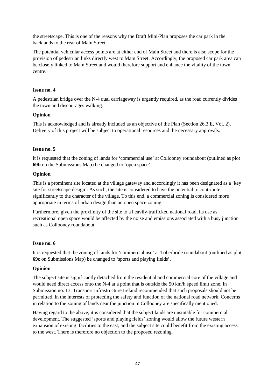the streetscape. This is one of the reasons why the Draft Mini-Plan proposes the car park in the backlands to the rear of Main Street.

The potential vehicular access points are at either end of Main Street and there is also scope for the provision of pedestrian links directly west to Main Street. Accordingly, the proposed car park area can be closely linked to Main Street and would therefore support and enhance the vitality of the town centre.

## **Issue no. 4**

A pedestrian bridge over the N-4 dual carriageway is urgently required, as the road currently divides the town and discourages walking.

## **Opinion**

This is acknowledged and is already included as an objective of the Plan (Section 26.3.E, Vol. 2). Delivery of this project will be subject to operational resources and the necessary approvals.

#### **Issue no. 5**

It is requested that the zoning of lands for 'commercial use' at Collooney roundabout (outlined as plot **69b** on the Submissions Map) be changed to 'open space'.

#### **Opinion**

This is a prominent site located at the village gateway and accordingly it has been designated as a 'key site for streetscape design'. As such, the site is considered to have the potential to contribute significantly to the character of the village. To this end, a commercial zoning is considered more appropriate in terms of urban design than an open space zoning.

Furthermore, given the proximity of the site to a heavily-trafficked national road, its use as recreational open space would be affected by the noise and emissions associated with a busy junction such as Collooney roundabout.

#### **Issue no. 6**

It is requested that the zoning of lands for 'commercial use' at Toberbride roundabout (outlined as plot **69c** on Submissions Map) be changed to 'sports and playing fields'.

#### **Opinion**

The subject site is significantly detached from the residential and commercial core of the village and would need direct access onto the N-4 at a point that is outside the 50 km/h speed limit zone. In Submission no. 13, Transport Infrastructure Ireland recommended that such proposals should not be permitted, in the interests of protecting the safety and function of the national road network. Concerns in relation to the zoning of lands near the junction in Collooney are specifically mentioned.

Having regard to the above, it is considered that the subject lands are unsuitable for commercial development. The suggested 'sports and playing fields' zoning would allow the future western expansion of existing facilities to the east, and the subject site could benefit from the existing access to the west. There is therefore no objection to the proposed rezoning.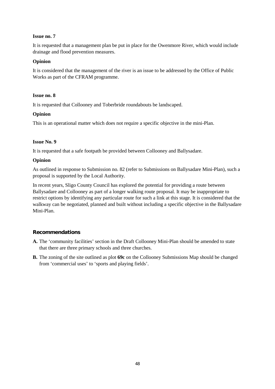## **Issue no. 7**

It is requested that a management plan be put in place for the Owenmore River, which would include drainage and flood prevention measures.

## **Opinion**

It is considered that the management of the river is an issue to be addressed by the Office of Public Works as part of the CFRAM programme.

## **Issue no. 8**

It is requested that Collooney and Toberbride roundabouts be landscaped.

## **Opinion**

This is an operational matter which does not require a specific objective in the mini-Plan.

## **Issue No. 9**

It is requested that a safe footpath be provided between Collooney and Ballysadare.

## **Opinion**

As outlined in response to Submission no. 82 (refer to Submissions on Ballysadare Mini-Plan), such a proposal is supported by the Local Authority.

In recent years, Sligo County Council has explored the potential for providing a route between Ballysadare and Collooney as part of a longer walking route proposal. It may be inappropriate to restrict options by identifying any particular route for such a link at this stage. It is considered that the walkway can be negotiated, planned and built without including a specific objective in the Ballysadare Mini-Plan.

## **Recommendations**

- **A.** The 'community facilities' section in the Draft Collooney Mini-Plan should be amended to state that there are three primary schools and three churches.
- **B.** The zoning of the site outlined as plot **69c** on the Collooney Submissions Map should be changed from 'commercial uses' to 'sports and playing fields'.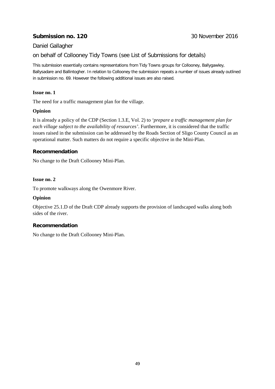## **Submission no. 120 120 120 120 120 120 120 120 120 120 120 120 120 120 120 120 120 120 120 120 120 120 120 120 120 120 120 120 120 120 120 120 120 120 12**

## Daniel Gallagher

on behalf of Collooney Tidy Towns (see List of Submissions for details)

This submission essentially contains representations from Tidy Towns groups for Collooney, Ballygawley, Ballysadare and Ballintogher. In relation to Collooney the submission repeats a number of issues already outlined in submission no. 69. However the following additional issues are also raised.

## **Issue no. 1**

The need for a traffic management plan for the village.

## **Opinion**

It is already a policy of the CDP (Section 1.3.E, Vol. 2) to *'prepare a traffic management plan for each village subject to the availability of resources'*. Furthermore, it is considered that the traffic issues raised in the submission can be addressed by the Roads Section of Sligo County Council as an operational matter. Such matters do not require a specific objective in the Mini-Plan.

## **Recommendation**

No change to the Draft Collooney Mini-Plan.

## **Issue no. 2**

To promote walkways along the Owenmore River.

## **Opinion**

Objective 25.1.D of the Draft CDP already supports the provision of landscaped walks along both sides of the river.

## **Recommendation**

No change to the Draft Collooney Mini-Plan.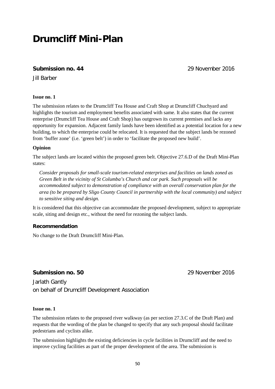## **Drumcliff Mini-Plan**

## **Submission no. 44** 29 November 2016

Jill Barber

## **Issue no. 1**

The submission relates to the Drumcliff Tea House and Craft Shop at Drumcliff Chuchyard and highlights the tourism and employment benefits associated with same. It also states that the current enterprise (Drumcliff Tea House and Craft Shop) has outgrown its current premises and lacks any opportunity for expansion. Adjacent family lands have been identified as a potential location for a new building, to which the enterprise could be relocated. It is requested that the subject lands be rezoned from 'buffer zone' (i.e. 'green belt') in order to 'facilitate the proposed new build'.

## **Opinion**

The subject lands are located within the proposed green belt. Objective 27.6.D of the Draft Mini-Plan states:

*Consider proposals for small-scale tourism-related enterprises and facilities on lands zoned as Green Belt in the vicinity of St Columba's Church and car park. Such proposals will be accommodated subject to demonstration of compliance with an overall conservation plan for the area (to be prepared by Sligo County Council in partnership with the local community) and subject to sensitive siting and design.* 

It is considered that this objective can accommodate the proposed development, subject to appropriate scale, siting and design etc., without the need for rezoning the subject lands.

## **Recommendation**

No change to the Draft Drumcliff Mini-Plan.

## **Submission no. 50** 29 November 2016

Jarlath Gantly on behalf of Drumcliff Development Association

## **Issue no. 1**

The submission relates to the proposed river walkway (as per section 27.3.C of the Draft Plan) and requests that the wording of the plan be changed to specify that any such proposal should facilitate pedestrians and cyclists alike.

The submission highlights the existing deficiencies in cycle facilities in Drumcliff and the need to improve cycling facilities as part of the proper development of the area. The submission is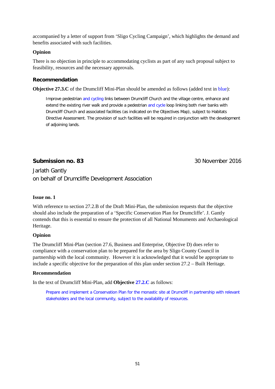accompanied by a letter of support from 'Sligo Cycling Campaign', which highlights the demand and benefits associated with such facilities.

## **Opinion**

There is no objection in principle to accommodating cyclists as part of any such proposal subject to feasibility, resources and the necessary approvals.

## **Recommendation**

**Objective 27.3.C** of the Drumcliff Mini-Plan should be amended as follows (added text in blue):

Improve pedestrian and cycling links between Drumcliff Church and the village centre, enhance and extend the existing river walk and provide a pedestrian and cycle loop linking both river banks with Drumcliff Church and associated facilities (as indicated on the Objectives Map), subject to Habitats Directive Assessment. The provision of such facilities will be required in conjunction with the development of adjoining lands.

## **Submission no. 83** 30 November 2016

Jarlath Gantly on behalf of Drumcliffe Development Association

## **Issue no. 1**

With reference to section 27.2.B of the Draft Mini-Plan, the submission requests that the objective should also include the preparation of a 'Specific Conservation Plan for Drumcliffe'. J. Gantly contends that this is essential to ensure the protection of all National Monuments and Archaeological Heritage.

## **Opinion**

The Drumcliff Mini-Plan (section 27.6, Business and Enterprise, Objective D) does refer to compliance with a conservation plan to be prepared for the area by Sligo County Council in partnership with the local community. However it is acknowledged that it would be appropriate to include a specific objective for the preparation of this plan under section 27.2 – Built Heritage.

## **Recommendation**

In the text of Drumcliff Mini-Plan, add **Objective 27.2.C** as follows:

Prepare and implement a Conservation Plan for the monastic site at Drumcliff in partnership with relevant stakeholders and the local community, subject to the availability of resources.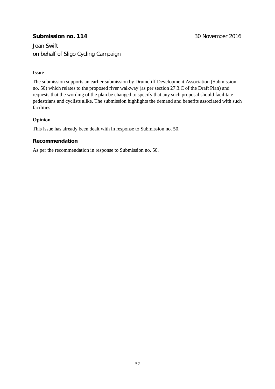## **Submission no. 114** 30 November 2016

Joan Swift on behalf of Sligo Cycling Campaign

## **Issue**

The submission supports an earlier submission by Drumcliff Development Association (Submission no. 50) which relates to the proposed river walkway (as per section 27.3.C of the Draft Plan) and requests that the wording of the plan be changed to specify that any such proposal should facilitate pedestrians and cyclists alike. The submission highlights the demand and benefits associated with such facilities.

## **Opinion**

This issue has already been dealt with in response to Submission no. 50.

## **Recommendation**

As per the recommendation in response to Submission no. 50.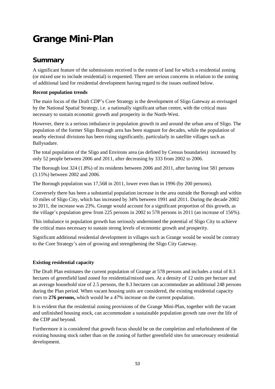# **Grange Mini-Plan**

## **Summary**

A significant feature of the submissions received is the extent of land for which a residential zoning (or mixed use to include residential) is requested. There are serious concerns in relation to the zoning of additional land for residential development having regard to the issues outlined below.

## **Recent population trends**

The main focus of the Draft CDP's Core Strategy is the development of Sligo Gateway as envisaged by the National Spatial Strategy, i.e. a nationally significant urban centre, with the critical mass necessary to sustain economic growth and prosperity in the North-West.

However, there is a serious imbalance in population growth in and around the urban area of Sligo. The population of the former Sligo Borough area has been stagnant for decades, while the population of nearby electoral divisions has been rising significantly, particularly in satellite villages such as Ballysadare.

The total population of the Sligo and Environs area (as defined by Census boundaries) increased by only 52 people between 2006 and 2011, after decreasing by 333 from 2002 to 2006.

The Borough lost 324 (1.8%) of its residents between 2006 and 2011, after having lost 581 persons (3.15%) between 2002 and 2006.

The Borough population was 17,568 in 2011, lower even than in 1996 (by 200 persons).

Conversely there has been a substantial population increase in the area outside the Borough and within 10 miles of Sligo City, which has increased by 34% between 1991 and 2011. During the decade 2002 to 2011, the increase was 23%. Grange would account for a significant proportion of this growth, as the village's population grew from 225 persons in 2002 to 578 persons in 2011 (an increase of 156%).

This imbalance in population growth has seriously undermined the potential of Sligo City to achieve the critical mass necessary to sustain strong levels of economic growth and prosperity.

Significant additional residential development in villages such as Grange would be would be contrary to the Core Strategy's aim of growing and strengthening the Sligo City Gateway.

## **Existing residential capacity**

The Draft Plan estimates the current population of Grange at 578 persons and includes a total of 8.3 hectares of greenfield land zoned for residential/mixed uses. At a density of 12 units per hectare and an average household size of 2.5 persons, the 8.3 hectares can accommodate an additional 248 persons during the Plan period. When vacant housing units are considered, the existing residential capacity rises to **276 persons,** which would be a 47% increase on the current population.

It is evident that the residential zoning provisions of the Grange Mini-Plan, together with the vacant and unfinished housing stock, can accommodate a sustainable population growth rate over the life of the CDP and beyond.

Furthermore it is considered that growth focus should be on the completion and refurbishment of the existing housing stock rather than on the zoning of further greenfield sites for unnecessary residential development.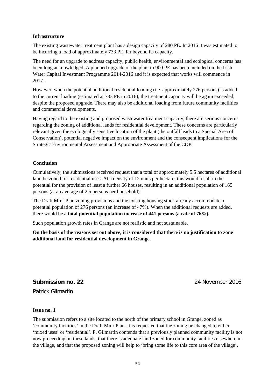#### **Infrastructure**

The existing wastewater treatment plant has a design capacity of 280 PE. In 2016 it was estimated to be incurring a load of approximately 733 PE, far beyond its capacity.

The need for an upgrade to address capacity, public health, environmental and ecological concerns has been long acknowledged. A planned upgrade of the plant to 900 PE has been included on the Irish Water Capital Investment Programme 2014-2016 and it is expected that works will commence in 2017.

However, when the potential additional residential loading (i.e. approximately 276 persons) is added to the current loading (estimated at 733 PE in 2016), the treatment capacity will be again exceeded, despite the proposed upgrade. There may also be additional loading from future community facilities and commercial developments.

Having regard to the existing and proposed wastewater treatment capacity, there are serious concerns regarding the zoning of additional lands for residential development. These concerns are particularly relevant given the ecologically sensitive location of the plant (the outfall leads to a Special Area of Conservation), potential negative impact on the environment and the consequent implications for the Strategic Environmental Assessment and Appropriate Assessment of the CDP.

## **Conclusion**

Cumulatively, the submissions received request that a total of approximately 5.5 hectares of additional land be zoned for residential uses. At a density of 12 units per hectare, this would result in the potential for the provision of least a further 66 houses, resulting in an additional population of 165 persons (at an average of 2.5 persons per household).

The Draft Mini-Plan zoning provisions and the existing housing stock already accommodate a potential population of 276 persons (an increase of 47%). When the additional requests are added, there would be a **total potential population increase of 441 persons (a rate of 76%).** 

Such population growth rates in Grange are not realistic and not sustainable.

**On the basis of the reasons set out above, it is considered that there is no justification to zone additional land for residential development in Grange.**

## **Submission no. 22** 24 November 2016

Patrick Gilmartin

#### **Issue no. 1**

The submission refers to a site located to the north of the primary school in Grange, zoned as 'community facilities' in the Draft Mini-Plan. It is requested that the zoning be changed to either 'mixed uses' or 'residential'. P. Gilmartin contends that a previously planned community facility is not now proceeding on these lands, that there is adequate land zoned for community facilities elsewhere in the village, and that the proposed zoning will help to 'bring some life to this core area of the village'.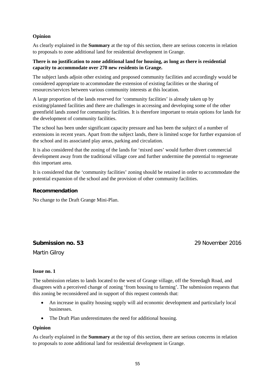## **Opinion**

As clearly explained in the **Summary** at the top of this section, there are serious concerns in relation to proposals to zone additional land for residential development in Grange.

## **There is no justification to zone additional land for housing, as long as there is residential capacity to accommodate over 270 new residents in Grange.**

The subject lands adjoin other existing and proposed community facilities and accordingly would be considered appropriate to accommodate the extension of existing facilities or the sharing of resources/services between various community interests at this location.

A large proportion of the lands reserved for 'community facilities' is already taken up by existing/planned facilities and there are challenges in accessing and developing some of the other greenfield lands zoned for community facilities. It is therefore important to retain options for lands for the development of community facilities.

The school has been under significant capacity pressure and has been the subject of a number of extensions in recent years. Apart from the subject lands, there is limited scope for further expansion of the school and its associated play areas, parking and circulation.

It is also considered that the zoning of the lands for 'mixed uses' would further divert commercial development away from the traditional village core and further undermine the potential to regenerate this important area.

It is considered that the 'community facilities' zoning should be retained in order to accommodate the potential expansion of the school and the provision of other community facilities.

## **Recommendation**

No change to the Draft Grange Mini-Plan.

## **Submission no. 53** 29 November 2016

Martin Gilroy

## **Issue no. 1**

The submission relates to lands located to the west of Grange village, off the Streedagh Road, and disagrees with a perceived change of zoning 'from housing to farming'. The submission requests that this zoning be reconsidered and in support of this request contends that:

- An increase in quality housing supply will aid economic development and particularly local businesses.
- The Draft Plan underestimates the need for additional housing.

## **Opinion**

As clearly explained in the **Summary** at the top of this section, there are serious concerns in relation to proposals to zone additional land for residential development in Grange.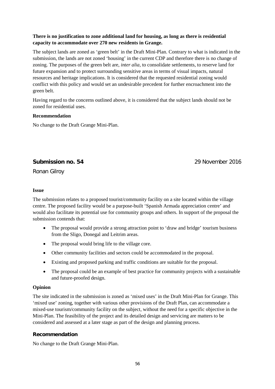## **There is no justification to zone additional land for housing, as long as there is residential capacity to accommodate over 270 new residents in Grange.**

The subject lands are zoned as 'green belt' in the Draft Mini-Plan. Contrary to what is indicated in the submission, the lands are not zoned 'housing' in the current CDP and therefore there is no change of zoning. The purposes of the green belt are, *inter alia,* to consolidate settlements, to reserve land for future expansion and to protect surrounding sensitive areas in terms of visual impacts, natural resources and heritage implications. It is considered that the requested residential zoning would conflict with this policy and would set an undesirable precedent for further encroachment into the green belt.

Having regard to the concerns outlined above, it is considered that the subject lands should not be zoned for residential uses.

## **Recommendation**

No change to the Draft Grange Mini-Plan.

## **Submission no. 54** 29 November 2016

Ronan Gilroy

## **Issue**

The submission relates to a proposed tourist/community facility on a site located within the village centre. The proposed facility would be a purpose-built 'Spanish Armada appreciation centre' and would also facilitate its potential use for community groups and others. In support of the proposal the submission contends that:

- The proposal would provide a strong attraction point to 'draw and bridge' tourism business from the Sligo, Donegal and Leitrim areas.
- The proposal would bring life to the village core.
- Other community facilities and sectors could be accommodated in the proposal.
- Existing and proposed parking and traffic conditions are suitable for the proposal.
- The proposal could be an example of best practice for community projects with a sustainable and future-proofed design.

## **Opinion**

The site indicated in the submission is zoned as 'mixed uses' in the Draft Mini-Plan for Grange. This 'mixed use' zoning, together with various other provisions of the Draft Plan, can accommodate a mixed-use tourism/community facility on the subject, without the need for a specific objective in the Mini-Plan. The feasibility of the project and its detailed design and servicing are matters to be considered and assessed at a later stage as part of the design and planning process.

## **Recommendation**

No change to the Draft Grange Mini-Plan.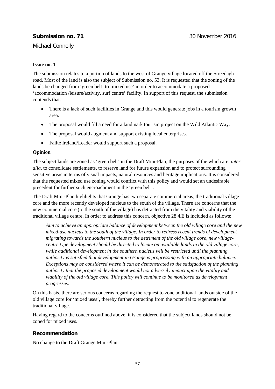## **Submission no. 71 30 November 2016**

## Michael Connolly

## **Issue no. 1**

The submission relates to a portion of lands to the west of Grange village located off the Streedagh road. Most of the land is also the subject of Submission no. 53. It is requested that the zoning of the lands be changed from 'green belt' to 'mixed use' in order to accommodate a proposed 'accommodation /leisure/activity, surf centre' facility. In support of this request, the submission contends that:

- There is a lack of such facilities in Grange and this would generate jobs in a tourism growth area.
- The proposal would fill a need for a landmark tourism project on the Wild Atlantic Way.
- The proposal would augment and support existing local enterprises.
- Failte Ireland/Leader would support such a proposal.

## **Opinion**

The subject lands are zoned as 'green belt' in the Draft Mini-Plan, the purposes of the which are, *inter alia,* to consolidate settlements, to reserve land for future expansion and to protect surrounding sensitive areas in terms of visual impacts, natural resources and heritage implications. It is considered that the requested mixed use zoning would conflict with this policy and would set an undesirable precedent for further such encroachment in the 'green belt'.

The Draft Mini-Plan highlights that Grange has two separate commercial areas, the traditional village core and the more recently developed nucleus to the south of the village. There are concerns that the new commercial core (to the south of the village) has detracted from the vitality and viability of the traditional village centre. In order to address this concern, objective 28.4.E is included as follows:

*Aim to achieve an appropriate balance of development between the old village core and the new mixed-use nucleus to the south of the village. In order to redress recent trends of development migrating towards the southern nucleus to the detriment of the old village core, new villagecentre type development should be directed to locate on available lands in the old village core, while additional development in the southern nucleus will be restricted until the planning authority is satisfied that development in Grange is progressing with an appropriate balance. Exceptions may be considered where it can be demonstrated to the satisfaction of the planning authority that the proposed development would not adversely impact upon the vitality and viability of the old village core. This policy will continue to be monitored as development progresses.* 

On this basis, there are serious concerns regarding the request to zone additional lands outside of the old village core for 'mixed uses', thereby further detracting from the potential to regenerate the traditional village.

Having regard to the concerns outlined above, it is considered that the subject lands should not be zoned for mixed uses.

## **Recommendation**

No change to the Draft Grange Mini-Plan.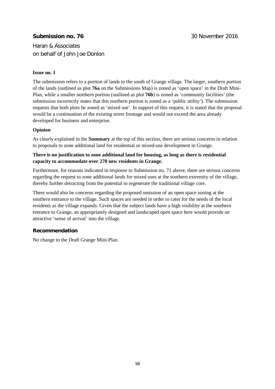## **Submission no. 76** 30 November 2016

Haran & Associates on behalf of John Joe Donlon

## **Issue no. 1**

The submission refers to a portion of lands to the south of Grange village. The larger, southern portion of the lands (outlined as plot **76a** on the Submissions Map) is zoned as 'open space' in the Draft Mini-Plan, while a smaller northern portion (outlined as plot **76b**) is zoned as 'community facilities' (the submission incorrectly states that this northern portion is zoned as a 'public utility'). The submission requests that both plots be zoned as 'mixed use'. In support of this request, it is stated that the proposal would be a continuation of the existing street frontage and would not exceed the area already developed for business and enterprise.

## **Opinion**

As clearly explained in the **Summary** at the top of this section, there are serious concerns in relation to proposals to zone additional land for residential or mixed-use development in Grange.

## **There is no justification to zone additional land for housing, as long as there is residential capacity to accommodate over 270 new residents in Grange.**

Furthermore, for reasons indicated in response to Submission no. 71 above, there are serious concerns regarding the request to zone additional lands for mixed uses at the southern extremity of the village, thereby further detracting from the potential to regenerate the traditional village core.

There would also be concerns regarding the proposed omission of an open space zoning at the southern entrance to the village. Such spaces are needed in order to cater for the needs of the local residents as the village expands. Given that the subject lands have a high visibility at the southern entrance to Grange, an appropriately designed and landscaped open space here would provide an attractive 'sense of arrival' into the village.

## **Recommendation**

No change to the Draft Grange Mini-Plan.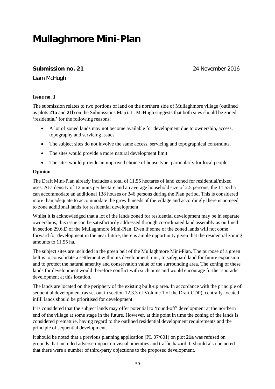## **Mullaghmore Mini-Plan**

## **Submission no. 21** 24 November 2016

Liam McHugh

## **Issue no. 1**

The submission relates to two portions of land on the northern side of Mullaghmore village (outlined as plots **21a** and **21b** on the Submissions Map). L. McHugh suggests that both sites should be zoned 'residential' for the following reasons:

- A lot of zoned lands may not become available for development due to ownership, access, topography and servicing issues.
- The subject sites do not involve the same access, servicing and topographical constraints.
- The sites would provide a more natural development limit.
- The sites would provide an improved choice of house type, particularly for local people.

## **Opinion**

The Draft Mini-Plan already includes a total of 11.55 hectares of land zoned for residential/mixed uses. At a density of 12 units per hectare and an average household size of 2.5 persons, the 11.55 ha can accommodate an additional 138 houses or 346 persons during the Plan period. This is considered more than adequate to accommodate the growth needs of the village and accordingly there is no need to zone additional lands for residential development.

Whilst it is acknowledged that a lot of the lands zoned for residential development may be in separate ownerships, this issue can be satisfactorily addressed through co-ordinated land assembly as outlined in section 29.6.D of the Mullaghmore Mini-Plan. Even if some of the zoned lands will not come forward for development in the near future, there is ample opportunity given that the residential zoning amounts to 11.55 ha.

The subject sites are included in the green belt of the Mullaghmore Mini-Plan. The purpose of a green belt is to consolidate a settlement within its development limit, to safeguard land for future expansion and to protect the natural amenity and conservation value of the surrounding area. The zoning of these lands for development would therefore conflict with such aims and would encourage further sporadic development at this location.

The lands are located on the periphery of the existing built-up area. In accordance with the principle of sequential development (as set out in section 12.3.3 of Volume 1 of the Draft CDP), centrally-located infill lands should be prioritised for development.

It is considered that the subject lands may offer potential to 'round-off' development at the northern end of the village at some stage in the future. However, at this point in time the zoning of the lands is considered premature, having regard to the outlined residential development requirements and the principle of sequential development.

It should be noted that a previous planning application (PL 07/601) on plot **21a** was refused on grounds that included adverse impact on visual amenities and traffic hazard. It should also be noted that there were a number of third-party objections to the proposed development.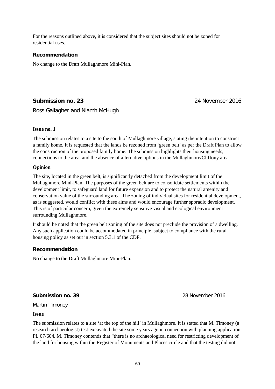For the reasons outlined above, it is considered that the subject sites should not be zoned for residential uses.

## **Recommendation**

No change to the Draft Mullaghmore Mini-Plan.

## **Submission no. 23** 24 November 2016

Ross Gallagher and Niamh McHugh

## **Issue no. 1**

The submission relates to a site to the south of Mullaghmore village, stating the intention to construct a family home. It is requested that the lands be rezoned from 'green belt' as per the Draft Plan to allow the construction of the proposed family home. The submission highlights their housing needs, connections to the area, and the absence of alternative options in the Mullaghmore/Cliffony area.

## **Opinion**

The site, located in the green belt, is significantly detached from the development limit of the Mullaghmore Mini-Plan. The purposes of the green belt are to consolidate settlements within the development limit, to safeguard land for future expansion and to protect the natural amenity and conservation value of the surrounding area. The zoning of individual sites for residential development, as is suggested, would conflict with these aims and would encourage further sporadic development. This is of particular concern, given the extremely sensitive visual and ecological environment surrounding Mullaghmore.

It should be noted that the green belt zoning of the site does not preclude the provision of a dwelling. Any such application could be accommodated in principle, subject to compliance with the rural housing policy as set out in section 5.3.1 of the CDP.

## **Recommendation**

No change to the Draft Mullaghmore Mini-Plan.

**Submission no. 39** 28 November 2016

Martin Timoney

## **Issue**

The submission relates to a site 'at the top of the hill' in Mullaghmore. It is stated that M. Timoney (a research archaeologist) test-excavated the site some years ago in connection with planning application PL 07/604. M. Timoney contends that "there is no archaeological need for restricting development of the land for housing within the Register of Monuments and Places circle and that the testing did not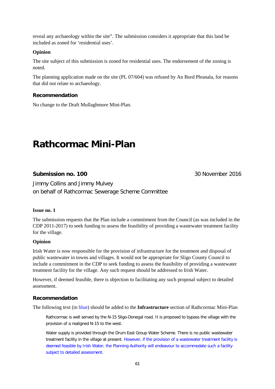reveal any archaeology within the site". The submission considers it appropriate that this land be included as zoned for 'residential uses'.

## **Opinion**

The site subject of this submission is zoned for residential uses. The endorsement of the zoning is noted.

The planning application made on the site (PL 07/604) was refused by An Bord Pleanala, for reasons that did not relate to archaeology.

## **Recommendation**

No change to the Draft Mullaghmore Mini-Plan.

## **Rathcormac Mini-Plan**

## **Submission no. 100** 30 November 2016

Jimmy Collins and Jimmy Mulvey on behalf of Rathcormac Sewerage Scheme Committee

## **Issue no. 1**

The submission requests that the Plan include a commitment from the Council (as was included in the CDP 2011-2017) to seek funding to assess the feasibility of providing a wastewater treatment facility for the village.

## **Opinion**

Irish Water is now responsible for the provision of infrastructure for the treatment and disposal of public wastewater in towns and villages. It would not be appropriate for Sligo County Council to include a commitment in the CDP to seek funding to assess the feasibility of providing a wastewater treatment facility for the village. Any such request should be addressed to Irish Water.

However, if deemed feasible, there is objection to facilitating any such proposal subject to detailed assessment.

## **Recommendation**

The following text (in blue) should be added to the **Infrastructure** section of Rathcormac Mini-Plan

Rathcormac is well served by the N-15 Sligo-Donegal road. It is proposed to bypass the village with the provision of a realigned N-15 to the west.

Water supply is provided through the Drum East Group Water Scheme. There is no public wastewater treatment facility in the village at present. However, if the provision of a wastewater treatment facility is deemed feasible by Irish Water, the Planning Authority will endeavour to accommodate such a facility subject to detailed assessment.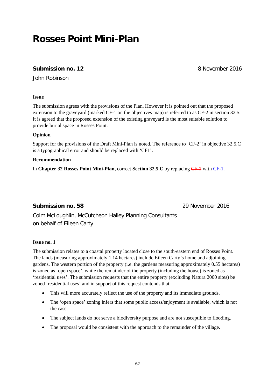## **Rosses Point Mini-Plan**

## **Submission no. 12 8 November 2016**

John Robinson

## **Issue**

The submission agrees with the provisions of the Plan. However it is pointed out that the proposed extension to the graveyard (marked CF-1 on the objectives map) is referred to as CF-2 in section 32.5. It is agreed that the proposed extension of the existing graveyard is the most suitable solution to provide burial space in Rosses Point.

## **Opinion**

Support for the provisions of the Draft Mini-Plan is noted. The reference to 'CF-2' in objective 32.5.C is a typographical error and should be replaced with 'CF1'.

## **Recommendation**

In **Chapter 32 Rosses Point Mini-Plan, correct Section 32.5.C** by replacing CF-2 with CF-1.

## **Submission no. 58** 29 November 2016

Colm McLoughlin, McCutcheon Halley Planning Consultants on behalf of Eileen Carty

## **Issue no. 1**

The submission relates to a coastal property located close to the south-eastern end of Rosses Point. The lands (measuring approximately 1.14 hectares) include Eileen Carty's home and adjoining gardens. The western portion of the property (i.e. the gardens measuring approximately 0.55 hectares) is zoned as 'open space', while the remainder of the property (including the house) is zoned as 'residential uses'. The submission requests that the entire property (excluding Natura 2000 sites) be zoned 'residential uses' and in support of this request contends that:

- This will more accurately reflect the use of the property and its immediate grounds.
- The 'open space' zoning infers that some public access/enjoyment is available, which is not the case.
- The subject lands do not serve a biodiversity purpose and are not susceptible to flooding.
- The proposal would be consistent with the approach to the remainder of the village.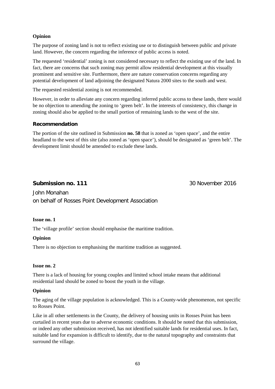## **Opinion**

The purpose of zoning land is not to reflect existing use or to distinguish between public and private land. However, the concern regarding the inference of public access is noted.

The requested 'residential' zoning is not considered necessary to reflect the existing use of the land. In fact, there are concerns that such zoning may permit allow residential development at this visually prominent and sensitive site. Furthermore, there are nature conservation concerns regarding any potential development of land adjoining the designated Natura 2000 sites to the south and west.

The requested residential zoning is not recommended.

However, in order to alleviate any concern regarding inferred public access to these lands, there would be no objection to amending the zoning to 'green belt'. In the interests of consistency, this change in zoning should also be applied to the small portion of remaining lands to the west of the site.

## **Recommendation**

The portion of the site outlined in Submission **no. 58** that is zoned as 'open space', and the entire headland to the west of this site (also zoned as 'open space'), should be designated as 'green belt'. The development limit should be amended to exclude these lands.

## **Submission no. 111** 30 November 2016

John Monahan on behalf of Rosses Point Development Association

## **Issue no. 1**

The 'village profile' section should emphasise the maritime tradition.

## **Opinion**

There is no objection to emphasising the maritime tradition as suggested.

## **Issue no. 2**

There is a lack of housing for young couples and limited school intake means that additional residential land should be zoned to boost the youth in the village.

## **Opinion**

The aging of the village population is acknowledged. This is a County-wide phenomenon, not specific to Rosses Point.

Like in all other settlements in the County, the delivery of housing units in Rosses Point has been curtailed in recent years due to adverse economic conditions. It should be noted that this submission, or indeed any other submission received, has not identified suitable lands for residential uses. In fact, suitable land for expansion is difficult to identify, due to the natural topography and constraints that surround the village.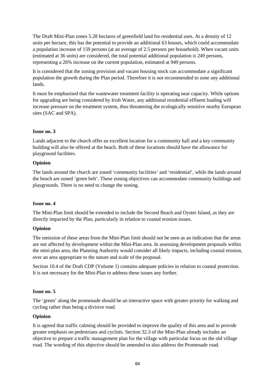The Draft Mini-Plan zones 5.28 hectares of greenfield land for residential uses. At a density of 12 units per hectare, this has the potential to provide an additional 63 houses, which could accommodate a population increase of 159 persons (at an average of 2.5 persons per household). When vacant units (estimated at 36 units) are considered, the total potential additional population is 249 persons, representing a 26% increase on the current population, estimated at 949 persons.

It is considered that the zoning provision and vacant housing stock can accommodate a significant population the growth during the Plan period. Therefore it is not recommended to zone any additional lands.

It must be emphasised that the wastewater treatment facility is operating near capacity. While options for upgrading are being considered by Irish Water, any additional residential effluent loading will increase pressure on the treatment system, thus threatening the ecologically sensitive nearby European sites (SAC and SPA).

## **Issue no. 3**

Lands adjacent to the church offer an excellent location for a community hall and a key community building will also be offered at the beach. Both of these locations should have the allowance for playground facilities.

## **Opinion**

The lands around the church are zoned 'community facilities' and 'residential', while the lands around the beach are zoned 'green belt'. These zoning objectives can accommodate community buildings and playgrounds. There is no need to change the zoning.

## **Issue no. 4**

The Mini-Plan limit should be extended to include the Second Beach and Oyster Island, as they are directly impacted by the Plan, particularly in relation to coastal erosion issues.

## **Opinion**

The omission of these areas from the Mini-Plan limit should not be seen as an indication that the areas are not affected by development within the Mini-Plan area. In assessing development proposals within the mini-plan area, the Planning Authority would consider all likely impacts, including coastal erosion, over an area appropriate to the nature and scale of the proposal.

Section 10.4 of the Draft CDP (Volume 1) contains adequate policies in relation to coastal protection. It is not necessary for the Mini-Plan to address these issues any further.

## **Issue no. 5**

The 'green' along the promenade should be an interactive space with greater priority for walking and cycling rather than being a divisive road.

## **Opinion**

It is agreed that traffic calming should be provided to improve the quality of this area and to provide greater emphasis on pedestrians and cyclists. Section 32.3 of the Mini-Plan already includes an objective to prepare a traffic management plan for the village with particular focus on the old village road. The wording of this objective should be amended to also address the Promenade road.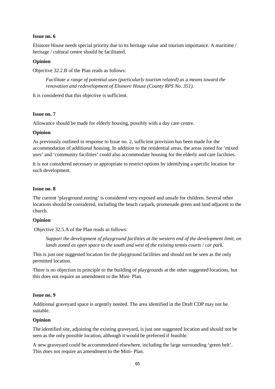## **Issue no. 6**

Elsinore House needs special priority due to its heritage value and tourism importance. A maritime / heritage / cultural centre should be facilitated.

#### **Opinion**

Objective 32.2.B of the Plan reads as follows:

*Facilitate a range of potential uses (particularly tourism related) as a means toward the renovation and redevelopment of Elsinore House (County RPS No. 351).* 

It is considered that this objective is sufficient.

## **Issue no. 7**

Allowance should be made for elderly housing, possibly with a day care centre.

#### **Opinion**

As previously outlined in response to Issue no. 2, sufficient provision has been made for the accommodation of additional housing. In addition to the residential areas, the areas zoned for 'mixed uses' and 'community facilities' could also accommodate housing for the elderly and care facilities.

It is not considered necessary or appropriate to restrict options by identifying a specific location for such development.

#### **Issue no. 8**

The current 'playground zoning' is considered very exposed and unsafe for children. Several other locations should be considered, including the beach carpark, promenade green and land adjacent to the church.

#### **Opinion**

Objective 32.5.A of the Plan reads as follows:

*Support the development of playground facilities at the western end of the development limit, on lands zoned as open space to the south and west of the existing tennis courts / car park.* 

This is just one suggested location for the playground facilities and should not be seen as the only permitted location.

There is no objection in principle to the building of playgrounds at the other suggested locations, but this does not require an amendment to the Mini- Plan.

#### **Issue no. 9**

Additional graveyard space is urgently needed. The area identified in the Draft CDP may not be suitable.

#### **Opinion**

The identified site, adjoining the existing graveyard, is just one suggested location and should not be seen as the only possible location, although it would be preferred if feasible.

A new graveyard could be accommodated elsewhere, including the large surrounding 'green belt'. This does not require an amendment to the Mini- Plan.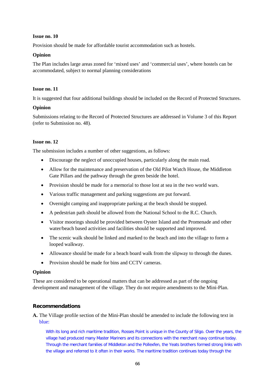### **Issue no. 10**

Provision should be made for affordable tourist accommodation such as hostels.

## **Opinion**

The Plan includes large areas zoned for 'mixed uses' and 'commercial uses', where hostels can be accommodated, subject to normal planning considerations

## **Issue no. 11**

It is suggested that four additional buildings should be included on the Record of Protected Structures.

## **Opinion**

Submissions relating to the Record of Protected Structures are addressed in Volume 3 of this Report (refer to Submission no. 48).

## **Issue no. 12**

The submission includes a number of other suggestions, as follows:

- Discourage the neglect of unoccupied houses, particularly along the main road.
- Allow for the maintenance and preservation of the Old Pilot Watch House, the Middleton Gate Pillars and the pathway through the green beside the hotel.
- Provision should be made for a memorial to those lost at sea in the two world wars.
- Various traffic management and parking suggestions are put forward.
- Overnight camping and inappropriate parking at the beach should be stopped.
- A pedestrian path should be allowed from the National School to the R.C. Church.
- Visitor moorings should be provided between Oyster Island and the Promenade and other water/beach based activities and facilities should be supported and improved.
- The scenic walk should be linked and marked to the beach and into the village to form a looped walkway.
- Allowance should be made for a beach board walk from the slipway to through the dunes.
- Provision should be made for bins and CCTV cameras.

## **Opinion**

These are considered to be operational matters that can be addressed as part of the ongoing development and management of the village. They do not require amendments to the Mini-Plan.

## **Recommendations**

## **A.** The Village profile section of the Mini-Plan should be amended to include the following text in blue:

With its long and rich maritime tradition, Rosses Point is unique in the County of Sligo. Over the years, the village had produced many Master Mariners and its connections with the merchant navy continue today. Through the merchant families of Middleton and the Pollexfen, the Yeats brothers formed strong links with the village and referred to it often in their works. The maritime tradition continues today through the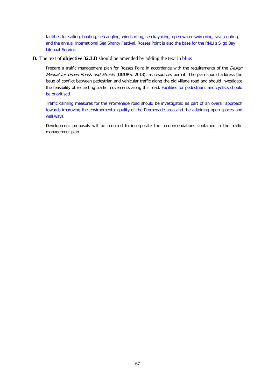facilities for sailing, boating, sea angling, windsurfing, sea kayaking, open water swimming, sea scouting, and the annual International Sea Shanty Festival. Rosses Point is also the base for the RNLI's Sligo Bay Lifeboat Service.

#### **B.** The text of **objective 32.3.D** should be amended by adding the text in blue:

Prepare a traffic management plan for Rosses Point in accordance with the requirements of the *Design* Manual for Urban Roads and Streets (DMURS, 2013), as resources permit. The plan should address the issue of conflict between pedestrian and vehicular traffic along the old village road and should investigate the feasibility of restricting traffic movements along this road. Facilities for pedestrians and cyclists should be prioritised.

Traffic calming measures for the Promenade road should be investigated as part of an overall approach towards improving the environmental quality of the Promenade area and the adjoining open spaces and walkways.

Development proposals will be required to incorporate the recommendations contained in the traffic management plan.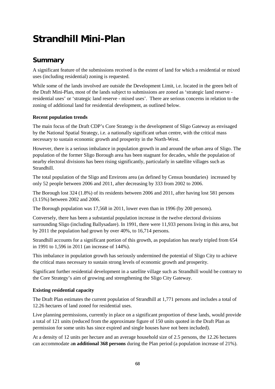# **Strandhill Mini-Plan**

## **Summary**

A significant feature of the submissions received is the extent of land for which a residential or mixed uses (including residential) zoning is requested.

While some of the lands involved are outside the Development Limit, i.e. located in the green belt of the Draft Mini-Plan, most of the lands subject to submissions are zoned as 'strategic land reserve residential uses' or 'strategic land reserve - mixed uses'. There are serious concerns in relation to the zoning of additional land for residential development, as outlined below.

## **Recent population trends**

The main focus of the Draft CDP's Core Strategy is the development of Sligo Gateway as envisaged by the National Spatial Strategy, i.e. a nationally significant urban centre, with the critical mass necessary to sustain economic growth and prosperity in the North-West.

However, there is a serious imbalance in population growth in and around the urban area of Sligo. The population of the former Sligo Borough area has been stagnant for decades, while the population of nearby electoral divisions has been rising significantly, particularly in satellite villages such as Strandhill.

The total population of the Sligo and Environs area (as defined by Census boundaries) increased by only 52 people between 2006 and 2011, after decreasing by 333 from 2002 to 2006.

The Borough lost 324 (1.8%) of its residents between 2006 and 2011, after having lost 581 persons (3.15%) between 2002 and 2006.

The Borough population was 17,568 in 2011, lower even than in 1996 (by 200 persons).

Conversely, there has been a substantial population increase in the twelve electoral divisions surrounding Sligo (including Ballysadare). In 1991, there were 11,933 persons living in this area, but by 2011 the population had grown by over 40%, to 16,714 persons.

Strandhill accounts for a significant portion of this growth, as population has nearly tripled from 654 in 1991 to 1,596 in 2011 (an increase of 144%).

This imbalance in population growth has seriously undermined the potential of Sligo City to achieve the critical mass necessary to sustain strong levels of economic growth and prosperity.

Significant further residential development in a satellite village such as Strandhill would be contrary to the Core Strategy's aim of growing and strengthening the Sligo City Gateway.

## **Existing residential capacity**

The Draft Plan estimates the current population of Strandhill at 1,771 persons and includes a total of 12.26 hectares of land zoned for residential uses.

Live planning permissions, currently in place on a significant proportion of these lands, would provide a total of 121 units (reduced from the approximate figure of 150 units quoted in the Draft Plan as permission for some units has since expired and single houses have not been included).

At a density of 12 units per hectare and an average household size of 2.5 persons, the 12.26 hectares can accommodate a**n additional 368 persons** during the Plan period (a population increase of 21%).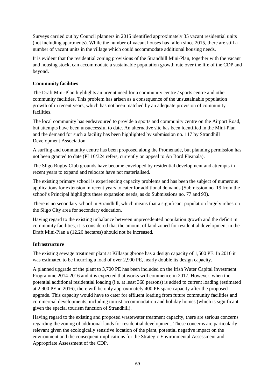Surveys carried out by Council planners in 2015 identified approximately 35 vacant residential units (not including apartments). While the number of vacant houses has fallen since 2015, there are still a number of vacant units in the village which could accommodate additional housing needs.

It is evident that the residential zoning provisions of the Strandhill Mini-Plan, together with the vacant and housing stock, can accommodate a sustainable population growth rate over the life of the CDP and beyond.

### **Community facilities**

The Draft Mini-Plan highlights an urgent need for a community centre / sports centre and other community facilities. This problem has arisen as a consequence of the unsustainable population growth of in recent years, which has not been matched by an adequate provision of community facilities.

The local community has endeavoured to provide a sports and community centre on the Airport Road, but attempts have been unsuccessful to date. An alternative site has been identified in the Mini-Plan and the demand for such a facility has been highlighted by submission no. 117 by Strandhill Development Association.

A surfing and community centre has been proposed along the Promenade, but planning permission has not been granted to date (PL16/324 refers, currently on appeal to An Bord Pleanala).

The Sligo Rugby Club grounds have become enveloped by residential development and attempts in recent years to expand and relocate have not materialised.

The existing primary school is experiencing capacity problems and has been the subject of numerous applications for extension in recent years to cater for additional demands (Submission no. 19 from the school's Principal highlights these expansion needs, as do Submissions no. 77 and 93).

There is no secondary school in Strandhill, which means that a significant population largely relies on the Sligo City area for secondary education.

Having regard to the existing imbalance between unprecedented population growth and the deficit in community facilities, it is considered that the amount of land zoned for residential development in the Draft Mini-Plan a (12.26 hectares) should not be increased.

## **Infrastructure**

The existing sewage treatment plant at Killaspugbrone has a design capacity of 1,500 PE. In 2016 it was estimated to be incurring a load of over 2,900 PE, nearly double its design capacity.

A planned upgrade of the plant to 3,700 PE has been included on the Irish Water Capital Investment Programme 2014-2016 and it is expected that works will commence in 2017. However, when the potential additional residential loading (i.e. at least 368 persons) is added to current loading (estimated at 2,900 PE in 2016), there will be only approximately 400 PE spare capacity after the proposed upgrade. This capacity would have to cater for effluent loading from future community facilities and commercial developments, including tourist accommodation and holiday homes (which is significant given the special tourism function of Strandhill).

Having regard to the existing and proposed wastewater treatment capacity, there are serious concerns regarding the zoning of additional lands for residential development. These concerns are particularly relevant given the ecologically sensitive location of the plant, potential negative impact on the environment and the consequent implications for the Strategic Environmental Assessment and Appropriate Assessment of the CDP.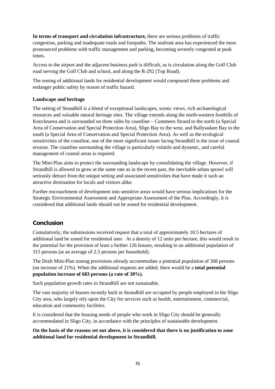**In terms of transport and circulation infrastructure,** there are serious problems of traffic congestion, parking and inadequate roads and footpaths. The seafront area has experienced the most pronounced problems with traffic management and parking, becoming severely congested at peak times.

Access to the airport and the adjacent business park is difficult, as is circulation along the Golf Club road serving the Golf Club and school, and along the R-292 (Top Road).

The zoning of additional lands for residential development would compound these problems and endanger public safety by reason of traffic hazard.

#### **Landscape and heritage**

The setting of Strandhill is a blend of exceptional landscapes, scenic views, rich archaeological resources and valuable natural heritage sites. The village extends along the north-western foothills of Knocknarea and is surrounded on three sides by coastline – Cummeen Strand to the north (a Special Area of Conservation and Special Protection Area), Sligo Bay to the west, and Ballysadare Bay to the south (a Special Area of Conservation and Special Protection Area). As well as the ecological sensitivities of the coastline, one of the more significant issues facing Strandhill is the issue of coastal erosion. The coastline surrounding the village is particularly volatile and dynamic, and careful management of coastal areas is required.

The Mini-Plan aims to protect the surrounding landscape by consolidating the village. However, if Strandhill is allowed to grow at the same rate as in the recent past, the inevitable urban sprawl will seriously detract from the unique setting and associated sensitivities that have made it such an attractive destination for locals and visitors alike.

Further encroachment of development into sensitive areas would have serious implications for the Strategic Environmental Assessment and Appropriate Assessment of the Plan. Accordingly, it is considered that additional lands should not be zoned for residential development.

## **Conclusion**

Cumulatively, the submissions received request that a total of approximately 10.5 hectares of additional land be zoned for residential uses. At a density of 12 units per hectare, this would result in the potential for the provision of least a further 126 houses, resulting in an additional population of 315 persons (at an average of 2.5 persons per household).

The Draft Mini-Plan zoning provisions already accommodate a potential population of 368 persons (an increase of 21%). When the additional requests are added, there would be a **total potential population increase of 683 persons (a rate of 38%).** 

Such population growth rates in Strandhill are not sustainable.

The vast majority of houses recently built in Strandhill are occupied by people employed in the Sligo City area, who largely rely upon the City for services such as health, entertainment, commercial, education and community facilities.

It is considered that the housing needs of people who work in Sligo City should be generally accommodated in Sligo City, in accordance with the principles of sustainable development.

**On the basis of the reasons set out above, it is considered that there is no justification to zone additional land for residential development in Strandhill.**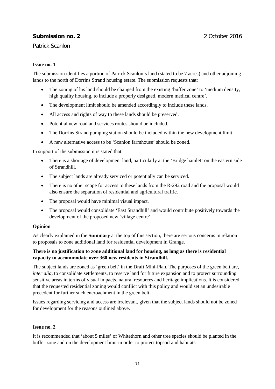# **Submission no. 2** 2 December 2016

#### Patrick Scanlon

#### **Issue no. 1**

The submission identifies a portion of Patrick Scanlon's land (stated to be 7 acres) and other adjoining lands to the north of Dorrins Strand housing estate. The submission requests that:

- The zoning of his land should be changed from the existing 'buffer zone' to 'medium density, high quality housing, to include a properly designed, modern medical centre'.
- The development limit should be amended accordingly to include these lands.
- All access and rights of way to these lands should be preserved.
- Potential new road and services routes should be included.
- The Dorrins Strand pumping station should be included within the new development limit.
- A new alternative access to be 'Scanlon farmhouse' should be zoned.

In support of the submission it is stated that:

- There is a shortage of development land, particularly at the 'Bridge hamlet' on the eastern side of Strandhill.
- The subject lands are already serviced or potentially can be serviced.
- There is no other scope for access to these lands from the R-292 road and the proposal would also ensure the separation of residential and agricultural traffic.
- The proposal would have minimal visual impact.
- The proposal would consolidate 'East Strandhill' and would contribute positively towards the development of the proposed new 'village centre'.

#### **Opinion**

As clearly explained in the **Summary** at the top of this section, there are serious concerns in relation to proposals to zone additional land for residential development in Grange.

### **There is no justification to zone additional land for housing, as long as there is residential capacity to accommodate over 360 new residents in Strandhill.**

The subject lands are zoned as 'green belt' in the Draft Mini-Plan. The purposes of the green belt are, *inter alia*, to consolidate settlements, to reserve land for future expansion and to protect surrounding sensitive areas in terms of visual impacts, natural resources and heritage implications. It is considered that the requested residential zoning would conflict with this policy and would set an undesirable precedent for further such encroachment in the green belt.

Issues regarding servicing and access are irrelevant, given that the subject lands should not be zoned for development for the reasons outlined above.

#### **Issue no. 2**

It is recommended that 'about 5 miles' of Whitethorn and other tree species should be planted in the buffer zone and on the development limit in order to protect topsoil and habitats.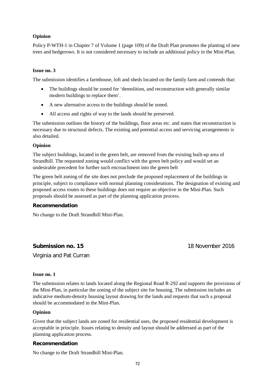#### **Opinion**

Policy P-WTH-1 in Chapter 7 of Volume 1 (page 109) of the Draft Plan promotes the planting of new trees and hedgerows. It is not considered necessary to include an additional policy in the Mini-Plan.

#### **Issue no. 3**

The submission identifies a farmhouse, loft and sheds located on the family farm and contends that:

- The buildings should be zoned for 'demolition, and reconstruction with generally similar modern buildings to replace them'.
- A new alternative access to the buildings should be zoned.
- All access and rights of way to the lands should be preserved.

The submission outlines the history of the buildings, floor areas etc. and states that reconstruction is necessary due to structural defects. The existing and potential access and servicing arrangements is also detailed.

#### **Opinion**

The subject buildings, located in the green belt, are removed from the existing built-up area of Strandhill. The requested zoning would conflict with the green belt policy and would set an undesirable precedent for further such encroachment into the green belt

The green belt zoning of the site does not preclude the proposed replacement of the buildings in principle, subject to compliance with normal planning considerations. The designation of existing and proposed access routes to these buildings does not require an objective in the Mini-Plan. Such proposals should be assessed as part of the planning application process.

#### **Recommendation**

No change to the Draft Strandhill Mini-Plan.

#### **Submission no. 15** 18 November 2016

Virginia and Pat Curran

#### **Issue no. 1**

The submission relates to lands located along the Regional Road R-292 and supports the provisions of the Mini-Plan, in particular the zoning of the subject site for housing. The submission includes an indicative medium-density housing layout drawing for the lands and requests that such a proposal should be accommodated in the Mini-Plan.

#### **Opinion**

Given that the subject lands are zoned for residential uses, the proposed residential development is acceptable in principle. Issues relating to density and layout should be addressed as part of the planning application process.

#### **Recommendation**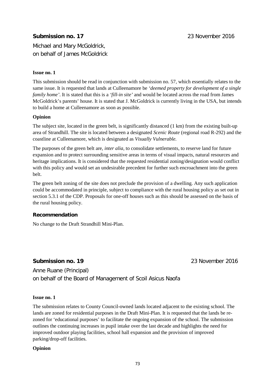# **Submission no. 17** 23 November 2016

Michael and Mary McGoldrick, on behalf of James McGoldrick

#### **Issue no. 1**

This submission should be read in conjunction with submission no. 57, which essentially relates to the same issue. It is requested that lands at Culleenamore be *'deemed property for development of a single family home'*. It is stated that this is a *'fill-in site'* and would be located across the road from James McGoldrick's parents' house. It is stated that J. McGoldrick is currently living in the USA, but intends to build a home at Culleenamore as soon as possible.

#### **Opinion**

The subject site, located in the green belt, is significantly distanced (1 km) from the existing built-up area of Strandhill. The site is located between a designated *Scenic Route* (regional road R-292) and the coastline at Culleenamore, which is designated as *Visually Vulnerable.*

The purposes of the green belt are, *inter alia,* to consolidate settlements, to reserve land for future expansion and to protect surrounding sensitive areas in terms of visual impacts, natural resources and heritage implications. It is considered that the requested residential zoning/designation would conflict with this policy and would set an undesirable precedent for further such encroachment into the green belt.

The green belt zoning of the site does not preclude the provision of a dwelling. Any such application could be accommodated in principle, subject to compliance with the rural housing policy as set out in section 5.3.1 of the CDP. Proposals for one-off houses such as this should be assessed on the basis of the rural housing policy.

#### **Recommendation**

No change to the Draft Strandhill Mini-Plan.

## **Submission no. 19** 23 November 2016

Anne Ruane (Principal) on behalf of the Board of Management of Scoil Asicus Naofa

#### **Issue no. 1**

The submission relates to County Council-owned lands located adjacent to the existing school. The lands are zoned for residential purposes in the Draft Mini-Plan. It is requested that the lands be rezoned for 'educational purposes' to facilitate the ongoing expansion of the school. The submission outlines the continuing increases in pupil intake over the last decade and highlights the need for improved outdoor playing facilities, school hall expansion and the provision of improved parking/drop-off facilities.

**Opinion**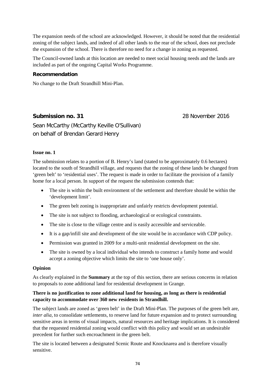The expansion needs of the school are acknowledged. However, it should be noted that the residential zoning of the subject lands, and indeed of all other lands to the rear of the school, does not preclude the expansion of the school. There is therefore no need for a change in zoning as requested.

The Council-owned lands at this location are needed to meet social housing needs and the lands are included as part of the ongoing Capital Works Programme.

#### **Recommendation**

No change to the Draft Strandhill Mini-Plan.

# **Submission no. 31** 28 November 2016

Sean McCarthy (McCarthy Keville O'Sullivan) on behalf of Brendan Gerard Henry

#### **Issue no. 1**

The submission relates to a portion of B. Henry's land (stated to be approximately 0.6 hectares) located to the south of Strandhill village, and requests that the zoning of these lands be changed from 'green belt' to 'residential uses'. The request is made in order to facilitate the provision of a family home for a local person. In support of the request the submission contends that:

- The site is within the built environment of the settlement and therefore should be within the 'development limit'.
- The green belt zoning is inappropriate and unfairly restricts development potential.
- The site is not subject to flooding, archaeological or ecological constraints.
- The site is close to the village centre and is easily accessible and serviceable.
- It is a gap/infill site and development of the site would be in accordance with CDP policy.
- Permission was granted in 2009 for a multi-unit residential development on the site.
- The site is owned by a local individual who intends to construct a family home and would accept a zoning objective which limits the site to 'one house only'.

#### **Opinion**

As clearly explained in the **Summary** at the top of this section, there are serious concerns in relation to proposals to zone additional land for residential development in Grange.

#### **There is no justification to zone additional land for housing, as long as there is residential capacity to accommodate over 360 new residents in Strandhill.**

The subject lands are zoned as 'green belt' in the Draft Mini-Plan. The purposes of the green belt are, *inter alia*, to consolidate settlements, to reserve land for future expansion and to protect surrounding sensitive areas in terms of visual impacts, natural resources and heritage implications. It is considered that the requested residential zoning would conflict with this policy and would set an undesirable precedent for further such encroachment in the green belt.

The site is located between a designated Scenic Route and Knocknarea and is therefore visually sensitive.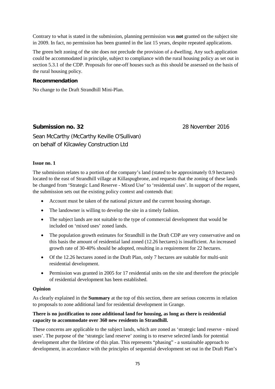Contrary to what is stated in the submission, planning permission was **not** granted on the subject site in 2009. In fact, no permission has been granted in the last 15 years, despite repeated applications.

The green belt zoning of the site does not preclude the provision of a dwelling. Any such application could be accommodated in principle, subject to compliance with the rural housing policy as set out in section 5.3.1 of the CDP. Proposals for one-off houses such as this should be assessed on the basis of the rural housing policy.

#### **Recommendation**

No change to the Draft Strandhill Mini-Plan.

### **Submission no. 32** 28 November 2016

Sean McCarthy (McCarthy Keville O'Sullivan) on behalf of Kilcawley Construction Ltd

#### **Issue no. 1**

The submission relates to a portion of the company's land (stated to be approximately 0.9 hectares) located to the east of Strandhill village at Killaspugbrone, and requests that the zoning of these lands be changed from 'Strategic Land Reserve - Mixed Use' to 'residential uses'. In support of the request, the submission sets out the existing policy context and contends that:

- Account must be taken of the national picture and the current housing shortage.
- The landowner is willing to develop the site in a timely fashion.
- The subject lands are not suitable to the type of commercial development that would be included on 'mixed uses' zoned lands.
- The population growth estimates for Strandhill in the Draft CDP are very conservative and on this basis the amount of residential land zoned (12.26 hectares) is insufficient. An increased growth rate of 30-40% should be adopted, resulting in a requirement for 22 hectares.
- Of the 12.26 hectares zoned in the Draft Plan, only 7 hectares are suitable for multi-unit residential development.
- Permission was granted in 2005 for 17 residential units on the site and therefore the principle of residential development has been established.

#### **Opinion**

As clearly explained in the **Summary** at the top of this section, there are serious concerns in relation to proposals to zone additional land for residential development in Grange.

#### **There is no justification to zone additional land for housing, as long as there is residential capacity to accommodate over 360 new residents in Strandhill.**

These concerns are applicable to the subject lands, which are zoned as 'strategic land reserve - mixed uses'. The purpose of the 'strategic land reserve' zoning is to reserve selected lands for potential development after the lifetime of this plan. This represents "phasing" - a sustainable approach to development, in accordance with the principles of sequential development set out in the Draft Plan's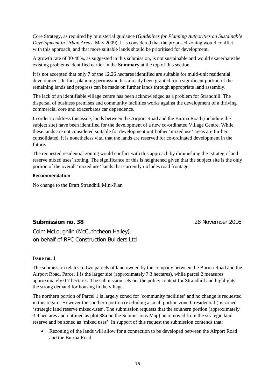Core Strategy, as required by ministerial guidance (*Guidelines for Planning Authorities on Sustainable Development in Urban Areas*, May 2009). It is considered that the proposed zoning would conflict with this approach, and that more suitable lands should be prioritised for development.

A growth rate of 30-40%, as suggested in this submission, is not sustainable and would exacerbate the existing problems identified earlier in the **Summary** at the top of this section.

It is not accepted that only 7 of the 12.26 hectares identified are suitable for multi-unit residential development. In fact, planning permission has already been granted for a significant portion of the remaining lands and progress can be made on further lands through appropriate land assembly.

The lack of an identifiable village centre has been acknowledged as a problem for Strandhill. The dispersal of business premises and community facilities works against the development of a thriving commercial core and exacerbates car dependence.

In order to address this issue, lands between the Airport Road and the Burma Road (including the subject site) have been identified for the development of a new co-ordinated Village Centre. While these lands are not considered suitable for development until other 'mixed use' areas are further consolidated, it is nonetheless vital that the lands are reserved for co-ordinated development in the future.

The requested residential zoning would conflict with this approach by diminishing the 'strategic land reserve mixed uses' zoning. The significance of this is heightened given that the subject site is the only portion of the overall 'mixed use' lands that currently includes road frontage.

#### **Recommendation**

No change to the Draft Strandhill Mini-Plan.

# **Submission no. 38** 28 November 2016

Colm McLoughlin (McCuthcheon Halley) on behalf of RPC Construction Builders Ltd

#### **Issue no. 1**

The submission relates to two parcels of land owned by the company between the Burma Road and the Airport Road. Parcel 1 is the larger site (approximately 7.3 hectares), while parcel 2 measures approximately 0.7 hectares. The submission sets out the policy context for Strandhill and highlights the strong demand for housing in the village.

The northern portion of Parcel 1 is largely zoned for 'community facilities' and no change is requested in this regard. However the southern portion (excluding a small portion zoned 'residential') is zoned 'strategic land reserve mixed-uses'. The submission requests that the southern portion (approximately 3.9 hectares and outlined as plot **38a** on the Submissions Map) be removed from the strategic land reserve and be zoned as 'mixed uses'. In support of this request the submission contends that:

• Rezoning of the lands will allow for a connection to be developed between the Airport Road and the Burma Road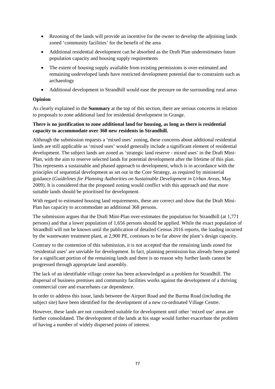- Rezoning of the lands will provide an incentive for the owner to develop the adjoining lands zoned 'community facilities' for the benefit of the area
- Additional residential development can be absorbed as the Draft Plan underestimates future population capacity and housing supply requirements
- The extent of housing supply available from existing permissions is over-estimated and remaining undeveloped lands have restricted development potential due to constraints such as archaeology
- Additional development in Strandhill would ease the pressure on the surrounding rural areas

### **Opinion**

As clearly explained in the **Summary** at the top of this section, there are serious concerns in relation to proposals to zone additional land for residential development in Grange.

#### **There is no justification to zone additional land for housing, as long as there is residential capacity to accommodate over 360 new residents in Strandhill.**

Although the submission requests a 'mixed uses' zoning, these concerns about additional residential lands are still applicable as 'mixed uses' would generally include a significant element of residential development. The subject lands are zoned as 'strategic land reserve - mixed uses' in the Draft Mini-Plan, with the aim to reserve selected lands for potential development after the lifetime of this plan. This represents a sustainable and phased approach to development, which is in accordance with the principles of sequential development as set out in the Core Strategy, as required by ministerial guidance (*Guidelines for Planning Authorities on Sustainable Development in Urban Areas*, May 2009). It is considered that the proposed zoning would conflict with this approach and that more suitable lands should be prioritised for development.

With regard to estimated housing land requirements, these are correct and show that the Draft Mini-Plan has capacity to accommodate an additional 368 persons.

The submission argues that the Draft Mini-Plan over-estimates the population for Strandhill (at 1,771 persons) and that a lower population of 1,656 persons should be applied. While the exact population of Strandhill will not be known until the publication of detailed Census 2016 reports, the loading incurred by the wastewater treatment plant, at 2,900 PE, continues to be far above the plant's design capacity.

Contrary to the contention of this submission, it is not accepted that the remaining lands zoned for 'residential uses' are unviable for development. In fact, planning permission has already been granted for a significant portion of the remaining lands and there is no reason why further lands cannot be progressed through appropriate land assembly.

The lack of an identifiable village centre has been acknowledged as a problem for Strandhill. The dispersal of business premises and community facilities works against the development of a thriving commercial core and exacerbates car dependence.

In order to address this issue, lands between the Airport Road and the Burma Road (including the subject site) have been identified for the development of a new co-ordinated Village Centre.

However, these lands are not considered suitable for development until other 'mixed use' areas are further consolidated. The development of the lands at his stage would further exacerbate the problem of having a number of widely dispersed points of interest.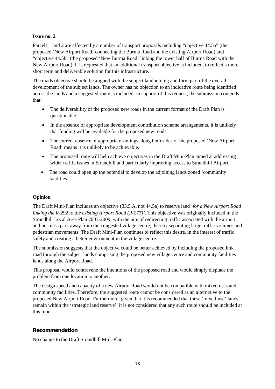#### **Issue no. 2**

Parcels 1 and 2 are affected by a number of transport proposals including "objective 44.5a" (the proposed 'New Airport Road' connecting the Burma Road and the existing Airport Road) and "objective 44.5b" (the proposed 'New Burma Road' linking the lower half of Burma Road with the New Airport Road). It is requested that an additional transport objective is included, to reflect a more short term and deliverable solution for this infrastructure.

The roads objective should be aligned with the subject landholding and form part of the overall development of the subject lands. The owner has no objection to an indicative route being identified across the lands and a suggested route is included. In support of this request, the submission contends that:

- The deliverability of the proposed new roads in the current format of the Draft Plan is questionable.
- In the absence of appropriate development contribution scheme arrangements, it is unlikely that funding will be available for the proposed new roads.
- The current absence of appropriate zonings along both sides of the proposed 'New Airport Road' means it is unlikely to be achievable.
- The proposed route will help achieve objectives in the Draft Mini-Plan aimed at addressing wider traffic issues in Strandhill and particularly improving access to Strandhill Airport.
- The road could open up the potential to develop the adjoining lands zoned 'community facilities'.

#### **Opinion**

The Draft Mini-Plan includes an objective (33.5.A, not 44.5a) to reserve land '*for a New Airport Road linking the R-292 to the existing Airport Road (R-277)'*. This objective was originally included in the Strandhill Local Area Plan 2003-2009, with the aim of redirecting traffic associated with the airport and business park away from the congested village centre, thereby separating large traffic volumes and pedestrian movements. The Draft Mini-Plan continues to reflect this desire, in the interest of traffic safety and creating a better environment in the village centre.

The submission suggests that the objective could be better achieved by including the proposed link road through the subject lands comprising the proposed new village centre and community facilities lands along the Airport Road.

This proposal would contravene the intentions of the proposed road and would simply displace the problem from one location to another.

The design speed and capacity of a new Airport Road would not be compatible with mixed uses and community facilities. Therefore, the suggested route cannot be considered as an alternative to the proposed New Airport Road. Furthermore, given that it is recommended that these 'mixed-use' lands remain within the 'strategic land reserve', it is not considered that any such route should be included at this time.

#### **Recommendation**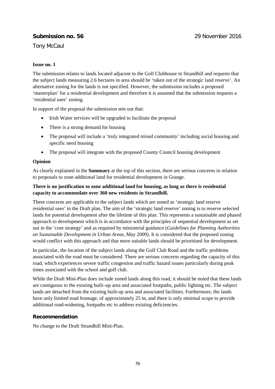## **Submission no. 56** 29 November 2016

Tony McCaul

#### **Issue no. 1**

The submission relates to lands located adjacent to the Golf Clubhouse in Strandhill and requests that the subject lands measuring 2.6 hectares in area should be 'taken out of the strategic land reserve'. An alternative zoning for the lands is not specified. However, the submission includes a proposed 'masterplan' for a residential development and therefore it is assumed that the submission requests a 'residential uses' zoning.

In support of the proposal the submission sets out that:

- Irish Water services will be upgraded to facilitate the proposal
- There is a strong demand for housing
- The proposal will include a 'truly integrated mixed community' including social housing and specific need housing
- The proposal will integrate with the proposed County Council housing development

#### **Opinion**

As clearly explained in the **Summary** at the top of this section, there are serious concerns in relation to proposals to zone additional land for residential development in Grange.

#### **There is no justification to zone additional land for housing, as long as there is residential capacity to accommodate over 360 new residents in Strandhill.**

These concerns are applicable to the subject lands which are zoned as 'strategic land reserve residential uses' in the Draft plan. The aim of the 'strategic land reserve' zoning is to reserve selected lands for potential development after the lifetime of this plan. This represents a sustainable and phased approach to development which is in accordance with the principles of sequential development as set out in the 'core strategy' and as required by ministerial guidance (*Guidelines for Planning Authorities on Sustainable Development in Urban Areas*, May 2009). It is considered that the proposed zoning would conflict with this approach and that more suitable lands should be prioritised for development.

In particular, the location of the subject lands along the Golf Club Road and the traffic problems associated with the road must be considered. There are serious concerns regarding the capacity of this road, which experiences severe traffic congestion and traffic hazard issues particularly during peak times associated with the school and golf club.

While the Draft Mini-Plan does include zoned lands along this road, it should be noted that these lands are contiguous to the existing built–up area and associated footpaths, public lighting etc. The subject lands are detached from the existing built-up area and associated facilities. Furthermore, the lands have only limited road frontage, of approximately 25 m, and there is only minimal scope to provide additional road-widening, footpaths etc to address existing deficiencies.

#### **Recommendation**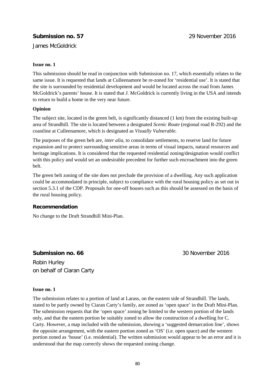# **Submission no. 57** 29 November 2016

James McGoldrick

#### **Issue no. 1**

This submission should be read in conjunction with Submission no. 17, which essentially relates to the same issue. It is requested that lands at Culleenamore be re-zoned for 'residential use'. It is stated that the site is surrounded by residential development and would be located across the road from James McGoldrick's parents' house. It is stated that J. McGoldrick is currently living in the USA and intends to return to build a home in the very near future.

#### **Opinion**

The subject site, located in the green belt, is significantly distanced (1 km) from the existing built-up area of Strandhill. The site is located between a designated *Scenic Route* (regional road R-292) and the coastline at Culleenamore, which is designated as *Visually Vulnerable.*

The purposes of the green belt are, *inter alia,* to consolidate settlements, to reserve land for future expansion and to protect surrounding sensitive areas in terms of visual impacts, natural resources and heritage implications. It is considered that the requested residential zoning/designation would conflict with this policy and would set an undesirable precedent for further such encroachment into the green belt.

The green belt zoning of the site does not preclude the provision of a dwelling. Any such application could be accommodated in principle, subject to compliance with the rural housing policy as set out in section 5.3.1 of the CDP. Proposals for one-off houses such as this should be assessed on the basis of the rural housing policy.

#### **Recommendation**

No change to the Draft Strandhill Mini-Plan.

## **Submission no. 66** 30 November 2016

Robin Hurley on behalf of Ciaran Carty

#### **Issue no. 1**

The submission relates to a portion of land at Larass, on the eastern side of Strandhill. The lands, stated to be partly owned by Ciaran Carty's family, are zoned as 'open space' in the Draft Mini-Plan. The submission requests that the 'open space' zoning be limited to the western portion of the lands only, and that the eastern portion be suitably zoned to allow the construction of a dwelling for C. Carty. However, a map included with the submission, showing a 'suggested demarcation line', shows the opposite arrangement, with the eastern portion zoned as 'OS' (i.e. open space) and the western portion zoned as 'house' (i.e. residential). The written submission would appear to be an error and it is understood that the map correctly shows the requested zoning change.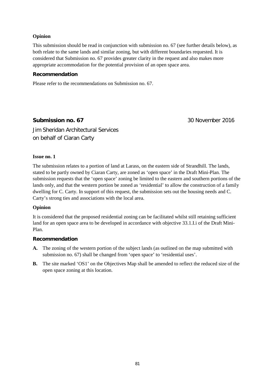#### **Opinion**

This submission should be read in conjunction with submission no. 67 (see further details below), as both relate to the same lands and similar zoning, but with different boundaries requested. It is considered that Submission no. 67 provides greater clarity in the request and also makes more appropriate accommodation for the potential provision of an open space area.

#### **Recommendation**

Please refer to the recommendations on Submission no. 67.

## **Submission no. 67** 30 November 2016

Jim Sheridan Architectural Services on behalf of Ciaran Carty

#### **Issue no. 1**

The submission relates to a portion of land at Larass, on the eastern side of Strandhill. The lands, stated to be partly owned by Ciaran Carty, are zoned as 'open space' in the Draft Mini-Plan. The submission requests that the 'open space' zoning be limited to the eastern and southern portions of the lands only, and that the western portion be zoned as 'residential' to allow the construction of a family dwelling for C. Carty. In support of this request, the submission sets out the housing needs and C. Carty's strong ties and associations with the local area.

#### **Opinion**

It is considered that the proposed residential zoning can be facilitated whilst still retaining sufficient land for an open space area to be developed in accordance with objective 33.1.I.i of the Draft Mini-Plan.

#### **Recommendation**

- **A.** The zoning of the western portion of the subject lands (as outlined on the map submitted with submission no. 67) shall be changed from 'open space' to 'residential uses'.
- **B.** The site marked 'OS1' on the Objectives Map shall be amended to reflect the reduced size of the open space zoning at this location.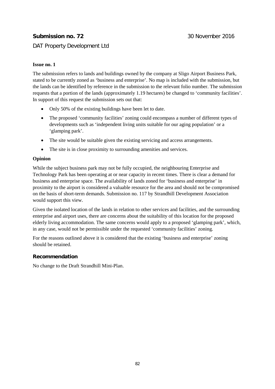# **Submission no. 72** 30 November 2016

## DAT Property Development Ltd

#### **Issue no. 1**

The submission refers to lands and buildings owned by the company at Sligo Airport Business Park, stated to be currently zoned as 'business and enterprise'. No map is included with the submission, but the lands can be identified by reference in the submission to the relevant folio number. The submission requests that a portion of the lands (approximately 1.19 hectares) be changed to 'community facilities'. In support of this request the submission sets out that:

- Only 50% of the existing buildings have been let to date.
- The proposed 'community facilities' zoning could encompass a number of different types of developments such as 'independent living units suitable for our aging population' or a 'glamping park'.
- The site would be suitable given the existing servicing and access arrangements.
- The site is in close proximity to surrounding amenities and services.

#### **Opinion**

While the subject business park may not be fully occupied, the neighbouring Enterprise and Technology Park has been operating at or near capacity in recent times. There is clear a demand for business and enterprise space. The availability of lands zoned for 'business and enterprise' in proximity to the airport is considered a valuable resource for the area and should not be compromised on the basis of short-term demands. Submission no. 117 by Strandhill Development Association would support this view.

Given the isolated location of the lands in relation to other services and facilities, and the surrounding enterprise and airport uses, there are concerns about the suitability of this location for the proposed elderly living accommodation. The same concerns would apply to a proposed 'glamping park', which, in any case, would not be permissible under the requested 'community facilities' zoning.

For the reasons outlined above it is considered that the existing 'business and enterprise' zoning should be retained.

#### **Recommendation**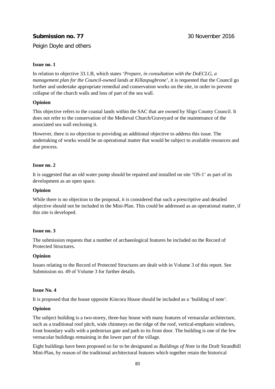# **Submission no. 77** 30 November 2016

Peigin Doyle and others

#### **Issue no. 1**

In relation to objective 33.1.B, which states '*Prepare, in consultation with the DoECLG, a management plan for the Council-owned lands at Killaspugbrone*', it is requested that the Council go further and undertake appropriate remedial and conservation works on the site, in order to prevent collapse of the church walls and loss of part of the sea wall.

#### **Opinion**

This objective refers to the coastal lands within the SAC that are owned by Sligo County Council. It does not refer to the conservation of the Medieval Church/Graveyard or the maintenance of the associated sea wall enclosing it.

However, there is no objection to providing an additional objective to address this issue. The undertaking of works would be an operational matter that would be subject to available resources and due process.

#### **Issue no. 2**

It is suggested that an old water pump should be repaired and installed on site 'OS-1' as part of its development as an open space.

#### **Opinion**

While there is no objection to the proposal, it is considered that such a prescriptive and detailed objective should not be included in the Mini-Plan. This could be addressed as an operational matter, if this site is developed.

#### **Issue no. 3**

The submission requests that a number of archaeological features be included on the Record of Protected Structures.

#### **Opinion**

Issues relating to the Record of Protected Structures are dealt with in Volume 3 of this report. See Submission no. 49 of Volume 3 for further details.

#### **Issue No. 4**

It is proposed that the house opposite Kincora House should be included as a 'building of note'.

#### **Opinion**

The subject building is a two-storey, three-bay house with many features of vernacular architecture, such as a traditional roof pitch, wide chimneys on the ridge of the roof, vertical-emphasis windows, front boundary walls with a pedestrian gate and path to its front door. The building is one of the few vernacular buildings remaining in the lower part of the village.

Eight buildings have been proposed so far to be designated as *Buildings of Note* in the Draft Strandhill Mini-Plan, by reason of the traditional architectural features which together retain the historical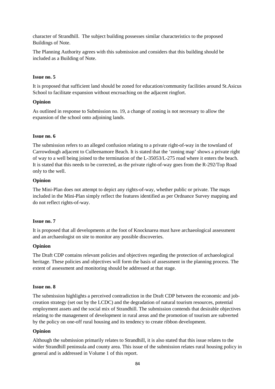character of Strandhill. The subject building possesses similar characteristics to the proposed Buildings of Note.

The Planning Authority agrees with this submission and considers that this building should be included as a Building of Note.

#### **Issue no. 5**

It is proposed that sufficient land should be zoned for education/community facilities around St.Asicus School to facilitate expansion without encroaching on the adjacent ringfort.

#### **Opinion**

As outlined in response to Submission no. 19, a change of zoning is not necessary to allow the expansion of the school onto adjoining lands.

#### **Issue no. 6**

The submission refers to an alleged confusion relating to a private right-of-way in the townland of Carrowdough adjacent to Culleenamore Beach. It is stated that the 'zoning map' shows a private right of way to a well being joined to the termination of the L-35053/L-275 road where it enters the beach. It is stated that this needs to be corrected, as the private right-of-way goes from the R-292/Top Road only to the well.

#### **Opinion**

The Mini-Plan does not attempt to depict any rights-of-way, whether public or private. The maps included in the Mini-Plan simply reflect the features identified as per Ordnance Survey mapping and do not reflect rights-of-way.

#### **Issue no. 7**

It is proposed that all developments at the foot of Knocknarea must have archaeological assessment and an archaeologist on site to monitor any possible discoveries.

#### **Opinion**

The Draft CDP contains relevant policies and objectives regarding the protection of archaeological heritage. These policies and objectives will form the basis of assessment in the planning process. The extent of assessment and monitoring should be addressed at that stage.

#### **Issue no. 8**

The submission highlights a perceived contradiction in the Draft CDP between the economic and jobcreation strategy (set out by the LCDC) and the degradation of natural tourism resources, potential employment assets and the social mix of Strandhill. The submission contends that desirable objectives relating to the management of development in rural areas and the promotion of tourism are subverted by the policy on one-off rural housing and its tendency to create ribbon development.

#### **Opinion**

Although the submission primarily relates to Strandhill, it is also stated that this issue relates to the wider Strandhill peninsula and county area. This issue of the submission relates rural housing policy in general and is addressed in Volume 1 of this report.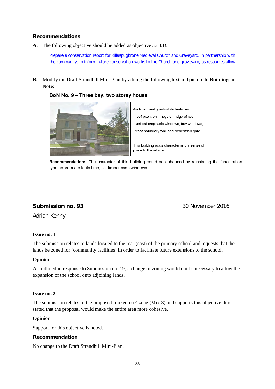#### **Recommendations**

**A.** The following objective should be added as objective 33.3.D:

Prepare a conservation report for Killaspugbrone Medieval Church and Graveyard, in partnership with the community, to inform future conservation works to the Church and graveyard, as resources allow.

**B.** Modify the Draft Strandhill Mini-Plan by adding the following text and picture to **Buildings of Note:**

**BoN No. 9 – Three bay, two storey house** 





**Recommendation:** The character of this building could be enhanced by reinstating the fenestration type appropriate to its time, i.e. timber sash windows.

## **Submission no. 93** 30 November 2016

Adrian Kenny

#### **Issue no. 1**

The submission relates to lands located to the rear (east) of the primary school and requests that the lands be zoned for 'community facilities' in order to facilitate future extensions to the school.

#### **Opinion**

As outlined in response to Submission no. 19, a change of zoning would not be necessary to allow the expansion of the school onto adjoining lands.

#### **Issue no. 2**

The submission relates to the proposed 'mixed use' zone (Mix-3) and supports this objective. It is stated that the proposal would make the entire area more cohesive.

#### **Opinion**

Support for this objective is noted.

#### **Recommendation**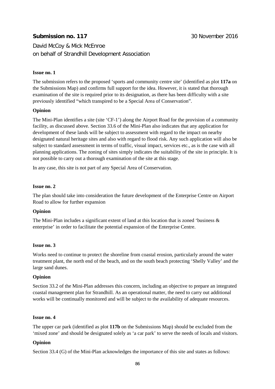# **Submission no. 117** 30 November 2016

David McCoy & Mick McEnroe on behalf of Strandhill Development Association

#### **Issue no. 1**

The submission refers to the proposed 'sports and community centre site' (identified as plot **117a** on the Submissions Map) and confirms full support for the idea. However, it is stated that thorough examination of the site is required prior to its designation, as there has been difficulty with a site previously identified "which transpired to be a Special Area of Conservation".

#### **Opinion**

The Mini-Plan identifies a site (site 'CF-1') along the Airport Road for the provision of a community facility, as discussed above. Section 33.6 of the Mini-Plan also indicates that any application for development of these lands will be subject to assessment with regard to the impact on nearby designated natural heritage sites and also with regard to flood risk. Any such application will also be subject to standard assessment in terms of traffic, visual impact, services etc., as is the case with all planning applications. The zoning of sites simply indicates the suitability of the site in principle. It is not possible to carry out a thorough examination of the site at this stage.

In any case, this site is not part of any Special Area of Conservation.

#### **Issue no. 2**

The plan should take into consideration the future development of the Enterprise Centre on Airport Road to allow for further expansion

#### **Opinion**

The Mini-Plan includes a significant extent of land at this location that is zoned 'business  $\&$ enterprise' in order to facilitate the potential expansion of the Enterprise Centre.

#### **Issue no. 3**

Works need to continue to protect the shoreline from coastal erosion, particularly around the water treatment plant, the north end of the beach, and on the south beach protecting 'Shelly Valley' and the large sand dunes.

#### **Opinion**

Section 33.2 of the Mini-Plan addresses this concern, including an objective to prepare an integrated coastal management plan for Strandhill. As an operational matter, the need to carry out additional works will be continually monitored and will be subject to the availability of adequate resources.

#### **Issue no. 4**

The upper car park (identified as plot **117b** on the Submissions Map) should be excluded from the 'mixed zone' and should be designated solely as 'a car park' to serve the needs of locals and visitors.

#### **Opinion**

Section 33.4 (G) of the Mini-Plan acknowledges the importance of this site and states as follows: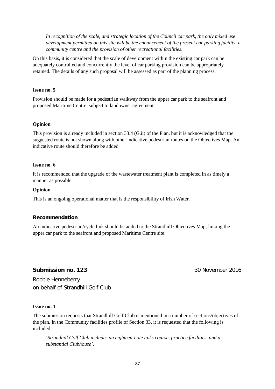*In recognition of the scale, and strategic location of the Council car park, the only mixed use development permitted on this site will be the enhancement of the present car parking facility, a community centre and the provision of other recreational facilities.*

On this basis, it is considered that the scale of development within the existing car park can be adequately controlled and concurrently the level of car parking provision can be appropriately retained. The details of any such proposal will be assessed as part of the planning process.

#### **Issue no. 5**

Provision should be made for a pedestrian walkway from the upper car park to the seafront and proposed Maritime Centre, subject to landowner agreement

#### **Opinion**

This provision is already included in section 33.4 (G.ii) of the Plan, but it is acknowledged that the suggested route is not shown along with other indicative pedestrian routes on the Objectives Map. An indicative route should therefore be added.

#### **Issue no. 6**

It is recommended that the upgrade of the wastewater treatment plant is completed in as timely a manner as possible.

#### **Opinion**

This is an ongoing operational matter that is the responsibility of Irish Water.

#### **Recommendation**

An indicative pedestrian/cycle link should be added to the Strandhill Objectives Map, linking the upper car park to the seafront and proposed Maritime Centre site.

#### **Submission no. 123** 30 November 2016

Robbie Henneberry on behalf of Strandhill Golf Club

#### **Issue no. 1**

The submission requests that Strandhill Golf Club is mentioned in a number of sections/objectives of the plan. In the Community facilities profile of Section 33, it is requested that the following is included:

*'Strandhill Golf Club includes an eighteen-hole links course, practice facilities, and a substantial Clubhouse'.*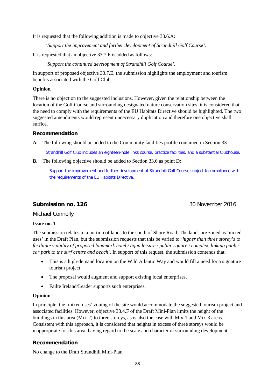It is requested that the following addition is made to objective 33.6.A:

*'Support the improvement and further development of Strandhill Golf Course'.* 

It is requested that an objective 33.7.E is added as follows:

*'Support the continued development of Strandhill Golf Course'.* 

In support of proposed objective 33.7.E, the submission highlights the employment and tourism benefits associated with the Golf Club.

#### **Opinion**

There is no objection to the suggested inclusions. However, given the relationship between the location of the Golf Course and surrounding designated nature conservation sites, it is considered that the need to comply with the requirements of the EU Habitats Directive should be highlighted. The two suggested amendments would represent unnecessary duplication and therefore one objective shall suffice.

#### **Recommendation**

**A.** The following should be added to the Community facilities profile contained in Section 33:

Strandhill Golf Club includes an eighteen-hole links course, practice facilities, and a substantial Clubhouse.

**B.** The following objective should be added to Section 33.6 as point D:

Support the improvement and further development of Strandhill Golf Course subject to compliance with the requirements of the EU Habitats Directive.

## **Submission no. 126 30 November 2016**

Michael Connolly

#### **Issue no. 1**

The submission relates to a portion of lands to the south of Shore Road. The lands are zoned as 'mixed uses' in the Draft Plan, but the submission requests that this be varied to *'higher than three storey's to facilitate viability of proposed landmark hotel / aqua leisure / public square / complex, linking public car park to the surf centre and beach*'. In support of this request, the submission contends that:

- This is a high-demand location on the Wild Atlantic Way and would fill a need for a signature tourism project.
- The proposal would augment and support existing local enterprises.
- Failte Ireland/Leader supports such enterprises.

#### **Opinion**

In principle, the 'mixed uses' zoning of the site would accommodate the suggested tourism project and associated facilities. However, objective 33.4.F of the Draft Mini-Plan limits the height of the buildings in this area (Mix-2) to three storeys, as is also the case with Mix-1 and Mix-3 areas. Consistent with this approach, it is considered that heights in excess of three storeys would be inappropriate for this area, having regard to the scale and character of surrounding development.

#### **Recommendation**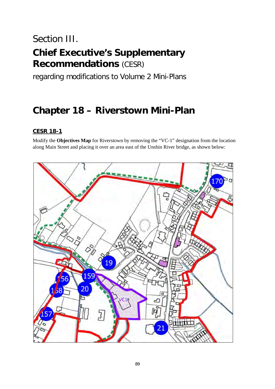# Section III.

# **Chief Executive's Supplementary Recommendations** (CESR)

regarding modifications to Volume 2 Mini-Plans

# **Chapter 18 – Riverstown Mini-Plan**

# **CESR 18-1**

Modify the **Objectives Map** for Riverstown by removing the "VC-1" designation from the location along Main Street and placing it over an area east of the Unshin River bridge, as shown below:

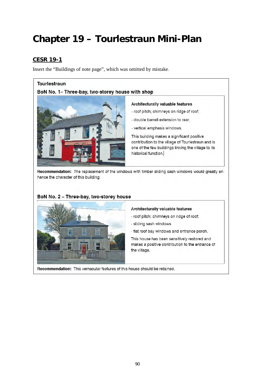# **Chapter 19 – Tourlestraun Mini-Plan**

# **CESR 19-1**

Insert the "Buildings of note page", which was omitted by mistake.

#### Tourlestraun

# BoN No. 1- Three-bay, two-storey house with shop



#### Architecturally valuable features

- roof pitch; chimneys on ridge of roof;
- double barrell extension to rear:
- vertical emphasis windows.

This building makes a significant positive contribution to the village of Tourlestraun and is one of the few buildings linking the village to its historical function.

Recommendation: The replacement of the windows with timber sliding sash windows would greatly enhance the character of this building.

#### BoN No. 2 - Three-bay, two-storey house



#### Architecturally valuable features

- roof pitch; chimneys on ridge of roof;
- sliding sash windows
- flat roof bay windows and entrance porch.

This house has been sensitively restored and makes a positive contribution to the entrance of the village.

Recommendation: This vernacular features of this house should be retained.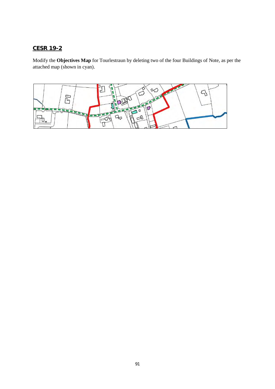# **CESR 19-2**

Modify the **Objectives Map** for Tourlestraun by deleting two of the four Buildings of Note, as per the attached map (shown in cyan).

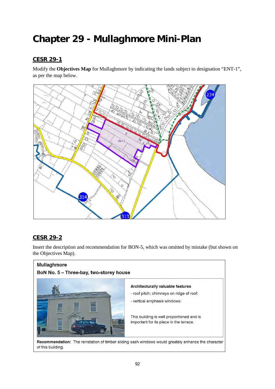# **Chapter 29 - Mullaghmore Mini-Plan**

# **CESR 29-1**

Modify the **Objectives Map** for Mullaghmore by indicating the lands subject to designation "ENT-1", as per the map below.



# **CESR 29-2**

Insert the description and recommendation for BON-5, which was omitted by mistake (but shown on the Objectives Map).

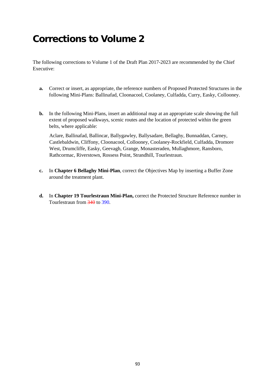# **Corrections to Volume 2**

The following corrections to Volume 1 of the Draft Plan 2017-2023 are recommended by the Chief Executive:

- **a.** Correct or insert, as appropriate, the reference numbers of Proposed Protected Structures in the following Mini-Plans: Ballinafad, Cloonacool, Coolaney, Culfadda, Curry, Easky, Collooney.
- **b.** In the following Mini-Plans, insert an additional map at an appropriate scale showing the full extent of proposed walkways, scenic routes and the location of protected within the green belts, where applicable:

Aclare, Ballinafad, Ballincar, Ballygawley, Ballysadare, Bellaghy, Bunnaddan, Carney, Castlebaldwin, Cliffony, Cloonacool, Collooney, Coolaney-Rockfield, Culfadda, Dromore West, Drumcliffe, Easky, Geevagh, Grange, Monasteraden, Mullaghmore, Ransboro, Rathcormac, Riverstown, Rossess Point, Strandhill, Tourlestraun.

- **c.** In **Chapter 6 Bellaghy Mini-Plan**, correct the Objectives Map by inserting a Buffer Zone around the treatment plant.
- **d.** In **Chapter 19 Tourlestraun Mini-Plan,** correct the Protected Structure Reference number in Tourlestraun from 340 to 390.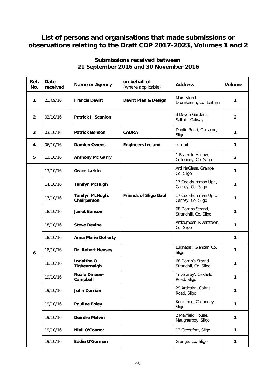# **List of persons and organisations that made submissions or observations relating to the Draft CDP 2017-2023, Volumes 1 and 2**

| Ref.<br>No.    | Date<br>received | Name or Agency                     | on behalf of<br>(where applicable) | <b>Address</b>                              | <b>Volume</b>  |
|----------------|------------------|------------------------------------|------------------------------------|---------------------------------------------|----------------|
| 1              | 21/09/16         | <b>Francis Davitt</b>              | Davitt Plan & Design               | Main Street,<br>Drumkeerin, Co. Leitrim     | 1              |
| $\overline{2}$ | 02/10/16         | Patrick J. Scanlon                 |                                    | 3 Devon Gardens,<br>Salthill, Galway        | 2              |
| 3              | 03/10/16         | <b>Patrick Benson</b>              | <b>CADRA</b>                       | Dublin Road, Carraroe,<br>Sligo             | 1              |
| 4              | 06/10/16         | <b>Damien Owens</b>                | <b>Engineers Ireland</b>           | e-mail                                      | 1              |
| 5              | 13/10/16         | <b>Anthony Mc Garry</b>            |                                    | 1 Bramble Hollow,<br>Collooney, Co. Sligo   | $\overline{2}$ |
|                | 13/10/16         | <b>Grace Larkin</b>                |                                    | Ard NaGlass, Grange,<br>Co. Sligo           | 1              |
|                | 14/10/16         | <b>Tamlyn McHugh</b>               |                                    | 17 Cooldrumman Upr.,<br>Carney, Co. Sligo   | 1              |
|                | 17/10/16         | Tamlyn McHugh,<br>Chairperson      | <b>Friends of Sligo Gaol</b>       | 17 Cooldrumman Upr.,<br>Carney, Co. Sligo   | 1              |
|                | 18/10/16         | <b>Janet Benson</b>                |                                    | 68 Dorrins Strand,<br>Strandhill, Co. Sligo | 1              |
|                | 18/10/16         | <b>Steve Devine</b>                |                                    | Ardcumber, Riverstown,<br>Co. Sligo         | 1              |
|                | 18/10/16         | <b>Anna Marie Doherty</b>          |                                    |                                             | 1              |
| 6              | 18/10/16         | Dr. Robert Hensey                  |                                    | Lugnagal, Glencar, Co.<br>Sligo             | 1              |
|                | 18/10/16         | <b>Iarlaithe O</b><br>Tighearnaigh |                                    | 68 Dorrin's Strand,<br>Strandhil, Co. Sligo | 1              |
|                | 19/10/16         | <b>Nuala Dineen-</b><br>Campbell   |                                    | 'Inveraray', Oakfield<br>Road, Sligo        | 1              |
|                | 19/10/16         | <b>John Dorrian</b>                |                                    | 29 Ardcairn, Cairns<br>Road, Sligo          | 1              |
|                | 19/10/16         | <b>Pauline Foley</b>               |                                    | Knockbeg, Collooney,<br>Sligo               | 1              |
|                | 19/10/16         | <b>Deirdre Melvin</b>              |                                    | 2 Mayfield House,<br>Maugherboy, Sligo      | 1              |
|                | 19/10/16         | <b>Niall O'Connor</b>              |                                    | 12 Greenfort, Sligo                         | $\mathbf{1}$   |
|                | 19/10/16         | Eddie O'Gorman                     |                                    | Grange, Co. Sligo                           | 1              |

# **Submissions received between 21 September 2016 and 30 November 2016**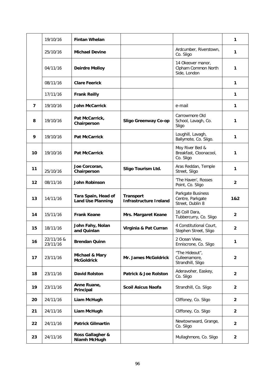|    | 19/10/16               | <b>Fintan Whelan</b>                            |                                                   |                                                           | 1              |
|----|------------------------|-------------------------------------------------|---------------------------------------------------|-----------------------------------------------------------|----------------|
|    | 25/10/16               | <b>Michael Devine</b>                           |                                                   | Ardcumber, Riverstown,<br>Co. Sligo                       | 1              |
|    | 04/11/16               | <b>Deirdre Molloy</b>                           |                                                   | 14 Okeover manor,<br>Clpham Common North<br>Side, London  | 1              |
|    | 08/11/16               | <b>Clare Feerick</b>                            |                                                   |                                                           | 1              |
|    | 17/11/16               | <b>Frank Reilly</b>                             |                                                   |                                                           | 1              |
| 7  | 19/10/16               | <b>John McCarrick</b>                           |                                                   | e-mail                                                    | 1              |
| 8  | 19/10/16               | Pat McCarrick,<br>Chairperson                   | <b>Sligo Greenway Co-op</b>                       | Carrowmore Old<br>School, Lavagh, Co.<br>Sligo            | 1              |
| 9  | 19/10/16               | <b>Pat McCarrick</b>                            |                                                   | Loughill, Lavagh,<br>Ballymote, Co. Sligo.                | 1              |
| 10 | 19/10/16               | <b>Pat McCarrick</b>                            |                                                   | Moy River Bed &<br>Breakfast, Cloonacool,<br>Co. Sligo    | 1              |
| 11 | 25/10/16               | Joe Corcoran,<br>Chairperson                    | Sligo Tourism Ltd.                                | Aras Reddan, Temple<br>Street, Sligo                      | 1              |
| 12 | 08/11/16               | <b>John Robinson</b>                            |                                                   | 'The Haven', Rosses<br>Point, Co. Sligo                   | $\overline{2}$ |
| 13 | 14/11/16               | Tara Spain, Head of<br><b>Land Use Planning</b> | <b>Transport</b><br><b>Infrastructure Ireland</b> | Parkgate Business<br>Centre, Parkgate<br>Street, Dublin 8 | 1&2            |
|    |                        |                                                 |                                                   | 16 Coill Dara,                                            |                |
| 14 | 15/11/16               | <b>Frank Keane</b>                              | Mrs. Margaret Keane                               | Tubbercurry, Co. Sligo                                    | 2              |
| 15 | 18/11/16               | John Fahy, Nolan<br>and Quinlan                 | Virginia & Pat Curran                             | 4 Constitutional Court,<br>Stephen Street, Sligo          | $\mathbf{2}$   |
| 16 | 22/11/16 &<br>23/11/16 | <b>Brendan Quinn</b>                            |                                                   | 2 Ocean View.<br>Enniscrone, Co. Sligo                    | 1              |
| 17 | 23/11/16               | Michael & Mary<br><b>McGoldrick</b>             | Mr. James McGoldrick                              | "The Hideout",<br>Culleenamore,<br>Strandhill, Sligo      | $\overline{2}$ |
| 18 | 23/11/16               | <b>David Rolston</b>                            | <b>Patrick &amp; Joe Rolston</b>                  | Aderavoher, Easkey,<br>Co. Sligo                          | $\overline{2}$ |
| 19 | 23/11/16               | Anne Ruane,<br>Principal                        | <b>Scoil Asicus Naofa</b>                         | Strandhill, Co. Sligo                                     | $\overline{2}$ |
| 20 | 24/11/16               | Liam McHugh                                     |                                                   | Cliffoney, Co. Sligo                                      | $\overline{2}$ |
| 21 | 24/11/16               | Liam McHugh                                     |                                                   | Cliffoney, Co. Sligo                                      | $\overline{2}$ |
| 22 | 24/11/16               | <b>Patrick Gilmartin</b>                        |                                                   | Newtownward, Grange,<br>Co. Sligo                         | $\overline{2}$ |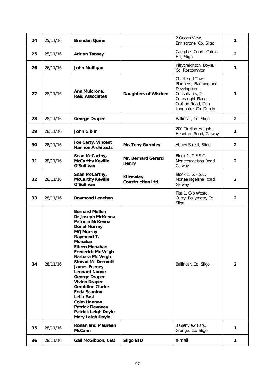| 24 | 25/11/16 | <b>Brendan Quinn</b>                                                                                                                                                                                                                                                                                                                                                                                                                                                                                      |                                       | 2 Ocean View,<br>Enniscrone, Co. Sligo                                                                                                      | 1              |
|----|----------|-----------------------------------------------------------------------------------------------------------------------------------------------------------------------------------------------------------------------------------------------------------------------------------------------------------------------------------------------------------------------------------------------------------------------------------------------------------------------------------------------------------|---------------------------------------|---------------------------------------------------------------------------------------------------------------------------------------------|----------------|
| 25 | 25/11/16 | <b>Adrian Tansey</b>                                                                                                                                                                                                                                                                                                                                                                                                                                                                                      |                                       | Campbell Court, Cairns<br>Hill, Sligo                                                                                                       | $\mathbf{2}$   |
| 26 | 26/11/16 | John Mulligan                                                                                                                                                                                                                                                                                                                                                                                                                                                                                             |                                       | Kiltycreighton, Boyle,<br>Co. Roscommon                                                                                                     | 1              |
| 27 | 28/11/16 | Ann Mulcrone,<br><b>Reid Associates</b>                                                                                                                                                                                                                                                                                                                                                                                                                                                                   | <b>Daughters of Wisdom</b>            | Chartered Town<br>Planners, Planning and<br>Development<br>Consultants, 2<br>Connaught Place,<br>Crofton Road, Dun<br>Laoghaire, Co. Dublin | 1              |
| 28 | 28/11/16 | <b>George Draper</b>                                                                                                                                                                                                                                                                                                                                                                                                                                                                                      |                                       | Ballincar, Co. Sligo.                                                                                                                       | $\mathbf{2}$   |
| 29 | 28/11/16 | John Giblin                                                                                                                                                                                                                                                                                                                                                                                                                                                                                               |                                       | 200 Tirellan Heights,<br>Headford Road, Galway                                                                                              | 1              |
| 30 | 28/11/16 | Joe Carty, Vincent<br><b>Hannon Architects</b>                                                                                                                                                                                                                                                                                                                                                                                                                                                            | Mr. Tony Gormley                      | Abbey Street, Sligo                                                                                                                         | $\overline{2}$ |
| 31 | 28/11/16 | Sean McCarthy,<br><b>McCarthy Keville</b><br>O'Sullivan                                                                                                                                                                                                                                                                                                                                                                                                                                                   | Mr. Bernard Gerard<br>Henry           | Block 1, G.F.S.C.<br>Moneenageisha Road,<br>Galway                                                                                          | 2              |
| 32 | 28/11/16 | Sean McCarthy,<br><b>McCarthy Keville</b><br>O'Sullivan                                                                                                                                                                                                                                                                                                                                                                                                                                                   | Kilcawley<br><b>Construction Ltd.</b> | Block 1, G.F.S.C.<br>Moneenageisha Road,<br>Galway                                                                                          | $\overline{2}$ |
| 33 | 28/11/16 | <b>Raymond Lenehan</b>                                                                                                                                                                                                                                                                                                                                                                                                                                                                                    |                                       | Flat 1, C/o Westel,<br>Curry, Ballymote, Co.<br>Sligo                                                                                       | $\overline{2}$ |
| 34 | 28/11/16 | <b>Bernard Mullen</b><br>Dr Joseph McKenna<br>Patricia McKenna<br><b>Donal Murray</b><br><b>MQ Murray</b><br>Raymond T.<br>Monahan<br>Eileen Monahan<br><b>Frederick Mc Veigh</b><br><b>Barbara Mc Veigh</b><br><b>Sinead Mc Dermott</b><br><b>James Feeney</b><br><b>Leonard Noone</b><br>George Draper<br><b>Vivien Draper</b><br><b>Geraldine Clarke</b><br><b>Enda Scanlon</b><br>Lelia East<br><b>Colm Hannon</b><br><b>Patrick Devaney</b><br><b>Patrick Leigh Doyle</b><br><b>Mary Leigh Doyle</b> |                                       | Ballincar, Co. Sligo                                                                                                                        | $\overline{2}$ |
| 35 | 28/11/16 | <b>Ronan and Maureen</b><br><b>McCann</b>                                                                                                                                                                                                                                                                                                                                                                                                                                                                 |                                       | 3 Glenview Park,<br>Grange, Co. Sligo                                                                                                       | 1              |
| 36 | 28/11/16 | Gail McGibbon, CEO                                                                                                                                                                                                                                                                                                                                                                                                                                                                                        | <b>Sligo BID</b>                      | e-mail                                                                                                                                      | 1              |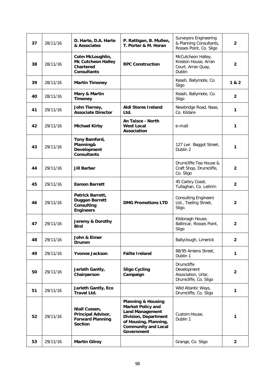| 37 | 28/11/16 | D. Harte, D.A. Harte<br>& Associates                                                    | P. Rattigan, B. Mullen,<br>T. Porter & M. Horan                                                                                                                                         | <b>Surveyors Engineering</b><br>& Planning Consultants,<br>Rosses Point, Co. Sligo | $\overline{2}$          |
|----|----------|-----------------------------------------------------------------------------------------|-----------------------------------------------------------------------------------------------------------------------------------------------------------------------------------------|------------------------------------------------------------------------------------|-------------------------|
| 38 | 28/11/16 | Colm McLoughlin,<br><b>Mc Cutcheon Halley</b><br><b>Chartered</b><br><b>Consultants</b> | <b>RPC Construction</b>                                                                                                                                                                 | McCutcheon Halley,<br>Kreston House, Arran<br>Court, Arran Quay,<br><b>Dublin</b>  | $\overline{2}$          |
| 39 | 28/11/16 | <b>Martin Timoney</b>                                                                   |                                                                                                                                                                                         | Keash, Ballymote, Co.<br>Sligo                                                     | 1 & 2                   |
| 40 | 28/11/16 | Mary & Martin<br><b>Timoney</b>                                                         |                                                                                                                                                                                         | Keash, Ballymote, Co.<br>Sligo                                                     | $\mathbf{2}$            |
| 41 | 29/11/16 | John Tierney,<br><b>Associate Director</b>                                              | <b>Aldi Stores Ireland</b><br>Ltd.                                                                                                                                                      | Newbridge Road, Naas,<br>Co. Kildare                                               | 1                       |
| 42 | 29/11/16 | <b>Michael Kirby</b>                                                                    | An Taisce - North<br><b>West Local</b><br>Association                                                                                                                                   | e-mail                                                                             | 1                       |
| 43 | 29/11/16 | Tony Bamford,<br>Planning&<br>Development<br><b>Consultants</b>                         |                                                                                                                                                                                         | 127 Lwr. Baggot Street,<br>Dublin 2                                                | 1                       |
| 44 | 29/11/16 | <b>Jill Barber</b>                                                                      |                                                                                                                                                                                         | Drumcliffe Tea House &<br>Craft Shop, Drumcliffe,<br>Co. Sligo                     | $\mathbf{2}$            |
| 45 | 29/11/16 | <b>Eamon Barrett</b>                                                                    |                                                                                                                                                                                         | 45 Carbry Coast,<br>Tullaghan, Co. Leitrim                                         | $\overline{\mathbf{2}}$ |
| 46 | 29/11/16 | Patrick Barrett,<br><b>Duggan Barrett</b><br>Consulting<br><b>Engineers</b>             | <b>DMG Promotions LTD</b>                                                                                                                                                               | <b>Consulting Engineers</b><br>Ltd., Teeling Street,<br>Sligo.                     | 2                       |
| 47 | 29/11/16 | Jeremy & Dorothy<br><b>Bird</b>                                                         |                                                                                                                                                                                         | Kildonagh House,<br>Ballincar, Rosses Point,<br>Sligo                              | $\overline{2}$          |
| 48 | 29/11/16 | John & Eimer<br>Drumm                                                                   |                                                                                                                                                                                         | Ballyclough, Limerick                                                              | 2                       |
| 49 | 29/11/16 | <b>Yvonne Jackson</b>                                                                   | Fáilte Ireland                                                                                                                                                                          | 88/95 Amiens Street,<br>Dublin 1                                                   | 1                       |
| 50 | 29/11/16 | Jarlath Gantly,<br>Chairperson                                                          | <b>Sligo Cycling</b><br>Campaign                                                                                                                                                        | Drumcliffe<br>Development<br>Association, Urlar,<br>Drumcliffe, Co. Sligo          | $\overline{\mathbf{2}}$ |
| 51 | 29/11/16 | Jarleth Gantly, Eco<br><b>Travel Ltd.</b>                                               |                                                                                                                                                                                         | Wild Atlantic Ways,<br>Drumcliffe, Co. Sligo                                       | 1                       |
| 52 | 29/11/16 | Niall Cussen,<br>Principal Advisor,<br><b>Forward Planning</b><br><b>Section</b>        | <b>Planning &amp; Housing</b><br><b>Market Policy and</b><br><b>Land Management</b><br><b>Division, Department</b><br>of Housing, Planning,<br><b>Community and Local</b><br>Government | Custom House,<br>Dublin 1                                                          | 1                       |
| 53 | 29/11/16 | <b>Martin Gilroy</b>                                                                    |                                                                                                                                                                                         | Grange, Co. Sligo                                                                  | $\overline{2}$          |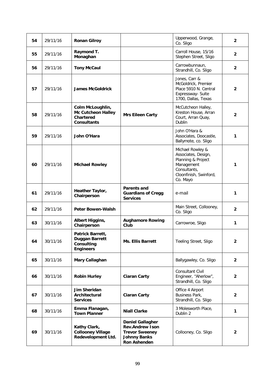| 54 | 29/11/16 | <b>Ronan Gilroy</b>                                                                     |                                                                                                                          | Upperwood, Grange,<br>Co. Sligo                                                                                                   | $\overline{2}$ |
|----|----------|-----------------------------------------------------------------------------------------|--------------------------------------------------------------------------------------------------------------------------|-----------------------------------------------------------------------------------------------------------------------------------|----------------|
| 55 | 29/11/16 | Raymond T.<br>Monaghan                                                                  |                                                                                                                          | Carroll House, 15/16<br>Stephen Street, Sligo                                                                                     | $\overline{2}$ |
| 56 | 29/11/16 | <b>Tony McCaul</b>                                                                      |                                                                                                                          | Carrowbunnaun,<br>Strandhill, Co. Sligo                                                                                           | $\mathbf{2}$   |
| 57 | 29/11/16 | <b>James McGoldrick</b>                                                                 |                                                                                                                          | Jones, Carr &<br>McGoldrick, Premier<br>Place 5910 N. Central<br>Expressway- Suite<br>1700, Dallas, Texas                         | $\overline{2}$ |
| 58 | 29/11/16 | Colm McLoughlin,<br><b>Mc Cutcheon Halley</b><br><b>Chartered</b><br><b>Consultants</b> | <b>Mrs Eileen Carty</b>                                                                                                  | McCutcheon Halley,<br>Kreston House, Arran<br>Court, Arran Quay,<br>Dublin                                                        | $\mathbf{2}$   |
| 59 | 29/11/16 | John O'Hara                                                                             |                                                                                                                          | John O'Hara &<br>Associates, Doocastle,<br>Ballymote, co. Sligo                                                                   | 1              |
| 60 | 29/11/16 | <b>Michael Rowley</b>                                                                   |                                                                                                                          | Michael Rowley &<br>Associates, Design,<br>Planning & Project<br>Management<br>Consultants,<br>Cloonfinish, Swinford,<br>Co. Mayo | 1              |
| 61 | 29/11/16 | Heather Taylor,<br>Chairperson                                                          | <b>Parents and</b><br><b>Guardians of Cregg</b><br><b>Services</b>                                                       | e-mail                                                                                                                            | 1              |
| 62 | 29/11/16 | <b>Peter Bowen-Walsh</b>                                                                |                                                                                                                          | Main Street, Collooney,<br>Co. Sligo                                                                                              | $\mathbf{2}$   |
| 63 | 30/11/16 | <b>Albert Higgins,</b><br>Chairperson                                                   | <b>Aughamore Rowing</b><br>Club                                                                                          | Carrowroe, Sligo                                                                                                                  | 1              |
| 64 | 30/11/16 | Patrick Barrett,<br>Duggan Barrett<br>Consulting<br><b>Engineers</b>                    | Ms. Ellis Barrett                                                                                                        | Teeling Street, Sligo                                                                                                             | 2              |
| 65 | 30/11/16 | Mary Callaghan                                                                          |                                                                                                                          | Ballygawley, Co. Sligo                                                                                                            | $\overline{2}$ |
| 66 | 30/11/16 | <b>Robin Hurley</b>                                                                     | <b>Ciaran Carty</b>                                                                                                      | Consultant Civil<br>Engineer, "Aherlow",<br>Strandhill, Co. Sligo                                                                 | $\overline{2}$ |
| 67 | 30/11/16 | Jim Sheridan<br>Architectural<br><b>Services</b>                                        | <b>Ciaran Carty</b>                                                                                                      | Office 4 Airport<br>Business Park,<br>Strandhill, Co. Sligo                                                                       | $\overline{2}$ |
| 68 | 30/11/16 | Emma Flanagan,<br><b>Town Planner</b>                                                   | <b>Niall Clarke</b>                                                                                                      | 3 Molesworth Place,<br>Dublin 2                                                                                                   | 1              |
| 69 | 30/11/16 | Kathy Clark,<br><b>Collooney Village</b><br>Redevelopment Ltd.                          | <b>Daniel Gallagher</b><br><b>Rev.Andrew Ison</b><br><b>Trevor Sweeney</b><br><b>Johnny Banks</b><br><b>Ron Ashenden</b> | Collooney, Co. Sligo                                                                                                              | $\overline{2}$ |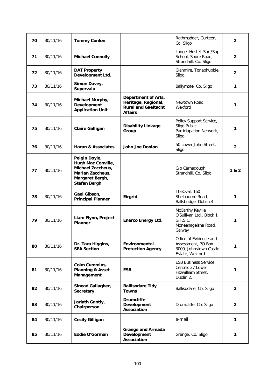| 70 | 30/11/16 | <b>Tommy Conlon</b>                                                                                                    |                                                                                            | Rathmadder, Gurteen,<br>Co. Sligo                                                          | $\mathbf{2}$   |
|----|----------|------------------------------------------------------------------------------------------------------------------------|--------------------------------------------------------------------------------------------|--------------------------------------------------------------------------------------------|----------------|
| 71 | 30/11/16 | <b>Michael Connolly</b>                                                                                                |                                                                                            | Lodge, Hostel, Surf/Sup<br>School, Shore Road,<br>Strandhill, Co. Sligo                    | $\overline{2}$ |
| 72 | 30/11/16 | <b>DAT Property</b><br>Development Ltd.                                                                                |                                                                                            | Glanmire, Tonaphubble,<br>Sligo                                                            | $\overline{2}$ |
| 73 | 30/11/16 | Simon Davey,<br>Supervalu                                                                                              |                                                                                            | Ballymote, Co. Sligo                                                                       | 1              |
| 74 | 30/11/16 | Michael Murphy,<br>Development<br><b>Application Unit</b>                                                              | Department of Arts,<br>Heritage, Regional,<br><b>Rural and Gaeltacht</b><br><b>Affairs</b> | Newtown Road,<br>Wexford                                                                   | 1              |
| 75 | 30/11/16 | <b>Claire Galligan</b>                                                                                                 | <b>Disability Linkage</b><br>Group                                                         | Policy Support Service,<br>Sligo Public<br>Particiapation Network,<br>Sligo                | 1              |
| 76 | 30/11/16 | <b>Haran &amp; Associates</b>                                                                                          | <b>John Joe Donlon</b>                                                                     | 50 Lower John Street,<br>Sligo                                                             | $\mathbf{2}$   |
| 77 | 30/11/16 | Peigin Doyle,<br>Hugh Mac Conville,<br>Michael Zaccheus,<br>Marian Zaccheus,<br>Margaret Bergh,<br><b>Stefan Bergh</b> |                                                                                            | C/o Carnadough,<br>Strandhill, Co. Sligo                                                   | 1 & 2          |
| 78 | 30/11/16 | Gael Gibson,<br><b>Principal Planner</b>                                                                               | <b>Eirgrid</b>                                                                             | TheOval, 160<br>Shelbourne Road,<br>Ballsbridge, Dublin 4                                  | 1              |
| 79 | 30/11/16 | Liam Flynn, Project<br><b>Planner</b>                                                                                  | <b>Enerco Energy Ltd.</b>                                                                  | McCarthy Keville<br>O'Sullivan Ltd., Block 1,<br>G.F.S.C.<br>Moneenageisha Road,<br>Galway | 1              |
| 80 | 30/11/16 | Dr. Tara Higgins,<br><b>SEA Section</b>                                                                                | Environmental<br><b>Protection Agency</b>                                                  | Office of Evidence and<br>Assessment, PO Box<br>3000, Johnstown Castle<br>Estate, Wexford  | 1              |
| 81 | 30/11/16 | Colm Cummins,<br><b>Planning &amp; Asset</b><br>Management                                                             | <b>ESB</b>                                                                                 | <b>ESB Business Service</b><br>Centre, 27 Lower<br>Fitzwilliam Street,<br>Dublin 2.        | 1              |
| 82 | 30/11/16 | Sinead Gallagher,<br><b>Secretary</b>                                                                                  | <b>Ballisodare Tidy</b><br><b>Towns</b>                                                    | Ballisodare, Co. Sligo                                                                     | $\overline{2}$ |
| 83 | 30/11/16 | Jarlath Gantly,<br>Chairperson                                                                                         | <b>Drumcliffe</b><br>Development<br>Association                                            | Drumcliffe, Co. Sligo                                                                      | $\overline{2}$ |
| 84 | 30/11/16 | <b>Cecily Gilligan</b>                                                                                                 |                                                                                            | e-mail                                                                                     | 1              |
| 85 | 30/11/16 | Eddie O'Gorman                                                                                                         | <b>Grange and Armada</b><br>Development<br>Association                                     | Grange, Co. Sligo                                                                          | 1              |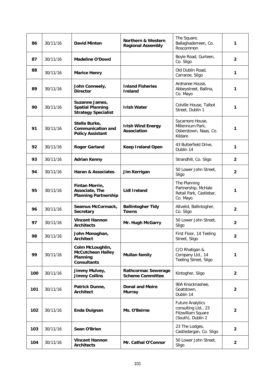| 86  | 30/11/16 | <b>David Minton</b>                                                            | <b>Northern &amp; Western</b><br><b>Regional Assembly</b> | The Square,<br>Ballaghaderreen, Co.<br>Roscommon                                          | 1                       |
|-----|----------|--------------------------------------------------------------------------------|-----------------------------------------------------------|-------------------------------------------------------------------------------------------|-------------------------|
| 87  | 30/11/16 | Madeline O'Dowd                                                                |                                                           | Boyle Road, Gurteen,<br>Co. Sligo                                                         | $\overline{2}$          |
| 88  | 30/11/16 | <b>Marice Henry</b>                                                            |                                                           | Old Dublin Road,<br>Carraroe, Sligo                                                       | 1                       |
| 89  | 30/11/16 | John Conneely,<br><b>Director</b>                                              | <b>Inland Fisheries</b><br><b>Ireland</b>                 | Ardnaree House,<br>Abbeystreet, Ballina,<br>Co. Mayo                                      | 1                       |
| 90  | 30/11/16 | Suzanne James,<br><b>Spatial Planning</b><br><b>Strategy Specialist</b>        | <b>Irish Water</b>                                        | Colville House, Talbot<br>Street, Dublin 1                                                | 1                       |
| 91  | 30/11/16 | Stella Burke,<br><b>Communication and</b><br><b>Policy Assistant</b>           | <b>Irish Wind Energy</b><br><b>Association</b>            | Sycamore House,<br>Millennium Park,<br>Osberstown, Naas, Co.<br>Kildare                   | 1                       |
| 92  | 30/11/16 | <b>Roger Garland</b>                                                           | <b>Keep Ireland Open</b>                                  | 43 Butterfield Drive,<br>Dublin 14                                                        | 1                       |
| 93  | 30/11/16 | <b>Adrian Kenny</b>                                                            |                                                           | Strandhill, Co. Sligo                                                                     | 2                       |
| 94  | 30/11/16 | <b>Haran &amp; Associates</b>                                                  | Jim Kerrigan                                              | 50 Lower John Street,<br>Sligo                                                            | $\mathbf{2}$            |
| 95  | 30/11/16 | Fintan Morrin,<br>Associate, The<br><b>Planning Partnership</b>                | <b>Lidl Ireland</b>                                       | The Planning<br>Partnership, McHale<br>Retail Park, Castlebar,<br>Co. Mayo                | 1                       |
| 96  | 30/11/16 | Seamus McCormack,<br>Secretary                                                 | <b>Ballintogher Tidy</b><br><b>Towns</b>                  | Altvelid, Ballintogher,<br>Co. Sligo                                                      | $\mathbf{2}$            |
| 97  | 30/11/16 | <b>Vincent Hannon</b><br><b>Architects</b>                                     | Mr. Hugh McGarry                                          | 50 Lower John Street,<br>Sligo                                                            | $\overline{2}$          |
| 98  | 30/11/16 | John Monaghan,<br><b>Architect</b>                                             |                                                           | First Floor, 14 Teeling<br>Street, Sligo                                                  | $\overline{2}$          |
| 99  | 30/11/16 | Colm McLoughlin,<br><b>McCutcheon Halley</b><br>Planning<br><b>Consultants</b> | <b>Mullan family</b>                                      | C/O Rhatigan &<br>Company Ltd., 14<br>Teeling Street, Sligo                               | 1                       |
| 100 | 30/11/16 | Jimmy Mulvey,<br><b>Jimmy Collins</b>                                          | <b>Rathcormac Sewerage</b><br><b>Scheme Committee</b>     | Kintogher, Sligo                                                                          | $\overline{2}$          |
| 101 | 30/11/16 | Patrick Dunne,<br><b>Architect</b>                                             | <b>Donal and Moire</b><br><b>Murray</b>                   | 90A Knocknashee,<br>Goatstown.<br>Dublin 14                                               | $\overline{2}$          |
| 102 | 30/11/16 | <b>Enda Duignan</b>                                                            | Ms. O'Beirne                                              | <b>Future Analytics</b><br>consulting Ltd., 23<br>Fitzwilliam Square<br>(South), Dublin 2 | $\overline{\mathbf{2}}$ |
| 103 | 30/11/16 | Sean O'Brien                                                                   |                                                           | 23 The Lodges,<br>Castledargan, Co. Sligo                                                 | $\overline{2}$          |
| 104 | 30/11/16 | <b>Vincent Hannon</b><br><b>Architects</b>                                     | Mr. Cathal O'Connor                                       | 50 Lower John Street,<br>Sligo                                                            | $\overline{2}$          |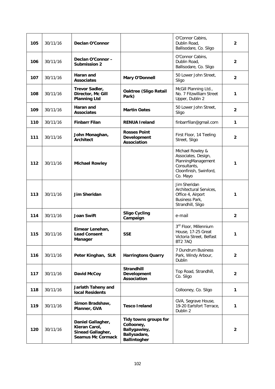| 105 | 30/11/16 | Declan O'Connor                                                                     |                                                                                            | O'Connor Cabins,<br>Dublin Road,<br>Ballisodare, Co. Sligo                                                          | $\overline{2}$          |
|-----|----------|-------------------------------------------------------------------------------------|--------------------------------------------------------------------------------------------|---------------------------------------------------------------------------------------------------------------------|-------------------------|
| 106 | 30/11/16 | Declan O'Connor -<br><b>Submission 2</b>                                            |                                                                                            | O'Connor Cabins,<br>Dublin Road,<br>Ballisodare, Co. Sligo                                                          | $\overline{\mathbf{2}}$ |
| 107 | 30/11/16 | Haran and<br><b>Associates</b>                                                      | Mary O'Donnell                                                                             | 50 Lower John Street,<br>Sligo                                                                                      | $\overline{2}$          |
| 108 | 30/11/16 | Trevor Sadler,<br>Director, Mc Gill<br><b>Planning Ltd</b>                          | <b>Oaktree (Sligo Retail</b><br>Park)                                                      | McGill Planning Ltd.,<br>No. 7 Fitzwilliam Street<br>Upper, Dublin 2                                                | 1                       |
| 109 | 30/11/16 | Haran and<br><b>Associates</b>                                                      | <b>Martin Oates</b>                                                                        | 50 Lower John Street,<br>Sligo                                                                                      | $\overline{2}$          |
| 110 | 30/11/16 | <b>Finbarr Filan</b>                                                                | <b>RENUA Ireland</b>                                                                       | finbarrfilan@gmail.com                                                                                              | 1                       |
| 111 | 30/11/16 | John Monaghan,<br><b>Architect</b>                                                  | <b>Rosses Point</b><br>Development<br><b>Association</b>                                   | First Floor, 14 Teeling<br>Street, Sligo                                                                            | $\overline{2}$          |
| 112 | 30/11/16 | <b>Michael Rowley</b>                                                               |                                                                                            | Michael Rowley &<br>Associates, Design,<br>PlanningManagement<br>Consultants,<br>Cloonfinish, Swinford,<br>Co. Mayo | 1                       |
| 113 | 30/11/16 | <b>Jim Sheridan</b>                                                                 |                                                                                            | Jim Sheridan<br>Architectural Services,<br>Office 4, Airport<br>Business Park,<br>Strandhill, Sligo                 | 1                       |
| 114 | 30/11/16 | <b>Joan Swift</b>                                                                   | <b>Sligo Cycling</b><br>Campaign                                                           | e-mail                                                                                                              | $\overline{2}$          |
| 115 | 30/11/16 | Eimear Lenehan,<br><b>Lead Consent</b><br>Manager                                   | <b>SSE</b>                                                                                 | 3rd Floor, Millennium<br>House, 17-25 Great<br>Victoria Street, Belfast<br>BT2 7AQ                                  | 1                       |
| 116 | 30/11/16 | Peter Kinghan, SLR                                                                  | <b>Harringtons Quarry</b>                                                                  | 7 Dundrum Business<br>Park, Windy Arbour,<br>Dublin                                                                 | $\overline{2}$          |
| 117 | 30/11/16 | David McCoy                                                                         | <b>Strandhill</b><br>Development<br>Association                                            | Top Road, Strandhill,<br>Co. Sligo                                                                                  | $\overline{2}$          |
| 118 | 30/11/16 | Jarlath Taheny and<br><b>local Residents</b>                                        |                                                                                            | Collooney, Co. Sligo                                                                                                | 1                       |
| 119 | 30/11/16 | Simon Bradshaw,<br>Planner, GVA                                                     | <b>Tesco Ireland</b>                                                                       | GVA, Segrave House,<br>19-20 Earlsfort Terrace,<br>Dublin 2                                                         | 1                       |
| 120 | 30/11/16 | Daniel Gallagher,<br>Kieran Carol,<br>Sinead Gallagher,<br><b>Seamus Mc Cormack</b> | Tidy towns groups for<br>Collooney,<br>Ballygawley,<br>Ballysadare,<br><b>Ballintogher</b> |                                                                                                                     | $\mathbf{2}$            |